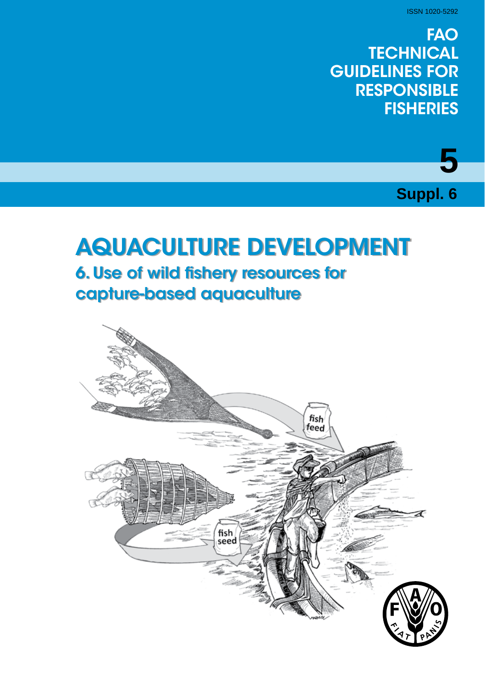ISSN 1020-5292

**5** 

**Suppl. 6**

**FAO TECHNICAL** GUIDELINES FOR **RESPONSIBLE FISHERIES** 



# AQUACULTURE DEVELOPMENT **6. Use of wild fishery resources for** capture-based aquaculture

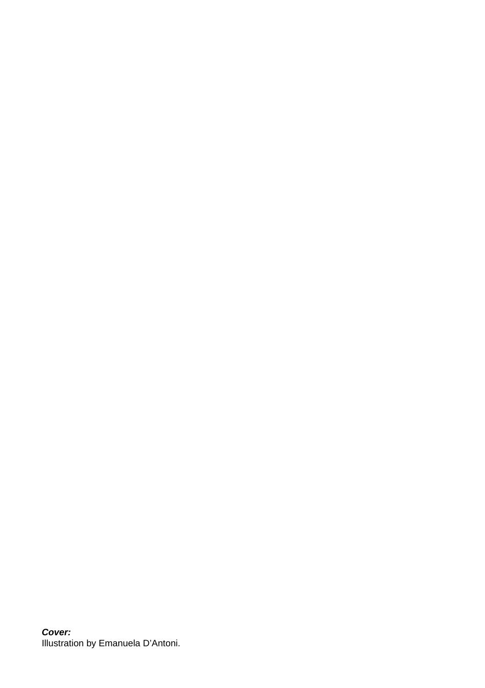*Cover:* Illustration by Emanuela D'Antoni.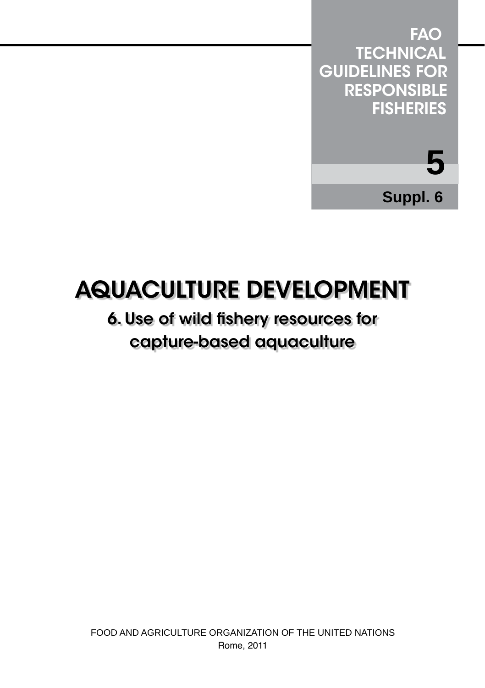

# AQUACULTURE DEVELOPMENT

# 6. Use of wild fishery resources for capture-based aquaculture

FOOD AND AGRICULTURE ORGANIZATION OF THE UNITED NATIONS Rome, 2011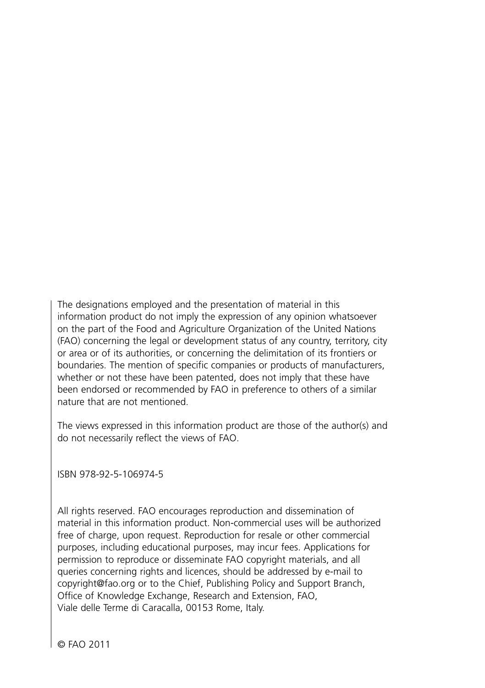The designations employed and the presentation of material in this information product do not imply the expression of any opinion whatsoever on the part of the Food and Agriculture Organization of the United Nations (FAO) concerning the legal or development status of any country, territory, city or area or of its authorities, or concerning the delimitation of its frontiers or boundaries. The mention of specific companies or products of manufacturers, whether or not these have been patented, does not imply that these have been endorsed or recommended by FAO in preference to others of a similar nature that are not mentioned.

The views expressed in this information product are those of the author(s) and do not necessarily reflect the views of FAO.

ISBN 978-92-5-106974-5

All rights reserved. FAO encourages reproduction and dissemination of material in this information product. Non-commercial uses will be authorized free of charge, upon request. Reproduction for resale or other commercial purposes, including educational purposes, may incur fees. Applications for permission to reproduce or disseminate FAO copyright materials, and all queries concerning rights and licences, should be addressed by e-mail to copyright@fao.org or to the Chief, Publishing Policy and Support Branch, Office of Knowledge Exchange, Research and Extension, FAO, Viale delle Terme di Caracalla, 00153 Rome, Italy.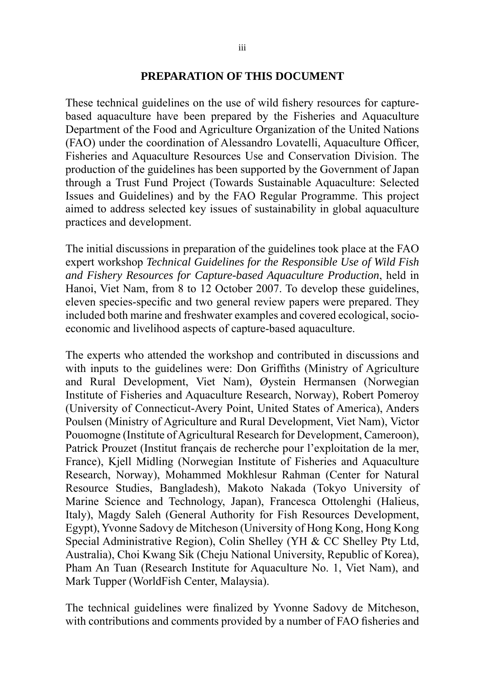#### **PREPARATION OF THIS DOCUMENT**

These technical guidelines on the use of wild fishery resources for capturebased aquaculture have been prepared by the Fisheries and Aquaculture Department of the Food and Agriculture Organization of the United Nations (FAO) under the coordination of Alessandro Lovatelli, Aquaculture Officer, Fisheries and Aquaculture Resources Use and Conservation Division. The production of the guidelines has been supported by the Government of Japan through a Trust Fund Project (Towards Sustainable Aquaculture: Selected Issues and Guidelines) and by the FAO Regular Programme. This project aimed to address selected key issues of sustainability in global aquaculture practices and development.

The initial discussions in preparation of the guidelines took place at the FAO expert workshop *Technical Guidelines for the Responsible Use of Wild Fish and Fishery Resources for Capture-based Aquaculture Production*, held in Hanoi, Viet Nam, from 8 to 12 October 2007. To develop these guidelines, eleven species-specific and two general review papers were prepared. They included both marine and freshwater examples and covered ecological, socioeconomic and livelihood aspects of capture-based aquaculture.

The experts who attended the workshop and contributed in discussions and with inputs to the guidelines were: Don Griffiths (Ministry of Agriculture and Rural Development, Viet Nam), Øystein Hermansen (Norwegian Institute of Fisheries and Aquaculture Research, Norway), Robert Pomeroy (University of Connecticut-Avery Point, United States of America), Anders Poulsen (Ministry of Agriculture and Rural Development, Viet Nam), Victor Pouomogne (Institute of Agricultural Research for Development, Cameroon), Patrick Prouzet (Institut français de recherche pour l'exploitation de la mer, France), Kjell Midling (Norwegian Institute of Fisheries and Aquaculture Research, Norway), Mohammed Mokhlesur Rahman (Center for Natural Resource Studies, Bangladesh), Makoto Nakada (Tokyo University of Marine Science and Technology, Japan), Francesca Ottolenghi (Halieus, Italy), Magdy Saleh (General Authority for Fish Resources Development, Egypt), Yvonne Sadovy de Mitcheson (University of Hong Kong, Hong Kong Special Administrative Region), Colin Shelley (YH & CC Shelley Pty Ltd, Australia), Choi Kwang Sik (Cheju National University, Republic of Korea), Pham An Tuan (Research Institute for Aquaculture No. 1, Viet Nam), and Mark Tupper (WorldFish Center, Malaysia).

The technical guidelines were finalized by Yvonne Sadovy de Mitcheson, with contributions and comments provided by a number of FAO fisheries and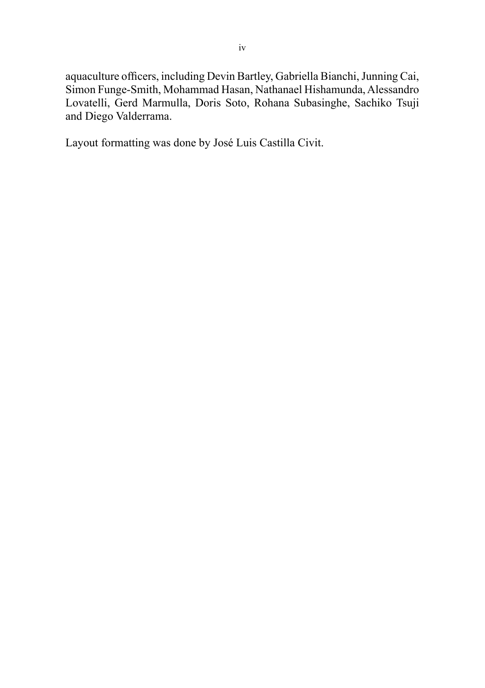aquaculture officers, including Devin Bartley, Gabriella Bianchi, Junning Cai, Simon Funge-Smith, Mohammad Hasan, Nathanael Hishamunda, Alessandro Lovatelli, Gerd Marmulla, Doris Soto, Rohana Subasinghe, Sachiko Tsuji and Diego Valderrama.

Layout formatting was done by José Luis Castilla Civit.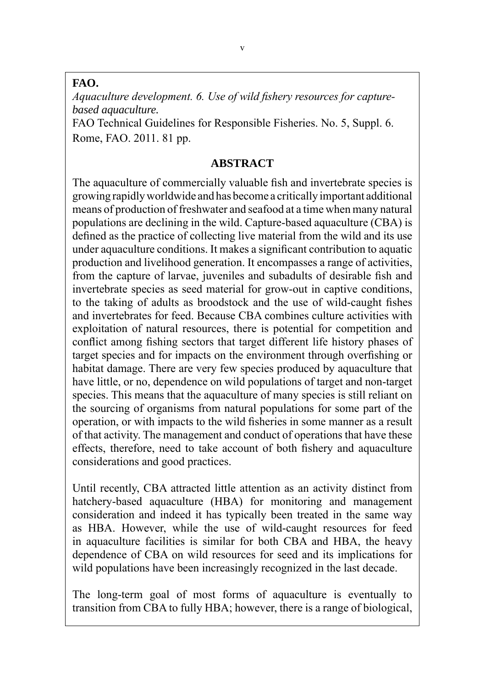#### **FAO.**

*Aquaculture development. 6. Use of wild fishery resources for capturebased aquaculture.*

FAO Technical Guidelines for Responsible Fisheries. No. 5, Suppl. 6. Rome, FAO. 2011. 81 pp.

#### **ABSTRACT**

The aquaculture of commercially valuable fish and invertebrate species is growing rapidly worldwide and has become a critically important additional means of production of freshwater and seafood at a time when many natural populations are declining in the wild. Capture-based aquaculture (CBA) is defined as the practice of collecting live material from the wild and its use under aquaculture conditions. It makes a significant contribution to aquatic production and livelihood generation. It encompasses a range of activities, from the capture of larvae, juveniles and subadults of desirable fish and invertebrate species as seed material for grow-out in captive conditions, to the taking of adults as broodstock and the use of wild-caught fishes and invertebrates for feed. Because CBA combines culture activities with exploitation of natural resources, there is potential for competition and conflict among fishing sectors that target different life history phases of target species and for impacts on the environment through overfishing or habitat damage. There are very few species produced by aquaculture that have little, or no, dependence on wild populations of target and non-target species. This means that the aquaculture of many species is still reliant on the sourcing of organisms from natural populations for some part of the operation, or with impacts to the wild fisheries in some manner as a result of that activity. The management and conduct of operations that have these effects, therefore, need to take account of both fishery and aquaculture considerations and good practices.

Until recently, CBA attracted little attention as an activity distinct from hatchery-based aquaculture (HBA) for monitoring and management consideration and indeed it has typically been treated in the same way as HBA. However, while the use of wild-caught resources for feed in aquaculture facilities is similar for both CBA and HBA, the heavy dependence of CBA on wild resources for seed and its implications for wild populations have been increasingly recognized in the last decade.

The long-term goal of most forms of aquaculture is eventually to transition from CBA to fully HBA; however, there is a range of biological,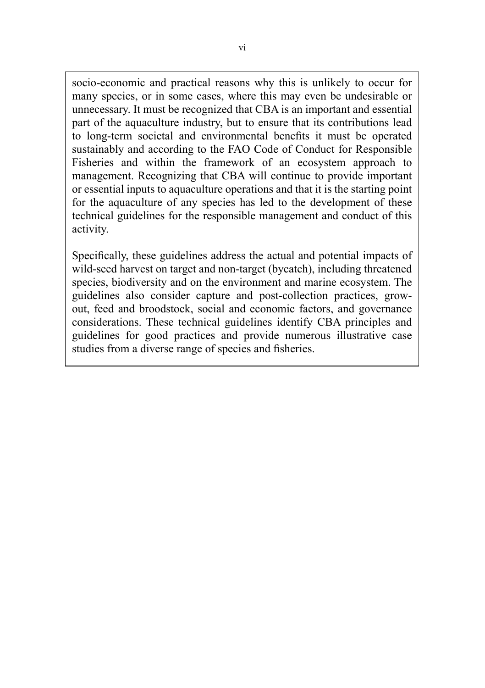socio-economic and practical reasons why this is unlikely to occur for many species, or in some cases, where this may even be undesirable or unnecessary. It must be recognized that CBA is an important and essential part of the aquaculture industry, but to ensure that its contributions lead to long-term societal and environmental benefits it must be operated sustainably and according to the FAO Code of Conduct for Responsible Fisheries and within the framework of an ecosystem approach to management. Recognizing that CBA will continue to provide important or essential inputs to aquaculture operations and that it is the starting point for the aquaculture of any species has led to the development of these technical guidelines for the responsible management and conduct of this activity.

Specifically, these guidelines address the actual and potential impacts of wild-seed harvest on target and non-target (bycatch), including threatened species, biodiversity and on the environment and marine ecosystem. The guidelines also consider capture and post-collection practices, growout, feed and broodstock, social and economic factors, and governance considerations. These technical guidelines identify CBA principles and guidelines for good practices and provide numerous illustrative case studies from a diverse range of species and fisheries.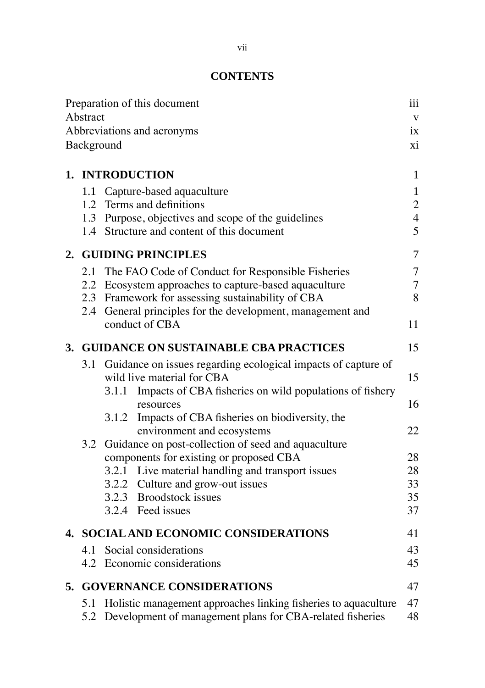# **CONTENTS**

|                                          | Preparation of this document                                                                | iii<br>$\mathbf{V}$ |  |  |
|------------------------------------------|---------------------------------------------------------------------------------------------|---------------------|--|--|
| Abstract                                 |                                                                                             |                     |  |  |
| Abbreviations and acronyms               |                                                                                             |                     |  |  |
|                                          | Background                                                                                  | xi                  |  |  |
|                                          | 1. INTRODUCTION                                                                             | 1                   |  |  |
|                                          | 1.1 Capture-based aquaculture                                                               | 1                   |  |  |
|                                          | 1.2 Terms and definitions                                                                   | $\overline{c}$      |  |  |
|                                          | 1.3 Purpose, objectives and scope of the guidelines                                         | $\overline{4}$      |  |  |
|                                          | 1.4 Structure and content of this document                                                  | 5                   |  |  |
|                                          | 2. GUIDING PRINCIPLES                                                                       | 7                   |  |  |
|                                          | 2.1 The FAO Code of Conduct for Responsible Fisheries                                       | 7                   |  |  |
|                                          | 2.2 Ecosystem approaches to capture-based aquaculture                                       | $\overline{7}$      |  |  |
|                                          | 2.3 Framework for assessing sustainability of CBA                                           | 8                   |  |  |
|                                          | 2.4 General principles for the development, management and                                  |                     |  |  |
|                                          | conduct of CBA                                                                              | 11                  |  |  |
| 3. GUIDANCE ON SUSTAINABLE CBA PRACTICES |                                                                                             |                     |  |  |
| 3.1                                      | Guidance on issues regarding ecological impacts of capture of<br>wild live material for CBA | 15                  |  |  |
|                                          | 3.1.1 Impacts of CBA fisheries on wild populations of fishery                               |                     |  |  |
|                                          | resources                                                                                   | 16                  |  |  |
|                                          | 3.1.2 Impacts of CBA fisheries on biodiversity, the                                         |                     |  |  |
|                                          | environment and ecosystems                                                                  | 22                  |  |  |
| 3.2                                      | Guidance on post-collection of seed and aquaculture                                         |                     |  |  |
|                                          | components for existing or proposed CBA                                                     | 28                  |  |  |
|                                          | 3.2.1 Live material handling and transport issues                                           | 28                  |  |  |
|                                          | 3.2.2 Culture and grow-out issues                                                           | 33                  |  |  |
|                                          | 3.2.3 Broodstock issues                                                                     | 35                  |  |  |
|                                          | 3.2.4 Feed issues                                                                           | 37                  |  |  |
| 4. SOCIAL AND ECONOMIC CONSIDERATIONS    |                                                                                             |                     |  |  |
|                                          | 4.1 Social considerations                                                                   | 43                  |  |  |
|                                          | 4.2 Economic considerations                                                                 | 45                  |  |  |
|                                          | 5. GOVERNANCE CONSIDERATIONS                                                                | 47                  |  |  |
|                                          | 5.1 Holistic management approaches linking fisheries to aquaculture                         | 47                  |  |  |
| 5.2                                      | Development of management plans for CBA-related fisheries                                   | 48                  |  |  |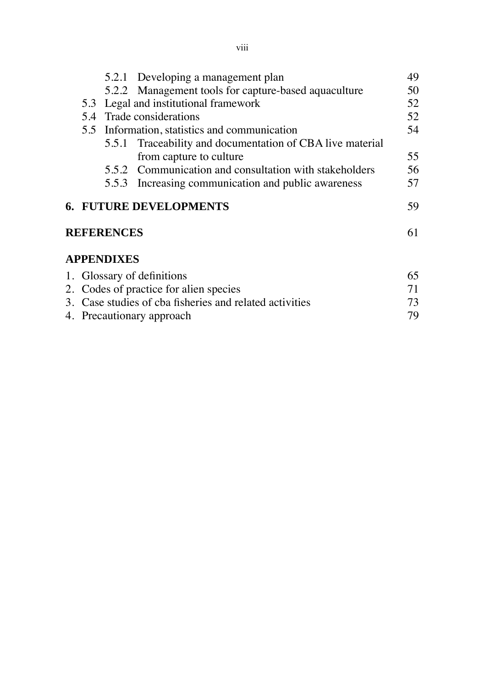| 5.2.2 Management tools for capture-based aquaculture<br>5.5.1 Traceability and documentation of CBA live material | 50<br>52<br>52<br>54 |  |  |  |
|-------------------------------------------------------------------------------------------------------------------|----------------------|--|--|--|
|                                                                                                                   |                      |  |  |  |
|                                                                                                                   |                      |  |  |  |
|                                                                                                                   |                      |  |  |  |
|                                                                                                                   |                      |  |  |  |
|                                                                                                                   |                      |  |  |  |
|                                                                                                                   | 55                   |  |  |  |
| 5.5.2 Communication and consultation with stakeholders                                                            | 56                   |  |  |  |
| 5.5.3 Increasing communication and public awareness                                                               | 57                   |  |  |  |
|                                                                                                                   | 59                   |  |  |  |
| <b>REFERENCES</b>                                                                                                 |                      |  |  |  |
|                                                                                                                   |                      |  |  |  |
| 1. Glossary of definitions                                                                                        |                      |  |  |  |
|                                                                                                                   | 71                   |  |  |  |
| 2. Codes of practice for alien species<br>3. Case studies of cba fisheries and related activities                 |                      |  |  |  |
| 4. Precautionary approach                                                                                         |                      |  |  |  |
|                                                                                                                   | 65<br>73<br>79       |  |  |  |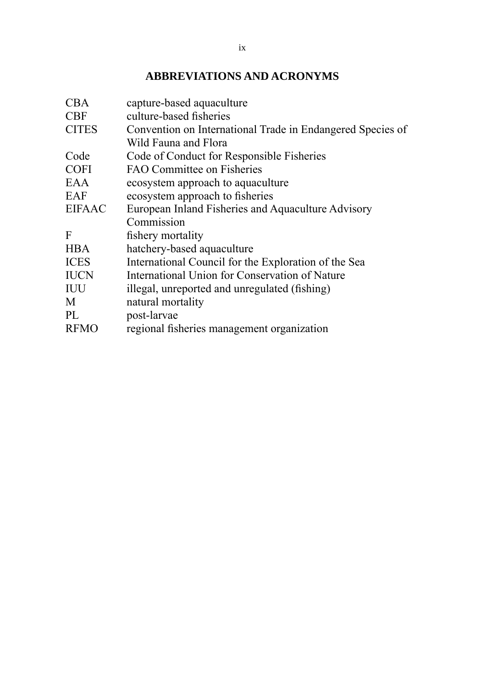# **ABBREVIATIONS AND ACRONYMS**

| CBA           | capture-based aquaculture                                  |
|---------------|------------------------------------------------------------|
| <b>CBF</b>    | culture-based fisheries                                    |
| <b>CITES</b>  | Convention on International Trade in Endangered Species of |
|               | Wild Fauna and Flora                                       |
| Code          | Code of Conduct for Responsible Fisheries                  |
| <b>COFI</b>   | FAO Committee on Fisheries                                 |
| EAA           | ecosystem approach to aquaculture                          |
| EAF           | ecosystem approach to fisheries                            |
| <b>EIFAAC</b> | European Inland Fisheries and Aquaculture Advisory         |
|               | Commission                                                 |
| F             | fishery mortality                                          |
| <b>HBA</b>    | hatchery-based aquaculture                                 |
| <b>ICES</b>   | International Council for the Exploration of the Sea       |
| <b>IUCN</b>   | International Union for Conservation of Nature             |
| IUU           | illegal, unreported and unregulated (fishing)              |
| M             | natural mortality                                          |
| PL            | post-larvae                                                |
| <b>RFMO</b>   | regional fisheries management organization                 |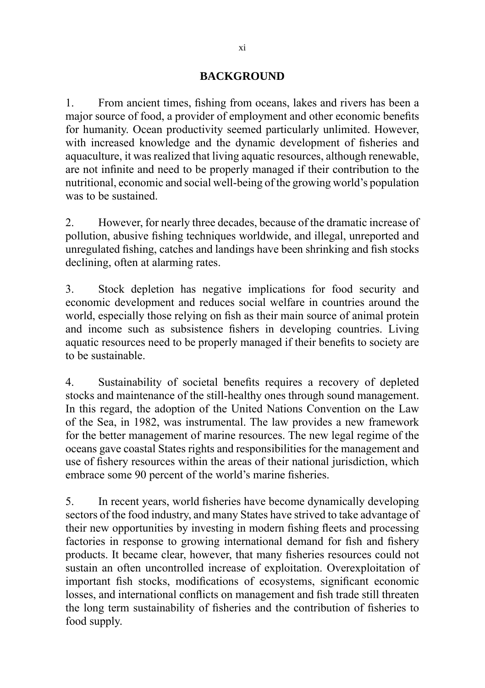#### **BACKGROUND**

1. From ancient times, fishing from oceans, lakes and rivers has been a major source of food, a provider of employment and other economic benefits for humanity. Ocean productivity seemed particularly unlimited. However, with increased knowledge and the dynamic development of fisheries and aquaculture, it was realized that living aquatic resources, although renewable, are not infinite and need to be properly managed if their contribution to the nutritional, economic and social well-being of the growing world's population was to be sustained.

2. However, for nearly three decades, because of the dramatic increase of pollution, abusive fishing techniques worldwide, and illegal, unreported and unregulated fishing, catches and landings have been shrinking and fish stocks declining, often at alarming rates.

3. Stock depletion has negative implications for food security and economic development and reduces social welfare in countries around the world, especially those relying on fish as their main source of animal protein and income such as subsistence fishers in developing countries. Living aquatic resources need to be properly managed if their benefits to society are to be sustainable.

4. Sustainability of societal benefits requires a recovery of depleted stocks and maintenance of the still-healthy ones through sound management. In this regard, the adoption of the United Nations Convention on the Law of the Sea, in 1982, was instrumental. The law provides a new framework for the better management of marine resources. The new legal regime of the oceans gave coastal States rights and responsibilities for the management and use of fishery resources within the areas of their national jurisdiction, which embrace some 90 percent of the world's marine fisheries.

5. In recent years, world fisheries have become dynamically developing sectors of the food industry, and many States have strived to take advantage of their new opportunities by investing in modern fishing fleets and processing factories in response to growing international demand for fish and fishery products. It became clear, however, that many fisheries resources could not sustain an often uncontrolled increase of exploitation. Overexploitation of important fish stocks, modifications of ecosystems, significant economic losses, and international conflicts on management and fish trade still threaten the long term sustainability of fisheries and the contribution of fisheries to food supply.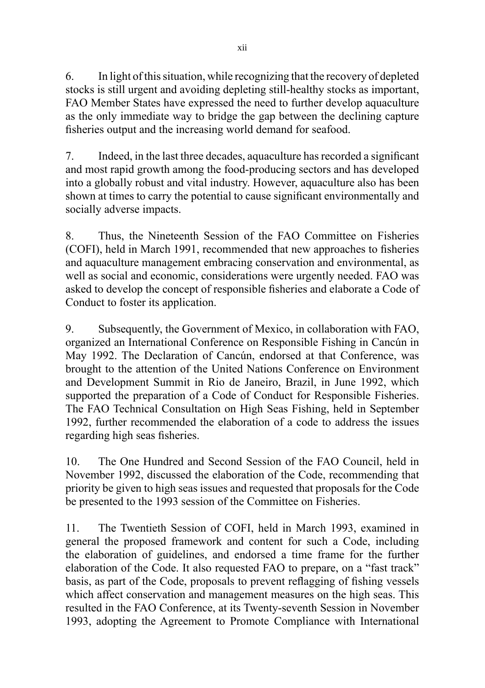6. In light of this situation, while recognizing that the recovery of depleted stocks is still urgent and avoiding depleting still-healthy stocks as important, FAO Member States have expressed the need to further develop aquaculture as the only immediate way to bridge the gap between the declining capture fisheries output and the increasing world demand for seafood.

7. Indeed, in the last three decades, aquaculture has recorded a significant and most rapid growth among the food-producing sectors and has developed into a globally robust and vital industry. However, aquaculture also has been shown at times to carry the potential to cause significant environmentally and socially adverse impacts.

8. Thus, the Nineteenth Session of the FAO Committee on Fisheries (COFI), held in March 1991, recommended that new approaches to fisheries and aquaculture management embracing conservation and environmental, as well as social and economic, considerations were urgently needed. FAO was asked to develop the concept of responsible fisheries and elaborate a Code of Conduct to foster its application.

9. Subsequently, the Government of Mexico, in collaboration with FAO, organized an International Conference on Responsible Fishing in Cancún in May 1992. The Declaration of Cancún, endorsed at that Conference, was brought to the attention of the United Nations Conference on Environment and Development Summit in Rio de Janeiro, Brazil, in June 1992, which supported the preparation of a Code of Conduct for Responsible Fisheries. The FAO Technical Consultation on High Seas Fishing, held in September 1992, further recommended the elaboration of a code to address the issues regarding high seas fisheries.

10. The One Hundred and Second Session of the FAO Council, held in November 1992, discussed the elaboration of the Code, recommending that priority be given to high seas issues and requested that proposals for the Code be presented to the 1993 session of the Committee on Fisheries.

11. The Twentieth Session of COFI, held in March 1993, examined in general the proposed framework and content for such a Code, including the elaboration of guidelines, and endorsed a time frame for the further elaboration of the Code. It also requested FAO to prepare, on a "fast track" basis, as part of the Code, proposals to prevent reflagging of fishing vessels which affect conservation and management measures on the high seas. This resulted in the FAO Conference, at its Twenty-seventh Session in November 1993, adopting the Agreement to Promote Compliance with International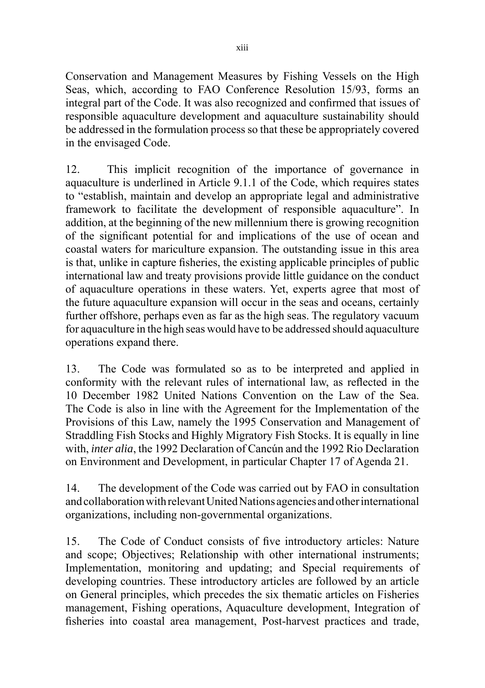Conservation and Management Measures by Fishing Vessels on the High Seas, which, according to FAO Conference Resolution 15/93, forms an integral part of the Code. It was also recognized and confirmed that issues of responsible aquaculture development and aquaculture sustainability should be addressed in the formulation process so that these be appropriately covered in the envisaged Code.

12. This implicit recognition of the importance of governance in aquaculture is underlined in Article 9.1.1 of the Code, which requires states to "establish, maintain and develop an appropriate legal and administrative framework to facilitate the development of responsible aquaculture". In addition, at the beginning of the new millennium there is growing recognition of the significant potential for and implications of the use of ocean and coastal waters for mariculture expansion. The outstanding issue in this area is that, unlike in capture fisheries, the existing applicable principles of public international law and treaty provisions provide little guidance on the conduct of aquaculture operations in these waters. Yet, experts agree that most of the future aquaculture expansion will occur in the seas and oceans, certainly further offshore, perhaps even as far as the high seas. The regulatory vacuum for aquaculture in the high seas would have to be addressed should aquaculture operations expand there.

13. The Code was formulated so as to be interpreted and applied in conformity with the relevant rules of international law, as reflected in the 10 December 1982 United Nations Convention on the Law of the Sea. The Code is also in line with the Agreement for the Implementation of the Provisions of this Law, namely the 1995 Conservation and Management of Straddling Fish Stocks and Highly Migratory Fish Stocks. It is equally in line with, *inter alia*, the 1992 Declaration of Cancún and the 1992 Rio Declaration on Environment and Development, in particular Chapter 17 of Agenda 21.

14. The development of the Code was carried out by FAO in consultation and collaboration with relevant United Nations agencies and other international organizations, including non-governmental organizations.

15. The Code of Conduct consists of five introductory articles: Nature and scope; Objectives; Relationship with other international instruments; Implementation, monitoring and updating; and Special requirements of developing countries. These introductory articles are followed by an article on General principles, which precedes the six thematic articles on Fisheries management, Fishing operations, Aquaculture development, Integration of fisheries into coastal area management, Post-harvest practices and trade,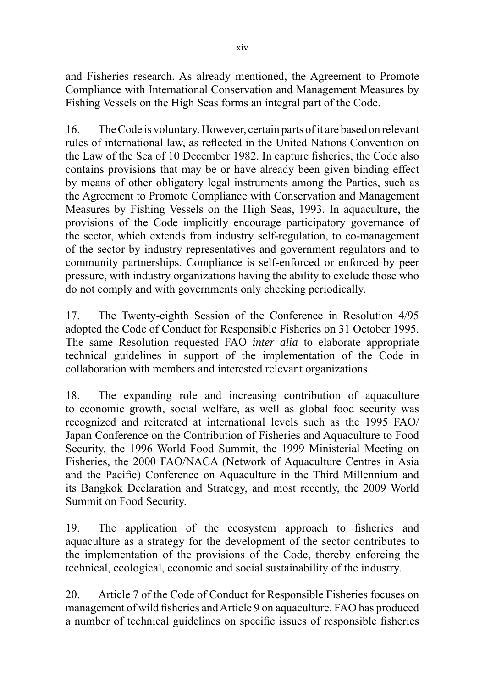and Fisheries research. As already mentioned, the Agreement to Promote Compliance with International Conservation and Management Measures by Fishing Vessels on the High Seas forms an integral part of the Code.

16. The Code is voluntary. However, certain parts of it are based on relevant rules of international law, as reflected in the United Nations Convention on the Law of the Sea of 10 December 1982. In capture fisheries, the Code also contains provisions that may be or have already been given binding effect by means of other obligatory legal instruments among the Parties, such as the Agreement to Promote Compliance with Conservation and Management Measures by Fishing Vessels on the High Seas, 1993. In aquaculture, the provisions of the Code implicitly encourage participatory governance of the sector, which extends from industry self-regulation, to co-management of the sector by industry representatives and government regulators and to community partnerships. Compliance is self-enforced or enforced by peer pressure, with industry organizations having the ability to exclude those who do not comply and with governments only checking periodically.

17. The Twenty-eighth Session of the Conference in Resolution 4/95 adopted the Code of Conduct for Responsible Fisheries on 31 October 1995. The same Resolution requested FAO *inter alia* to elaborate appropriate technical guidelines in support of the implementation of the Code in collaboration with members and interested relevant organizations.

18. The expanding role and increasing contribution of aquaculture to economic growth, social welfare, as well as global food security was recognized and reiterated at international levels such as the 1995 FAO/ Japan Conference on the Contribution of Fisheries and Aquaculture to Food Security, the 1996 World Food Summit, the 1999 Ministerial Meeting on Fisheries, the 2000 FAO/NACA (Network of Aquaculture Centres in Asia and the Pacific) Conference on Aquaculture in the Third Millennium and its Bangkok Declaration and Strategy, and most recently, the 2009 World Summit on Food Security.

19. The application of the ecosystem approach to fisheries and aquaculture as a strategy for the development of the sector contributes to the implementation of the provisions of the Code, thereby enforcing the technical, ecological, economic and social sustainability of the industry.

20. Article 7 of the Code of Conduct for Responsible Fisheries focuses on management of wild fisheries and Article 9 on aquaculture. FAO has produced a number of technical guidelines on specific issues of responsible fisheries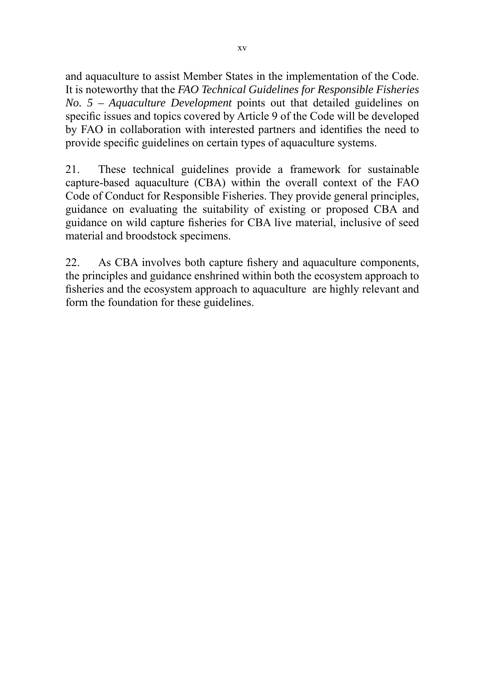and aquaculture to assist Member States in the implementation of the Code. It is noteworthy that the *FAO Technical Guidelines for Responsible Fisheries No. 5 – Aquaculture Development* points out that detailed guidelines on specific issues and topics covered by Article 9 of the Code will be developed by FAO in collaboration with interested partners and identifies the need to provide specific guidelines on certain types of aquaculture systems.

21. These technical guidelines provide a framework for sustainable capture-based aquaculture (CBA) within the overall context of the FAO Code of Conduct for Responsible Fisheries. They provide general principles, guidance on evaluating the suitability of existing or proposed CBA and guidance on wild capture fisheries for CBA live material, inclusive of seed material and broodstock specimens.

22. As CBA involves both capture fishery and aquaculture components, the principles and guidance enshrined within both the ecosystem approach to fisheries and the ecosystem approach to aquaculture are highly relevant and form the foundation for these guidelines.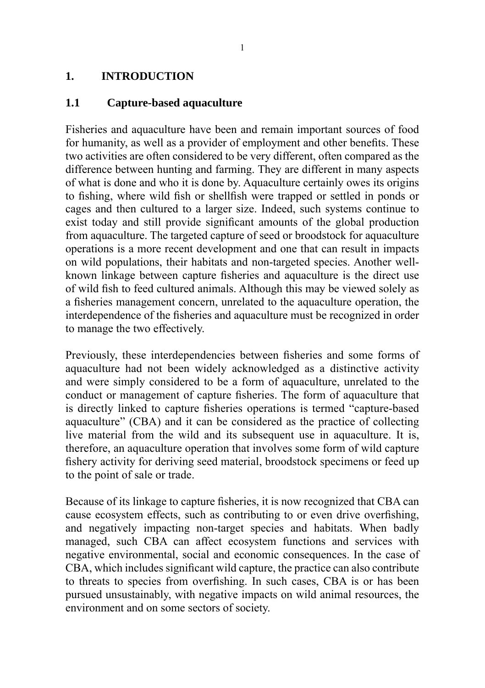#### **1. INTRODUCTION**

#### **1.1 Capture-based aquaculture**

Fisheries and aquaculture have been and remain important sources of food for humanity, as well as a provider of employment and other benefits. These two activities are often considered to be very different, often compared as the difference between hunting and farming. They are different in many aspects of what is done and who it is done by. Aquaculture certainly owes its origins to fishing, where wild fish or shellfish were trapped or settled in ponds or cages and then cultured to a larger size. Indeed, such systems continue to exist today and still provide significant amounts of the global production from aquaculture. The targeted capture of seed or broodstock for aquaculture operations is a more recent development and one that can result in impacts on wild populations, their habitats and non-targeted species. Another wellknown linkage between capture fisheries and aquaculture is the direct use of wild fish to feed cultured animals. Although this may be viewed solely as a fisheries management concern, unrelated to the aquaculture operation, the interdependence of the fisheries and aquaculture must be recognized in order to manage the two effectively.

Previously, these interdependencies between fisheries and some forms of aquaculture had not been widely acknowledged as a distinctive activity and were simply considered to be a form of aquaculture, unrelated to the conduct or management of capture fisheries. The form of aquaculture that is directly linked to capture fisheries operations is termed "capture-based aquaculture" (CBA) and it can be considered as the practice of collecting live material from the wild and its subsequent use in aquaculture. It is, therefore, an aquaculture operation that involves some form of wild capture fishery activity for deriving seed material, broodstock specimens or feed up to the point of sale or trade.

Because of its linkage to capture fisheries, it is now recognized that CBA can cause ecosystem effects, such as contributing to or even drive overfishing, and negatively impacting non-target species and habitats. When badly managed, such CBA can affect ecosystem functions and services with negative environmental, social and economic consequences. In the case of CBA, which includes significant wild capture, the practice can also contribute to threats to species from overfishing. In such cases, CBA is or has been pursued unsustainably, with negative impacts on wild animal resources, the environment and on some sectors of society.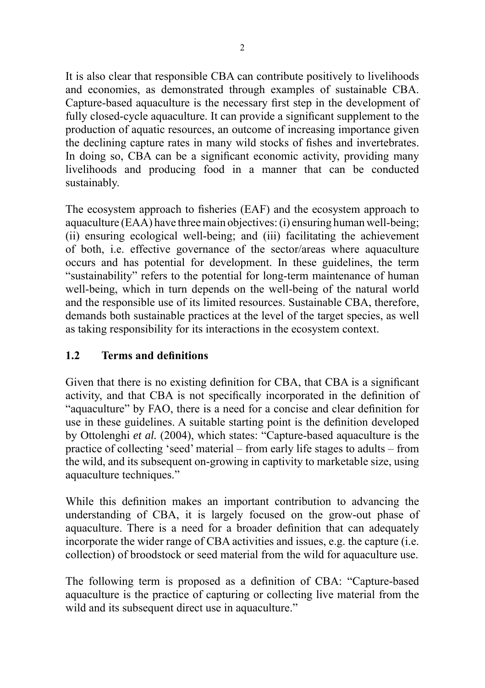It is also clear that responsible CBA can contribute positively to livelihoods and economies, as demonstrated through examples of sustainable CBA. Capture-based aquaculture is the necessary first step in the development of fully closed-cycle aquaculture. It can provide a significant supplement to the production of aquatic resources, an outcome of increasing importance given the declining capture rates in many wild stocks of fishes and invertebrates. In doing so, CBA can be a significant economic activity, providing many livelihoods and producing food in a manner that can be conducted sustainably.

The ecosystem approach to fisheries (EAF) and the ecosystem approach to aquaculture (EAA) have three main objectives: (i) ensuring human well-being; (ii) ensuring ecological well-being; and (iii) facilitating the achievement of both, i.e. effective governance of the sector/areas where aquaculture occurs and has potential for development. In these guidelines, the term "sustainability" refers to the potential for long-term maintenance of human well-being, which in turn depends on the well-being of the natural world and the responsible use of its limited resources. Sustainable CBA, therefore, demands both sustainable practices at the level of the target species, as well as taking responsibility for its interactions in the ecosystem context.

# **1.2 Terms and definitions**

Given that there is no existing definition for CBA, that CBA is a significant activity, and that CBA is not specifically incorporated in the definition of "aquaculture" by FAO, there is a need for a concise and clear definition for use in these guidelines. A suitable starting point is the definition developed by Ottolenghi *et al.* (2004), which states: "Capture-based aquaculture is the practice of collecting 'seed' material – from early life stages to adults – from the wild, and its subsequent on-growing in captivity to marketable size, using aquaculture techniques."

While this definition makes an important contribution to advancing the understanding of CBA, it is largely focused on the grow-out phase of aquaculture. There is a need for a broader definition that can adequately incorporate the wider range of CBA activities and issues, e.g. the capture (i.e. collection) of broodstock or seed material from the wild for aquaculture use.

The following term is proposed as a definition of CBA: "Capture-based aquaculture is the practice of capturing or collecting live material from the wild and its subsequent direct use in aquaculture."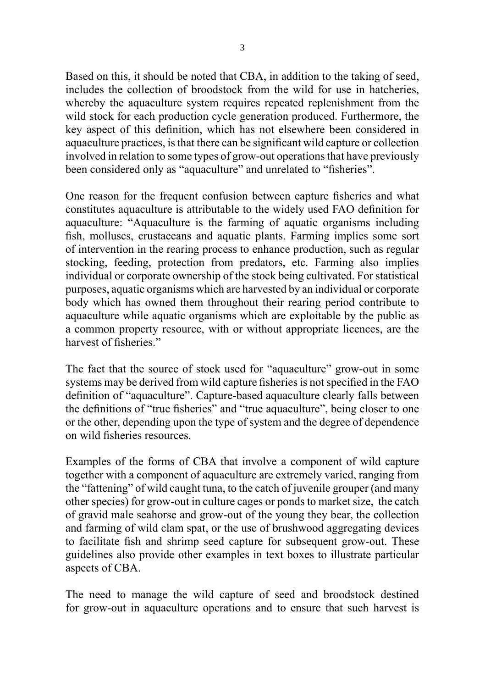Based on this, it should be noted that CBA, in addition to the taking of seed, includes the collection of broodstock from the wild for use in hatcheries, whereby the aquaculture system requires repeated replenishment from the wild stock for each production cycle generation produced. Furthermore, the key aspect of this definition, which has not elsewhere been considered in aquaculture practices, is that there can be significant wild capture or collection involved in relation to some types of grow-out operations that have previously been considered only as "aquaculture" and unrelated to "fisheries".

One reason for the frequent confusion between capture fisheries and what constitutes aquaculture is attributable to the widely used FAO definition for aquaculture: "Aquaculture is the farming of aquatic organisms including fish, molluscs, crustaceans and aquatic plants. Farming implies some sort of intervention in the rearing process to enhance production, such as regular stocking, feeding, protection from predators, etc. Farming also implies individual or corporate ownership of the stock being cultivated. For statistical purposes, aquatic organisms which are harvested by an individual or corporate body which has owned them throughout their rearing period contribute to aquaculture while aquatic organisms which are exploitable by the public as a common property resource, with or without appropriate licences, are the harvest of fisheries."

The fact that the source of stock used for "aquaculture" grow-out in some systems may be derived from wild capture fisheries is not specified in the FAO definition of "aquaculture". Capture-based aquaculture clearly falls between the definitions of "true fisheries" and "true aquaculture", being closer to one or the other, depending upon the type of system and the degree of dependence on wild fisheries resources.

Examples of the forms of CBA that involve a component of wild capture together with a component of aquaculture are extremely varied, ranging from the "fattening" of wild caught tuna, to the catch of juvenile grouper (and many other species) for grow-out in culture cages or ponds to market size, the catch of gravid male seahorse and grow-out of the young they bear, the collection and farming of wild clam spat, or the use of brushwood aggregating devices to facilitate fish and shrimp seed capture for subsequent grow-out. These guidelines also provide other examples in text boxes to illustrate particular aspects of CBA.

The need to manage the wild capture of seed and broodstock destined for grow-out in aquaculture operations and to ensure that such harvest is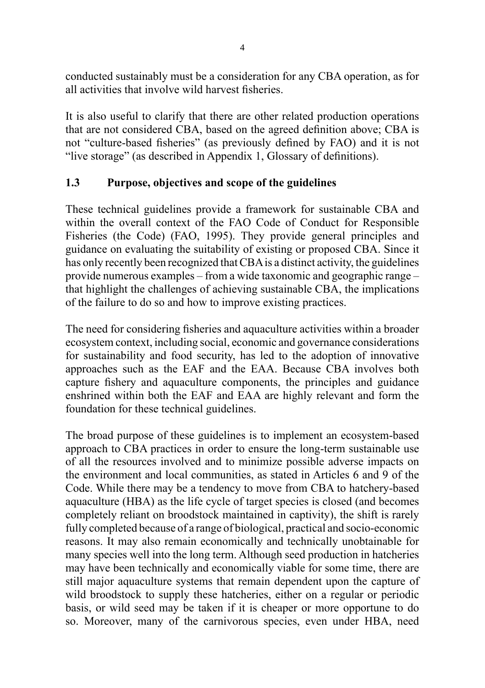conducted sustainably must be a consideration for any CBA operation, as for all activities that involve wild harvest fisheries.

It is also useful to clarify that there are other related production operations that are not considered CBA, based on the agreed definition above; CBA is not "culture-based fisheries" (as previously defined by FAO) and it is not "live storage" (as described in Appendix 1, Glossary of definitions).

#### **1.3 Purpose, objectives and scope of the guidelines**

These technical guidelines provide a framework for sustainable CBA and within the overall context of the FAO Code of Conduct for Responsible Fisheries (the Code) (FAO, 1995). They provide general principles and guidance on evaluating the suitability of existing or proposed CBA. Since it has only recently been recognized that CBA is a distinct activity, the guidelines provide numerous examples – from a wide taxonomic and geographic range – that highlight the challenges of achieving sustainable CBA, the implications of the failure to do so and how to improve existing practices.

The need for considering fisheries and aquaculture activities within a broader ecosystem context, including social, economic and governance considerations for sustainability and food security, has led to the adoption of innovative approaches such as the EAF and the EAA. Because CBA involves both capture fishery and aquaculture components, the principles and guidance enshrined within both the EAF and EAA are highly relevant and form the foundation for these technical guidelines.

The broad purpose of these guidelines is to implement an ecosystem-based approach to CBA practices in order to ensure the long-term sustainable use of all the resources involved and to minimize possible adverse impacts on the environment and local communities, as stated in Articles 6 and 9 of the Code. While there may be a tendency to move from CBA to hatchery-based aquaculture (HBA) as the life cycle of target species is closed (and becomes completely reliant on broodstock maintained in captivity), the shift is rarely fully completed because of a range of biological, practical and socio-economic reasons. It may also remain economically and technically unobtainable for many species well into the long term. Although seed production in hatcheries may have been technically and economically viable for some time, there are still major aquaculture systems that remain dependent upon the capture of wild broodstock to supply these hatcheries, either on a regular or periodic basis, or wild seed may be taken if it is cheaper or more opportune to do so. Moreover, many of the carnivorous species, even under HBA, need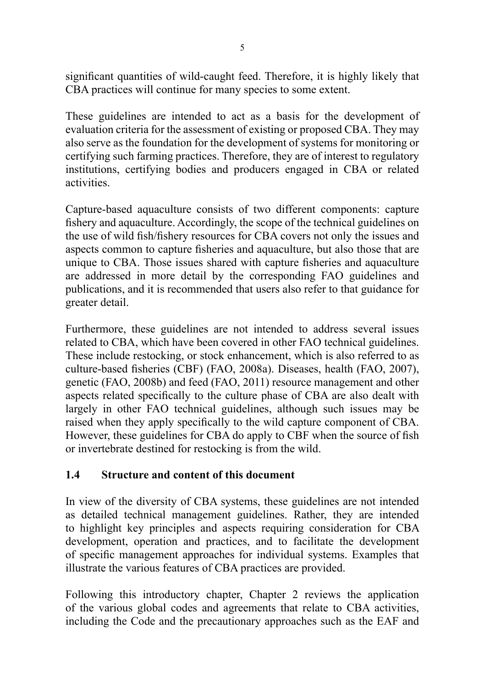significant quantities of wild-caught feed. Therefore, it is highly likely that CBA practices will continue for many species to some extent.

These guidelines are intended to act as a basis for the development of evaluation criteria for the assessment of existing or proposed CBA. They may also serve as the foundation for the development of systems for monitoring or certifying such farming practices. Therefore, they are of interest to regulatory institutions, certifying bodies and producers engaged in CBA or related activities.

Capture-based aquaculture consists of two different components: capture fishery and aquaculture. Accordingly, the scope of the technical guidelines on the use of wild fish/fishery resources for CBA covers not only the issues and aspects common to capture fisheries and aquaculture, but also those that are unique to CBA. Those issues shared with capture fisheries and aquaculture are addressed in more detail by the corresponding FAO guidelines and publications, and it is recommended that users also refer to that guidance for greater detail.

Furthermore, these guidelines are not intended to address several issues related to CBA, which have been covered in other FAO technical guidelines. These include restocking, or stock enhancement, which is also referred to as culture-based fisheries (CBF) (FAO, 2008a). Diseases, health (FAO, 2007), genetic (FAO, 2008b) and feed (FAO, 2011) resource management and other aspects related specifically to the culture phase of CBA are also dealt with largely in other FAO technical guidelines, although such issues may be raised when they apply specifically to the wild capture component of CBA. However, these guidelines for CBA do apply to CBF when the source of fish or invertebrate destined for restocking is from the wild.

# **1.4 Structure and content of this document**

In view of the diversity of CBA systems, these guidelines are not intended as detailed technical management guidelines. Rather, they are intended to highlight key principles and aspects requiring consideration for CBA development, operation and practices, and to facilitate the development of specific management approaches for individual systems. Examples that illustrate the various features of CBA practices are provided.

Following this introductory chapter, Chapter 2 reviews the application of the various global codes and agreements that relate to CBA activities, including the Code and the precautionary approaches such as the EAF and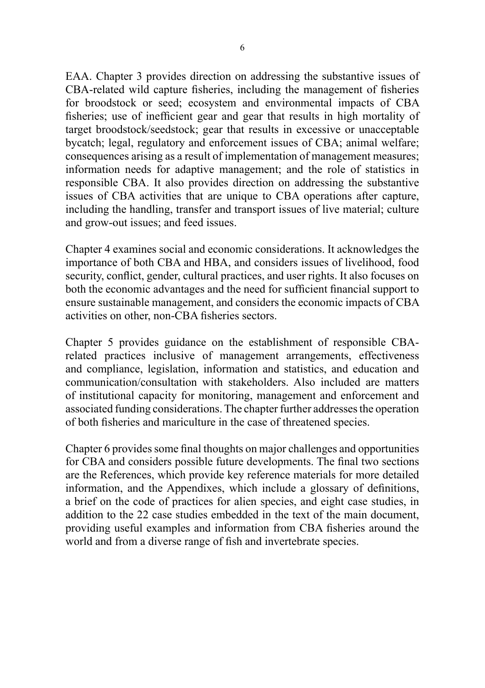EAA. Chapter 3 provides direction on addressing the substantive issues of CBA-related wild capture fisheries, including the management of fisheries for broodstock or seed; ecosystem and environmental impacts of CBA fisheries; use of inefficient gear and gear that results in high mortality of target broodstock/seedstock; gear that results in excessive or unacceptable bycatch; legal, regulatory and enforcement issues of CBA; animal welfare; consequences arising as a result of implementation of management measures; information needs for adaptive management; and the role of statistics in responsible CBA. It also provides direction on addressing the substantive issues of CBA activities that are unique to CBA operations after capture, including the handling, transfer and transport issues of live material; culture and grow-out issues; and feed issues.

Chapter 4 examines social and economic considerations. It acknowledges the importance of both CBA and HBA, and considers issues of livelihood, food security, conflict, gender, cultural practices, and user rights. It also focuses on both the economic advantages and the need for sufficient financial support to ensure sustainable management, and considers the economic impacts of CBA activities on other, non-CBA fisheries sectors.

Chapter 5 provides guidance on the establishment of responsible CBArelated practices inclusive of management arrangements, effectiveness and compliance, legislation, information and statistics, and education and communication/consultation with stakeholders. Also included are matters of institutional capacity for monitoring, management and enforcement and associated funding considerations. The chapter further addresses the operation of both fisheries and mariculture in the case of threatened species.

Chapter 6 provides some final thoughts on major challenges and opportunities for CBA and considers possible future developments. The final two sections are the References, which provide key reference materials for more detailed information, and the Appendixes, which include a glossary of definitions, a brief on the code of practices for alien species, and eight case studies, in addition to the 22 case studies embedded in the text of the main document, providing useful examples and information from CBA fisheries around the world and from a diverse range of fish and invertebrate species.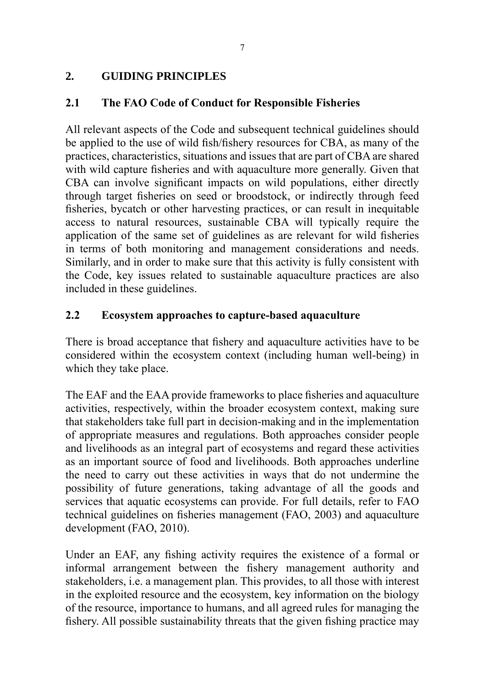# **2. GUIDING PRINCIPLES**

# **2.1 The FAO Code of Conduct for Responsible Fisheries**

All relevant aspects of the Code and subsequent technical guidelines should be applied to the use of wild fish/fishery resources for CBA, as many of the practices, characteristics, situations and issues that are part of CBA are shared with wild capture fisheries and with aquaculture more generally. Given that CBA can involve significant impacts on wild populations, either directly through target fisheries on seed or broodstock, or indirectly through feed fisheries, bycatch or other harvesting practices, or can result in inequitable access to natural resources, sustainable CBA will typically require the application of the same set of guidelines as are relevant for wild fisheries in terms of both monitoring and management considerations and needs. Similarly, and in order to make sure that this activity is fully consistent with the Code, key issues related to sustainable aquaculture practices are also included in these guidelines.

# **2.2 Ecosystem approaches to capture-based aquaculture**

There is broad acceptance that fishery and aquaculture activities have to be considered within the ecosystem context (including human well-being) in which they take place.

The EAF and the EAA provide frameworks to place fisheries and aquaculture activities, respectively, within the broader ecosystem context, making sure that stakeholders take full part in decision-making and in the implementation of appropriate measures and regulations. Both approaches consider people and livelihoods as an integral part of ecosystems and regard these activities as an important source of food and livelihoods. Both approaches underline the need to carry out these activities in ways that do not undermine the possibility of future generations, taking advantage of all the goods and services that aquatic ecosystems can provide. For full details, refer to FAO technical guidelines on fisheries management (FAO, 2003) and aquaculture development (FAO, 2010).

Under an EAF, any fishing activity requires the existence of a formal or informal arrangement between the fishery management authority and stakeholders, i.e. a management plan. This provides, to all those with interest in the exploited resource and the ecosystem, key information on the biology of the resource, importance to humans, and all agreed rules for managing the fishery. All possible sustainability threats that the given fishing practice may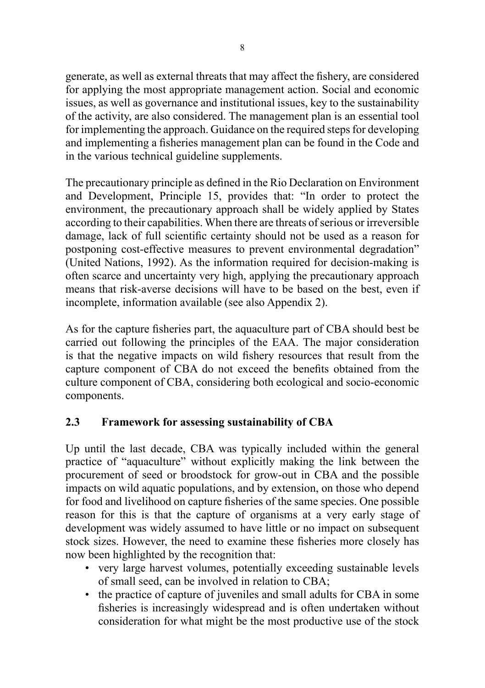generate, as well as external threats that may affect the fishery, are considered for applying the most appropriate management action. Social and economic issues, as well as governance and institutional issues, key to the sustainability of the activity, are also considered. The management plan is an essential tool for implementing the approach. Guidance on the required steps for developing and implementing a fisheries management plan can be found in the Code and in the various technical guideline supplements.

The precautionary principle as defined in the Rio Declaration on Environment and Development, Principle 15, provides that: "In order to protect the environment, the precautionary approach shall be widely applied by States according to their capabilities. When there are threats of serious or irreversible damage, lack of full scientific certainty should not be used as a reason for postponing cost-effective measures to prevent environmental degradation" (United Nations, 1992). As the information required for decision-making is often scarce and uncertainty very high, applying the precautionary approach means that risk-averse decisions will have to be based on the best, even if incomplete, information available (see also Appendix 2).

As for the capture fisheries part, the aquaculture part of CBA should best be carried out following the principles of the EAA. The major consideration is that the negative impacts on wild fishery resources that result from the capture component of CBA do not exceed the benefits obtained from the culture component of CBA, considering both ecological and socio-economic components.

# **2.3 Framework for assessing sustainability of CBA**

Up until the last decade, CBA was typically included within the general practice of "aquaculture" without explicitly making the link between the procurement of seed or broodstock for grow-out in CBA and the possible impacts on wild aquatic populations, and by extension, on those who depend for food and livelihood on capture fisheries of the same species. One possible reason for this is that the capture of organisms at a very early stage of development was widely assumed to have little or no impact on subsequent stock sizes. However, the need to examine these fisheries more closely has now been highlighted by the recognition that:

- very large harvest volumes, potentially exceeding sustainable levels of small seed, can be involved in relation to CBA;
- the practice of capture of juveniles and small adults for CBA in some fisheries is increasingly widespread and is often undertaken without consideration for what might be the most productive use of the stock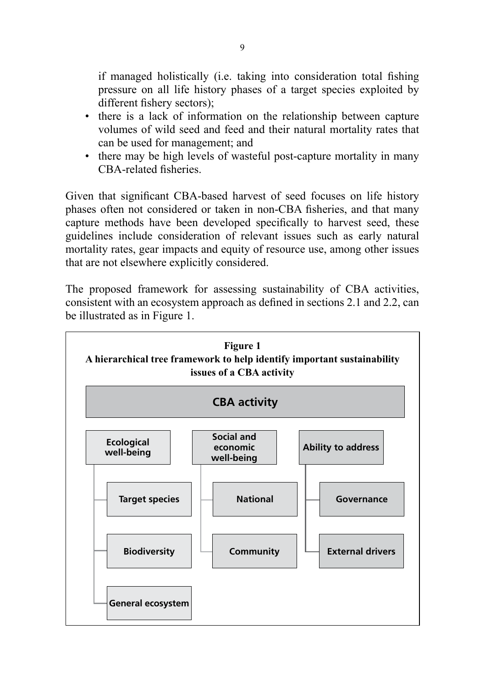if managed holistically (i.e. taking into consideration total fishing pressure on all life history phases of a target species exploited by different fishery sectors);

- there is a lack of information on the relationship between capture volumes of wild seed and feed and their natural mortality rates that can be used for management; and
- there may be high levels of wasteful post-capture mortality in many CBA-related fisheries.

Given that significant CBA-based harvest of seed focuses on life history phases often not considered or taken in non-CBA fisheries, and that many capture methods have been developed specifically to harvest seed, these guidelines include consideration of relevant issues such as early natural mortality rates, gear impacts and equity of resource use, among other issues that are not elsewhere explicitly considered.

The proposed framework for assessing sustainability of CBA activities, consistent with an ecosystem approach as defined in sections 2.1 and 2.2, can be illustrated as in Figure 1.

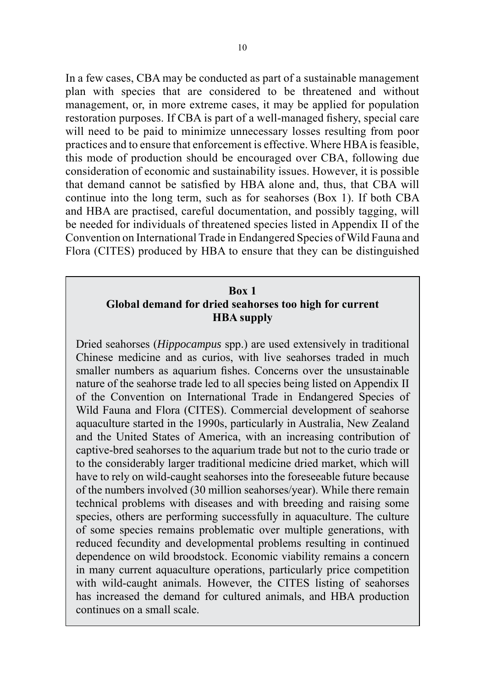In a few cases, CBA may be conducted as part of a sustainable management plan with species that are considered to be threatened and without management, or, in more extreme cases, it may be applied for population restoration purposes. If CBA is part of a well-managed fishery, special care will need to be paid to minimize unnecessary losses resulting from poor practices and to ensure that enforcement is effective. Where HBA is feasible, this mode of production should be encouraged over CBA, following due consideration of economic and sustainability issues. However, it is possible that demand cannot be satisfied by HBA alone and, thus, that CBA will continue into the long term, such as for seahorses (Box 1). If both CBA and HBA are practised, careful documentation, and possibly tagging, will be needed for individuals of threatened species listed in Appendix II of the Convention on International Trade in Endangered Species of Wild Fauna and Flora (CITES) produced by HBA to ensure that they can be distinguished

#### **Box 1 Global demand for dried seahorses too high for current HBA supply**

Dried seahorses (*Hippocampus* spp.) are used extensively in traditional Chinese medicine and as curios, with live seahorses traded in much smaller numbers as aquarium fishes. Concerns over the unsustainable nature of the seahorse trade led to all species being listed on Appendix II of the Convention on International Trade in Endangered Species of Wild Fauna and Flora (CITES). Commercial development of seahorse aquaculture started in the 1990s, particularly in Australia, New Zealand and the United States of America, with an increasing contribution of captive-bred seahorses to the aquarium trade but not to the curio trade or to the considerably larger traditional medicine dried market, which will have to rely on wild-caught seahorses into the foreseeable future because of the numbers involved (30 million seahorses/year). While there remain technical problems with diseases and with breeding and raising some species, others are performing successfully in aquaculture. The culture of some species remains problematic over multiple generations, with reduced fecundity and developmental problems resulting in continued dependence on wild broodstock. Economic viability remains a concern in many current aquaculture operations, particularly price competition with wild-caught animals. However, the CITES listing of seahorses has increased the demand for cultured animals, and HBA production continues on a small scale.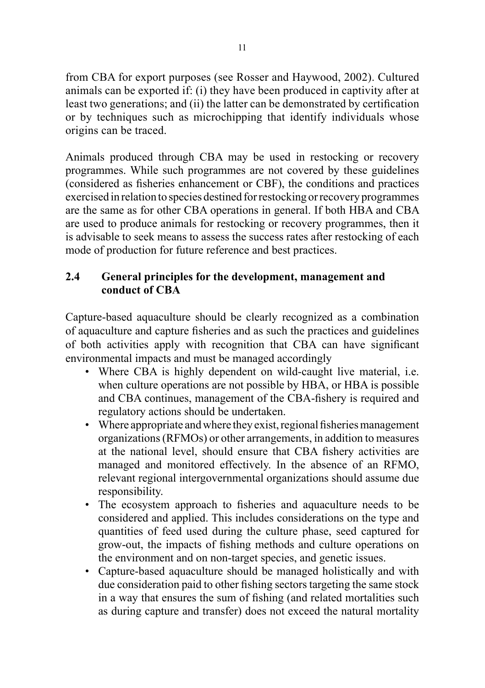from CBA for export purposes (see Rosser and Haywood, 2002). Cultured animals can be exported if: (i) they have been produced in captivity after at least two generations; and (ii) the latter can be demonstrated by certification or by techniques such as microchipping that identify individuals whose origins can be traced.

Animals produced through CBA may be used in restocking or recovery programmes. While such programmes are not covered by these guidelines (considered as fisheries enhancement or CBF), the conditions and practices exercised in relation to species destined for restocking or recovery programmes are the same as for other CBA operations in general. If both HBA and CBA are used to produce animals for restocking or recovery programmes, then it is advisable to seek means to assess the success rates after restocking of each mode of production for future reference and best practices.

# **2.4 General principles for the development, management and conduct of CBA**

Capture-based aquaculture should be clearly recognized as a combination of aquaculture and capture fisheries and as such the practices and guidelines of both activities apply with recognition that CBA can have significant environmental impacts and must be managed accordingly

- Where CBA is highly dependent on wild-caught live material, i.e. when culture operations are not possible by HBA, or HBA is possible and CBA continues, management of the CBA-fishery is required and regulatory actions should be undertaken.
- Where appropriate and where they exist, regional fisheries management organizations (RFMOs) or other arrangements, in addition to measures at the national level, should ensure that CBA fishery activities are managed and monitored effectively. In the absence of an RFMO, relevant regional intergovernmental organizations should assume due responsibility.
- The ecosystem approach to fisheries and aquaculture needs to be considered and applied. This includes considerations on the type and quantities of feed used during the culture phase, seed captured for grow-out, the impacts of fishing methods and culture operations on the environment and on non-target species, and genetic issues.
- Capture-based aquaculture should be managed holistically and with due consideration paid to other fishing sectors targeting the same stock in a way that ensures the sum of fishing (and related mortalities such as during capture and transfer) does not exceed the natural mortality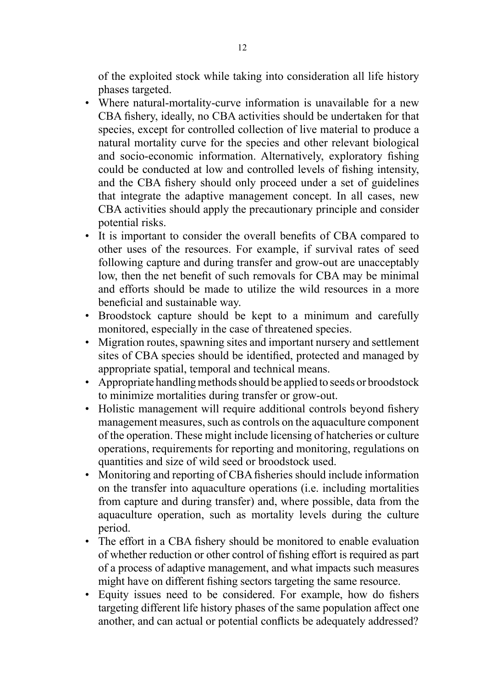of the exploited stock while taking into consideration all life history phases targeted.

- Where natural-mortality-curve information is unavailable for a new CBA fishery, ideally, no CBA activities should be undertaken for that species, except for controlled collection of live material to produce a natural mortality curve for the species and other relevant biological and socio-economic information. Alternatively, exploratory fishing could be conducted at low and controlled levels of fishing intensity, and the CBA fishery should only proceed under a set of guidelines that integrate the adaptive management concept. In all cases, new CBA activities should apply the precautionary principle and consider potential risks.
- It is important to consider the overall benefits of CBA compared to other uses of the resources. For example, if survival rates of seed following capture and during transfer and grow-out are unacceptably low, then the net benefit of such removals for CBA may be minimal and efforts should be made to utilize the wild resources in a more beneficial and sustainable way.
- Broodstock capture should be kept to a minimum and carefully monitored, especially in the case of threatened species.
- Migration routes, spawning sites and important nursery and settlement sites of CBA species should be identified, protected and managed by appropriate spatial, temporal and technical means.
- Appropriate handling methods should be applied to seeds or broodstock to minimize mortalities during transfer or grow-out.
- Holistic management will require additional controls beyond fishery management measures, such as controls on the aquaculture component of the operation. These might include licensing of hatcheries or culture operations, requirements for reporting and monitoring, regulations on quantities and size of wild seed or broodstock used.
- Monitoring and reporting of CBA fisheries should include information on the transfer into aquaculture operations (i.e. including mortalities from capture and during transfer) and, where possible, data from the aquaculture operation, such as mortality levels during the culture period.
- The effort in a CBA fishery should be monitored to enable evaluation of whether reduction or other control of fishing effort is required as part of a process of adaptive management, and what impacts such measures might have on different fishing sectors targeting the same resource.
- Equity issues need to be considered. For example, how do fishers targeting different life history phases of the same population affect one another, and can actual or potential conflicts be adequately addressed?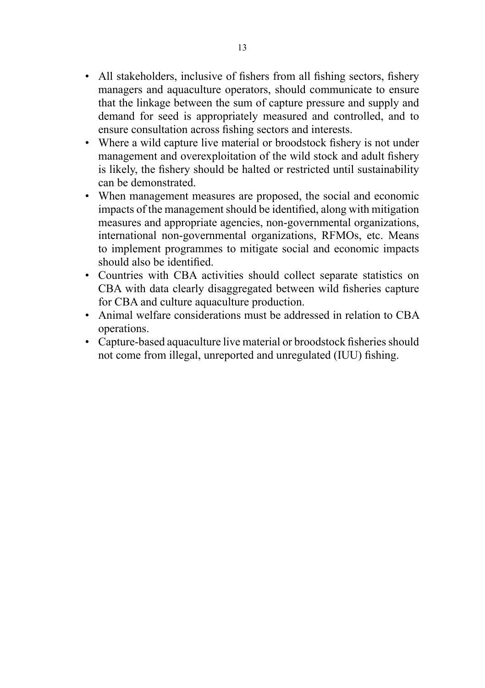- All stakeholders, inclusive of fishers from all fishing sectors, fishery managers and aquaculture operators, should communicate to ensure that the linkage between the sum of capture pressure and supply and demand for seed is appropriately measured and controlled, and to ensure consultation across fishing sectors and interests.
- Where a wild capture live material or broodstock fishery is not under management and overexploitation of the wild stock and adult fishery is likely, the fishery should be halted or restricted until sustainability can be demonstrated.
- When management measures are proposed, the social and economic impacts of the management should be identified, along with mitigation measures and appropriate agencies, non-governmental organizations, international non-governmental organizations, RFMOs, etc. Means to implement programmes to mitigate social and economic impacts should also be identified.
- Countries with CBA activities should collect separate statistics on CBA with data clearly disaggregated between wild fisheries capture for CBA and culture aquaculture production.
- Animal welfare considerations must be addressed in relation to CBA operations.
- Capture-based aquaculture live material or broodstock fisheries should not come from illegal, unreported and unregulated (IUU) fishing.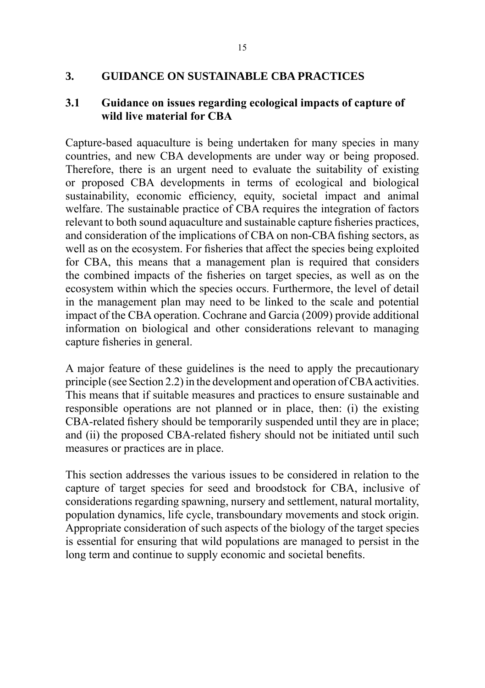#### **3. GUIDANCE ON SUSTAINABLE CBA PRACTICES**

#### **3.1 Guidance on issues regarding ecological impacts of capture of wild live material for CBA**

Capture-based aquaculture is being undertaken for many species in many countries, and new CBA developments are under way or being proposed. Therefore, there is an urgent need to evaluate the suitability of existing or proposed CBA developments in terms of ecological and biological sustainability, economic efficiency, equity, societal impact and animal welfare. The sustainable practice of CBA requires the integration of factors relevant to both sound aquaculture and sustainable capture fisheries practices, and consideration of the implications of CBA on non-CBA fishing sectors, as well as on the ecosystem. For fisheries that affect the species being exploited for CBA, this means that a management plan is required that considers the combined impacts of the fisheries on target species, as well as on the ecosystem within which the species occurs. Furthermore, the level of detail in the management plan may need to be linked to the scale and potential impact of the CBA operation. Cochrane and Garcia (2009) provide additional information on biological and other considerations relevant to managing capture fisheries in general.

A major feature of these guidelines is the need to apply the precautionary principle (see Section 2.2) in the development and operation of CBA activities. This means that if suitable measures and practices to ensure sustainable and responsible operations are not planned or in place, then: (i) the existing CBA-related fishery should be temporarily suspended until they are in place; and (ii) the proposed CBA-related fishery should not be initiated until such measures or practices are in place.

This section addresses the various issues to be considered in relation to the capture of target species for seed and broodstock for CBA, inclusive of considerations regarding spawning, nursery and settlement, natural mortality, population dynamics, life cycle, transboundary movements and stock origin. Appropriate consideration of such aspects of the biology of the target species is essential for ensuring that wild populations are managed to persist in the long term and continue to supply economic and societal benefits.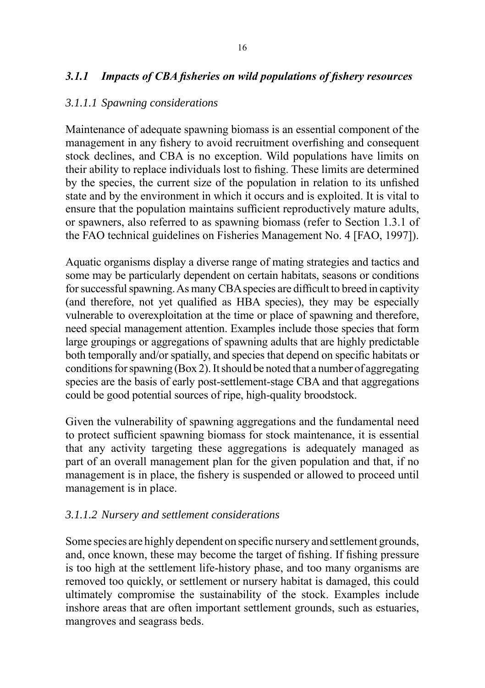# *3.1.1 Impacts of CBA fisheries on wild populations of fishery resources*

#### *3.1.1.1 Spawning considerations*

Maintenance of adequate spawning biomass is an essential component of the management in any fishery to avoid recruitment overfishing and consequent stock declines, and CBA is no exception. Wild populations have limits on their ability to replace individuals lost to fishing. These limits are determined by the species, the current size of the population in relation to its unfished state and by the environment in which it occurs and is exploited. It is vital to ensure that the population maintains sufficient reproductively mature adults, or spawners, also referred to as spawning biomass (refer to Section 1.3.1 of the FAO technical guidelines on Fisheries Management No. 4 [FAO, 1997]).

Aquatic organisms display a diverse range of mating strategies and tactics and some may be particularly dependent on certain habitats, seasons or conditions for successful spawning. As many CBA species are difficult to breed in captivity (and therefore, not yet qualified as HBA species), they may be especially vulnerable to overexploitation at the time or place of spawning and therefore, need special management attention. Examples include those species that form large groupings or aggregations of spawning adults that are highly predictable both temporally and/or spatially, and species that depend on specific habitats or conditions for spawning (Box 2). It should be noted that a number of aggregating species are the basis of early post-settlement-stage CBA and that aggregations could be good potential sources of ripe, high-quality broodstock.

Given the vulnerability of spawning aggregations and the fundamental need to protect sufficient spawning biomass for stock maintenance, it is essential that any activity targeting these aggregations is adequately managed as part of an overall management plan for the given population and that, if no management is in place, the fishery is suspended or allowed to proceed until management is in place.

#### *3.1.1.2 Nursery and settlement considerations*

Some species are highly dependent on specific nursery and settlement grounds, and, once known, these may become the target of fishing. If fishing pressure is too high at the settlement life-history phase, and too many organisms are removed too quickly, or settlement or nursery habitat is damaged, this could ultimately compromise the sustainability of the stock. Examples include inshore areas that are often important settlement grounds, such as estuaries, mangroves and seagrass beds.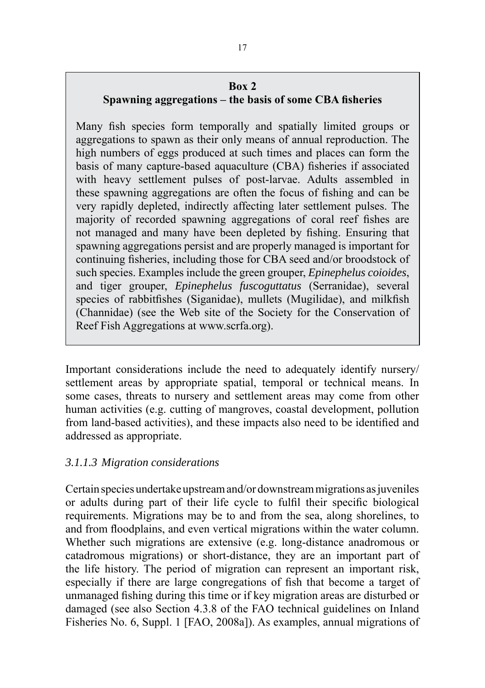#### **Box 2**

# **Spawning aggregations – the basis of some CBA fisheries**

Many fish species form temporally and spatially limited groups or aggregations to spawn as their only means of annual reproduction. The high numbers of eggs produced at such times and places can form the basis of many capture-based aquaculture (CBA) fisheries if associated with heavy settlement pulses of post-larvae. Adults assembled in these spawning aggregations are often the focus of fishing and can be very rapidly depleted, indirectly affecting later settlement pulses. The majority of recorded spawning aggregations of coral reef fishes are not managed and many have been depleted by fishing. Ensuring that spawning aggregations persist and are properly managed is important for continuing fisheries, including those for CBA seed and/or broodstock of such species. Examples include the green grouper, *Epinephelus coioides*, and tiger grouper, *Epinephelus fuscoguttatus* (Serranidae), several species of rabbitfishes (Siganidae), mullets (Mugilidae), and milkfish (Channidae) (see the Web site of the Society for the Conservation of Reef Fish Aggregations at www.scrfa.org).

Important considerations include the need to adequately identify nursery/ settlement areas by appropriate spatial, temporal or technical means. In some cases, threats to nursery and settlement areas may come from other human activities (e.g. cutting of mangroves, coastal development, pollution from land-based activities), and these impacts also need to be identified and addressed as appropriate.

# *3.1.1.3 Migration considerations*

Certain species undertake upstream and/or downstream migrations as juveniles or adults during part of their life cycle to fulfil their specific biological requirements. Migrations may be to and from the sea, along shorelines, to and from floodplains, and even vertical migrations within the water column. Whether such migrations are extensive (e.g. long-distance anadromous or catadromous migrations) or short-distance, they are an important part of the life history. The period of migration can represent an important risk, especially if there are large congregations of fish that become a target of unmanaged fishing during this time or if key migration areas are disturbed or damaged (see also Section 4.3.8 of the FAO technical guidelines on Inland Fisheries No. 6, Suppl. 1 [FAO, 2008a]). As examples, annual migrations of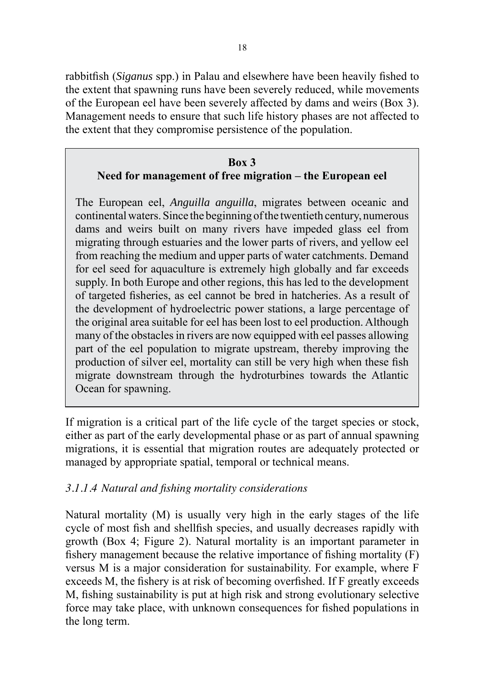rabbitfish (*Siganus* spp.) in Palau and elsewhere have been heavily fished to the extent that spawning runs have been severely reduced, while movements of the European eel have been severely affected by dams and weirs (Box 3). Management needs to ensure that such life history phases are not affected to the extent that they compromise persistence of the population.

#### **Box 3 Need for management of free migration – the European eel**

The European eel, *Anguilla anguilla*, migrates between oceanic and continental waters. Since the beginning of the twentieth century, numerous dams and weirs built on many rivers have impeded glass eel from migrating through estuaries and the lower parts of rivers, and yellow eel from reaching the medium and upper parts of water catchments. Demand for eel seed for aquaculture is extremely high globally and far exceeds supply. In both Europe and other regions, this has led to the development of targeted fisheries, as eel cannot be bred in hatcheries. As a result of the development of hydroelectric power stations, a large percentage of the original area suitable for eel has been lost to eel production. Although many of the obstacles in rivers are now equipped with eel passes allowing part of the eel population to migrate upstream, thereby improving the production of silver eel, mortality can still be very high when these fish migrate downstream through the hydroturbines towards the Atlantic Ocean for spawning.

If migration is a critical part of the life cycle of the target species or stock, either as part of the early developmental phase or as part of annual spawning migrations, it is essential that migration routes are adequately protected or managed by appropriate spatial, temporal or technical means.

# *3.1.1.4 Natural and fishing mortality considerations*

Natural mortality (M) is usually very high in the early stages of the life cycle of most fish and shellfish species, and usually decreases rapidly with growth (Box 4; Figure 2). Natural mortality is an important parameter in fishery management because the relative importance of fishing mortality (F) versus M is a major consideration for sustainability. For example, where F exceeds M, the fishery is at risk of becoming overfished. If F greatly exceeds M, fishing sustainability is put at high risk and strong evolutionary selective force may take place, with unknown consequences for fished populations in the long term.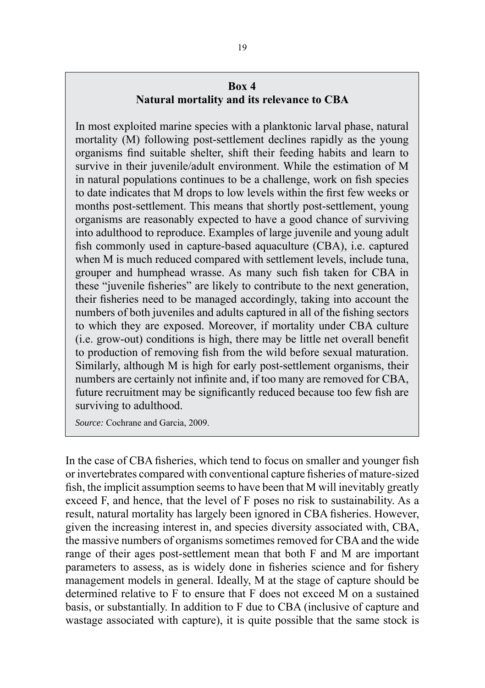## **Box 4 Natural mortality and its relevance to CBA**

In most exploited marine species with a planktonic larval phase, natural mortality (M) following post-settlement declines rapidly as the young organisms find suitable shelter, shift their feeding habits and learn to survive in their juvenile/adult environment. While the estimation of M in natural populations continues to be a challenge, work on fish species to date indicates that M drops to low levels within the first few weeks or months post-settlement. This means that shortly post-settlement, young organisms are reasonably expected to have a good chance of surviving into adulthood to reproduce. Examples of large juvenile and young adult fish commonly used in capture-based aquaculture (CBA), i.e. captured when M is much reduced compared with settlement levels, include tuna, grouper and humphead wrasse. As many such fish taken for CBA in these "juvenile fisheries" are likely to contribute to the next generation, their fisheries need to be managed accordingly, taking into account the numbers of both juveniles and adults captured in all of the fishing sectors to which they are exposed. Moreover, if mortality under CBA culture (i.e. grow-out) conditions is high, there may be little net overall benefit to production of removing fish from the wild before sexual maturation. Similarly, although M is high for early post-settlement organisms, their numbers are certainly not infinite and, if too many are removed for CBA, future recruitment may be significantly reduced because too few fish are surviving to adulthood.

*Source:* Cochrane and Garcia, 2009.

In the case of CBA fisheries, which tend to focus on smaller and younger fish or invertebrates compared with conventional capture fisheries of mature-sized fish, the implicit assumption seems to have been that M will inevitably greatly exceed F, and hence, that the level of F poses no risk to sustainability. As a result, natural mortality has largely been ignored in CBA fisheries. However, given the increasing interest in, and species diversity associated with, CBA, the massive numbers of organisms sometimes removed for CBA and the wide range of their ages post-settlement mean that both F and M are important parameters to assess, as is widely done in fisheries science and for fishery management models in general. Ideally, M at the stage of capture should be determined relative to F to ensure that F does not exceed M on a sustained basis, or substantially. In addition to F due to CBA (inclusive of capture and wastage associated with capture), it is quite possible that the same stock is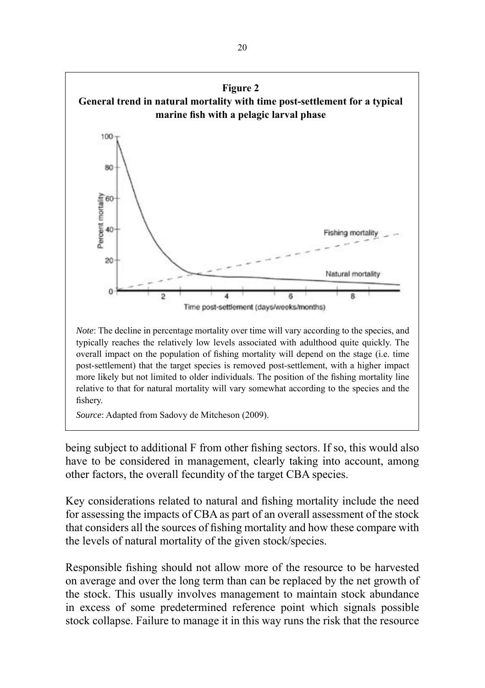

being subject to additional F from other fishing sectors. If so, this would also have to be considered in management, clearly taking into account, among other factors, the overall fecundity of the target CBA species.

Key considerations related to natural and fishing mortality include the need for assessing the impacts of CBA as part of an overall assessment of the stock that considers all the sources of fishing mortality and how these compare with the levels of natural mortality of the given stock/species.

Responsible fishing should not allow more of the resource to be harvested on average and over the long term than can be replaced by the net growth of the stock. This usually involves management to maintain stock abundance in excess of some predetermined reference point which signals possible stock collapse. Failure to manage it in this way runs the risk that the resource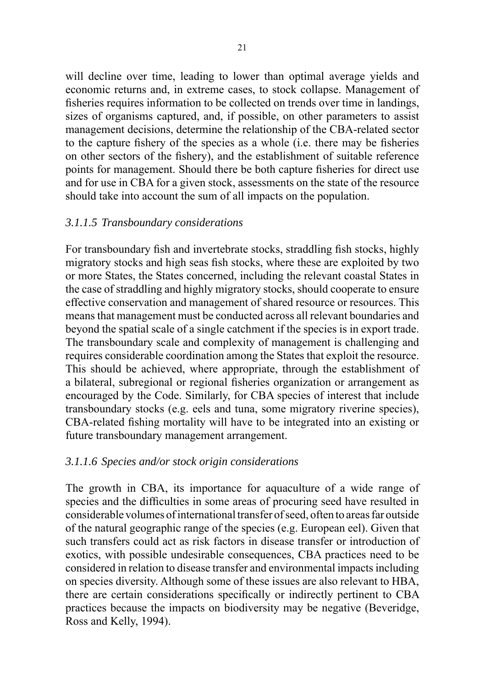will decline over time, leading to lower than optimal average vields and economic returns and, in extreme cases, to stock collapse. Management of fisheries requires information to be collected on trends over time in landings, sizes of organisms captured, and, if possible, on other parameters to assist management decisions, determine the relationship of the CBA-related sector to the capture fishery of the species as a whole (i.e. there may be fisheries on other sectors of the fishery), and the establishment of suitable reference points for management. Should there be both capture fisheries for direct use and for use in CBA for a given stock, assessments on the state of the resource should take into account the sum of all impacts on the population.

#### *3.1.1.5 Transboundary considerations*

For transboundary fish and invertebrate stocks, straddling fish stocks, highly migratory stocks and high seas fish stocks, where these are exploited by two or more States, the States concerned, including the relevant coastal States in the case of straddling and highly migratory stocks, should cooperate to ensure effective conservation and management of shared resource or resources. This means that management must be conducted across all relevant boundaries and beyond the spatial scale of a single catchment if the species is in export trade. The transboundary scale and complexity of management is challenging and requires considerable coordination among the States that exploit the resource. This should be achieved, where appropriate, through the establishment of a bilateral, subregional or regional fisheries organization or arrangement as encouraged by the Code. Similarly, for CBA species of interest that include transboundary stocks (e.g. eels and tuna, some migratory riverine species), CBA-related fishing mortality will have to be integrated into an existing or future transboundary management arrangement.

#### *3.1.1.6 Species and/or stock origin considerations*

The growth in CBA, its importance for aquaculture of a wide range of species and the difficulties in some areas of procuring seed have resulted in considerable volumes of international transfer of seed, often to areas far outside of the natural geographic range of the species (e.g. European eel). Given that such transfers could act as risk factors in disease transfer or introduction of exotics, with possible undesirable consequences, CBA practices need to be considered in relation to disease transfer and environmental impacts including on species diversity. Although some of these issues are also relevant to HBA, there are certain considerations specifically or indirectly pertinent to CBA practices because the impacts on biodiversity may be negative (Beveridge, Ross and Kelly, 1994).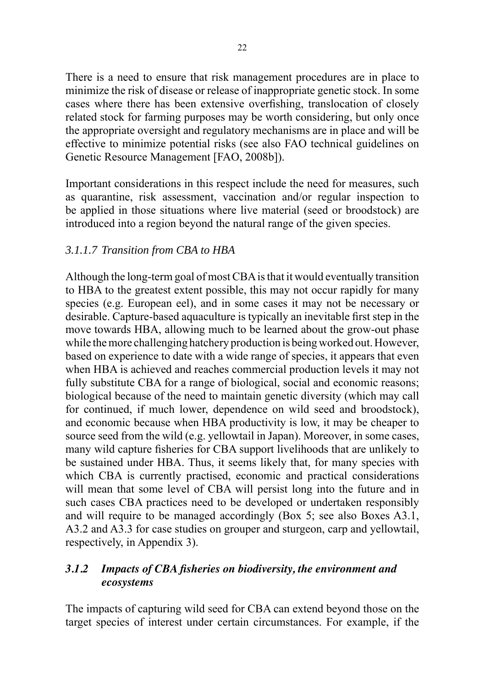There is a need to ensure that risk management procedures are in place to minimize the risk of disease or release of inappropriate genetic stock. In some cases where there has been extensive overfishing, translocation of closely related stock for farming purposes may be worth considering, but only once the appropriate oversight and regulatory mechanisms are in place and will be effective to minimize potential risks (see also FAO technical guidelines on Genetic Resource Management [FAO, 2008b]).

Important considerations in this respect include the need for measures, such as quarantine, risk assessment, vaccination and/or regular inspection to be applied in those situations where live material (seed or broodstock) are introduced into a region beyond the natural range of the given species.

### *3.1.1.7 Transition from CBA to HBA*

Although the long-term goal of most CBA is that it would eventually transition to HBA to the greatest extent possible, this may not occur rapidly for many species (e.g. European eel), and in some cases it may not be necessary or desirable. Capture-based aquaculture is typically an inevitable first step in the move towards HBA, allowing much to be learned about the grow-out phase while the more challenging hatchery production is being worked out. However, based on experience to date with a wide range of species, it appears that even when HBA is achieved and reaches commercial production levels it may not fully substitute CBA for a range of biological, social and economic reasons; biological because of the need to maintain genetic diversity (which may call for continued, if much lower, dependence on wild seed and broodstock), and economic because when HBA productivity is low, it may be cheaper to source seed from the wild (e.g. yellowtail in Japan). Moreover, in some cases, many wild capture fisheries for CBA support livelihoods that are unlikely to be sustained under HBA. Thus, it seems likely that, for many species with which CBA is currently practised, economic and practical considerations will mean that some level of CBA will persist long into the future and in such cases CBA practices need to be developed or undertaken responsibly and will require to be managed accordingly (Box 5; see also Boxes A3.1, A3.2 and A3.3 for case studies on grouper and sturgeon, carp and yellowtail, respectively, in Appendix 3).

### *3.1.2 Impacts of CBA fisheries on biodiversity, the environment and ecosystems*

The impacts of capturing wild seed for CBA can extend beyond those on the target species of interest under certain circumstances. For example, if the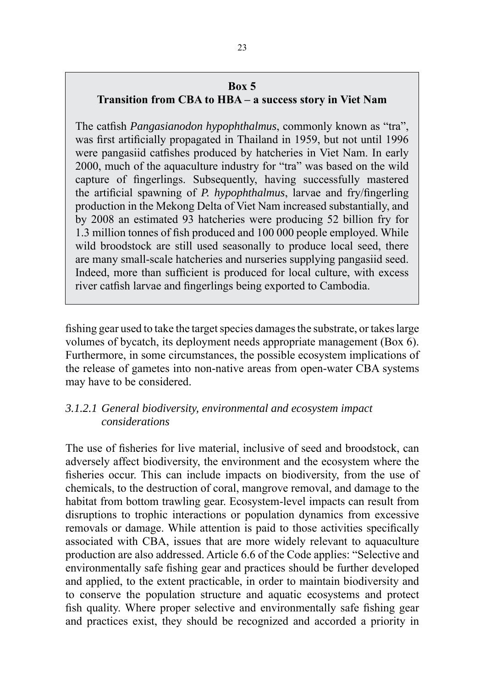#### **Box 5**

### **Transition from CBA to HBA – a success story in Viet Nam**

The catfish *Pangasianodon hypophthalmus*, commonly known as "tra", was first artificially propagated in Thailand in 1959, but not until 1996 were pangasiid catfishes produced by hatcheries in Viet Nam. In early 2000, much of the aquaculture industry for "tra" was based on the wild capture of fingerlings. Subsequently, having successfully mastered the artificial spawning of *P. hypophthalmus*, larvae and fry/fingerling production in the Mekong Delta of Viet Nam increased substantially, and by 2008 an estimated 93 hatcheries were producing 52 billion fry for 1.3 million tonnes of fish produced and 100 000 people employed. While wild broodstock are still used seasonally to produce local seed, there are many small-scale hatcheries and nurseries supplying pangasiid seed. Indeed, more than sufficient is produced for local culture, with excess river catfish larvae and fingerlings being exported to Cambodia.

fishing gear used to take the target species damages the substrate, or takes large volumes of bycatch, its deployment needs appropriate management (Box 6). Furthermore, in some circumstances, the possible ecosystem implications of the release of gametes into non-native areas from open-water CBA systems may have to be considered.

### *3.1.2.1 General biodiversity, environmental and ecosystem impact considerations*

The use of fisheries for live material, inclusive of seed and broodstock, can adversely affect biodiversity, the environment and the ecosystem where the fisheries occur. This can include impacts on biodiversity, from the use of chemicals, to the destruction of coral, mangrove removal, and damage to the habitat from bottom trawling gear. Ecosystem-level impacts can result from disruptions to trophic interactions or population dynamics from excessive removals or damage. While attention is paid to those activities specifically associated with CBA, issues that are more widely relevant to aquaculture production are also addressed. Article 6.6 of the Code applies: "Selective and environmentally safe fishing gear and practices should be further developed and applied, to the extent practicable, in order to maintain biodiversity and to conserve the population structure and aquatic ecosystems and protect fish quality. Where proper selective and environmentally safe fishing gear and practices exist, they should be recognized and accorded a priority in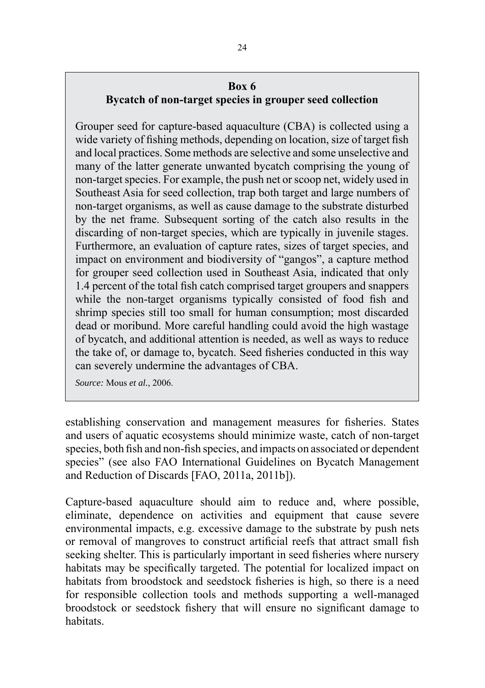## **Box 6**

**Bycatch of non-target species in grouper seed collection**

Grouper seed for capture-based aquaculture (CBA) is collected using a wide variety of fishing methods, depending on location, size of target fish and local practices. Some methods are selective and some unselective and many of the latter generate unwanted bycatch comprising the young of non-target species. For example, the push net or scoop net, widely used in Southeast Asia for seed collection, trap both target and large numbers of non-target organisms, as well as cause damage to the substrate disturbed by the net frame. Subsequent sorting of the catch also results in the discarding of non-target species, which are typically in juvenile stages. Furthermore, an evaluation of capture rates, sizes of target species, and impact on environment and biodiversity of "gangos", a capture method for grouper seed collection used in Southeast Asia, indicated that only 1.4 percent of the total fish catch comprised target groupers and snappers while the non-target organisms typically consisted of food fish and shrimp species still too small for human consumption; most discarded dead or moribund. More careful handling could avoid the high wastage of bycatch, and additional attention is needed, as well as ways to reduce the take of, or damage to, bycatch. Seed fisheries conducted in this way can severely undermine the advantages of CBA.

*Source:* Mous *et al.*, 2006.

establishing conservation and management measures for fisheries. States and users of aquatic ecosystems should minimize waste, catch of non-target species, both fish and non-fish species, and impacts on associated or dependent species" (see also FAO International Guidelines on Bycatch Management and Reduction of Discards [FAO, 2011a, 2011b]).

Capture-based aquaculture should aim to reduce and, where possible, eliminate, dependence on activities and equipment that cause severe environmental impacts, e.g. excessive damage to the substrate by push nets or removal of mangroves to construct artificial reefs that attract small fish seeking shelter. This is particularly important in seed fisheries where nursery habitats may be specifically targeted. The potential for localized impact on habitats from broodstock and seedstock fisheries is high, so there is a need for responsible collection tools and methods supporting a well-managed broodstock or seedstock fishery that will ensure no significant damage to habitats.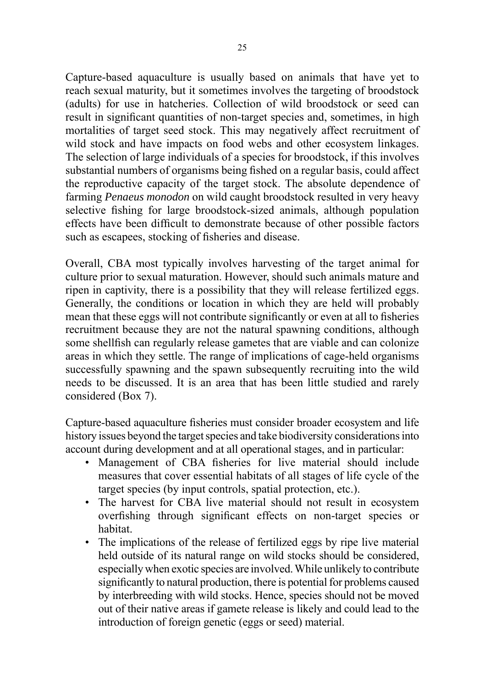Capture-based aquaculture is usually based on animals that have yet to reach sexual maturity, but it sometimes involves the targeting of broodstock (adults) for use in hatcheries. Collection of wild broodstock or seed can result in significant quantities of non-target species and, sometimes, in high mortalities of target seed stock. This may negatively affect recruitment of wild stock and have impacts on food webs and other ecosystem linkages. The selection of large individuals of a species for broodstock, if this involves substantial numbers of organisms being fished on a regular basis, could affect the reproductive capacity of the target stock. The absolute dependence of farming *Penaeus monodon* on wild caught broodstock resulted in very heavy selective fishing for large broodstock-sized animals, although population effects have been difficult to demonstrate because of other possible factors such as escapees, stocking of fisheries and disease.

Overall, CBA most typically involves harvesting of the target animal for culture prior to sexual maturation. However, should such animals mature and ripen in captivity, there is a possibility that they will release fertilized eggs. Generally, the conditions or location in which they are held will probably mean that these eggs will not contribute significantly or even at all to fisheries recruitment because they are not the natural spawning conditions, although some shellfish can regularly release gametes that are viable and can colonize areas in which they settle. The range of implications of cage-held organisms successfully spawning and the spawn subsequently recruiting into the wild needs to be discussed. It is an area that has been little studied and rarely considered (Box 7).

Capture-based aquaculture fisheries must consider broader ecosystem and life history issues beyond the target species and take biodiversity considerations into account during development and at all operational stages, and in particular:

- Management of CBA fisheries for live material should include measures that cover essential habitats of all stages of life cycle of the target species (by input controls, spatial protection, etc.).
- The harvest for CBA live material should not result in ecosystem overfishing through significant effects on non-target species or habitat.
- The implications of the release of fertilized eggs by ripe live material held outside of its natural range on wild stocks should be considered, especially when exotic species are involved. While unlikely to contribute significantly to natural production, there is potential for problems caused by interbreeding with wild stocks. Hence, species should not be moved out of their native areas if gamete release is likely and could lead to the introduction of foreign genetic (eggs or seed) material.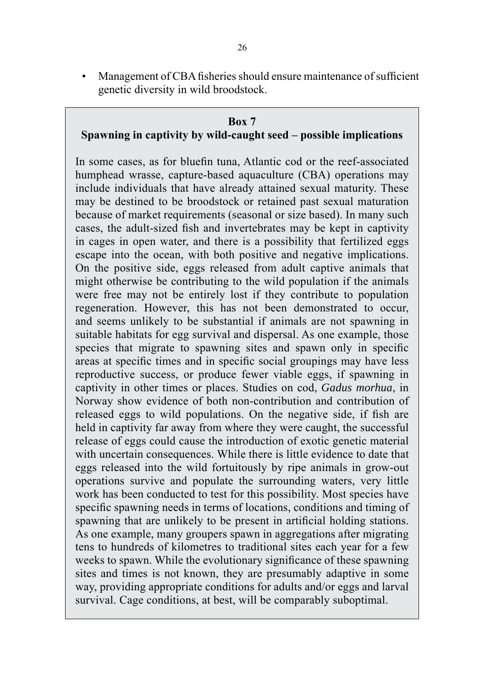• Management of CBA fisheries should ensure maintenance of sufficient genetic diversity in wild broodstock.

#### **Box 7**

#### **Spawning in captivity by wild-caught seed – possible implications**

In some cases, as for bluefin tuna, Atlantic cod or the reef-associated humphead wrasse, capture-based aquaculture (CBA) operations may include individuals that have already attained sexual maturity. These may be destined to be broodstock or retained past sexual maturation because of market requirements (seasonal or size based). In many such cases, the adult-sized fish and invertebrates may be kept in captivity in cages in open water, and there is a possibility that fertilized eggs escape into the ocean, with both positive and negative implications. On the positive side, eggs released from adult captive animals that might otherwise be contributing to the wild population if the animals were free may not be entirely lost if they contribute to population regeneration. However, this has not been demonstrated to occur, and seems unlikely to be substantial if animals are not spawning in suitable habitats for egg survival and dispersal. As one example, those species that migrate to spawning sites and spawn only in specific areas at specific times and in specific social groupings may have less reproductive success, or produce fewer viable eggs, if spawning in captivity in other times or places. Studies on cod, *Gadus morhua*, in Norway show evidence of both non-contribution and contribution of released eggs to wild populations. On the negative side, if fish are held in captivity far away from where they were caught, the successful release of eggs could cause the introduction of exotic genetic material with uncertain consequences. While there is little evidence to date that eggs released into the wild fortuitously by ripe animals in grow-out operations survive and populate the surrounding waters, very little work has been conducted to test for this possibility. Most species have specific spawning needs in terms of locations, conditions and timing of spawning that are unlikely to be present in artificial holding stations. As one example, many groupers spawn in aggregations after migrating tens to hundreds of kilometres to traditional sites each year for a few weeks to spawn. While the evolutionary significance of these spawning sites and times is not known, they are presumably adaptive in some way, providing appropriate conditions for adults and/or eggs and larval survival. Cage conditions, at best, will be comparably suboptimal.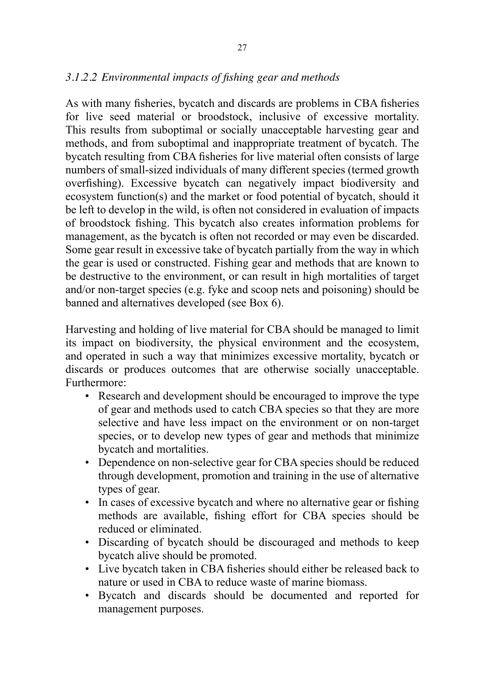## *3.1.2.2 Environmental impacts of fishing gear and methods*

As with many fisheries, bycatch and discards are problems in CBA fisheries for live seed material or broodstock, inclusive of excessive mortality. This results from suboptimal or socially unacceptable harvesting gear and methods, and from suboptimal and inappropriate treatment of bycatch. The bycatch resulting from CBA fisheries for live material often consists of large numbers of small-sized individuals of many different species (termed growth overfishing). Excessive bycatch can negatively impact biodiversity and ecosystem function(s) and the market or food potential of bycatch, should it be left to develop in the wild, is often not considered in evaluation of impacts of broodstock fishing. This bycatch also creates information problems for management, as the bycatch is often not recorded or may even be discarded. Some gear result in excessive take of bycatch partially from the way in which the gear is used or constructed. Fishing gear and methods that are known to be destructive to the environment, or can result in high mortalities of target and/or non-target species (e.g. fyke and scoop nets and poisoning) should be banned and alternatives developed (see Box 6).

Harvesting and holding of live material for CBA should be managed to limit its impact on biodiversity, the physical environment and the ecosystem, and operated in such a way that minimizes excessive mortality, bycatch or discards or produces outcomes that are otherwise socially unacceptable. Furthermore:

- Research and development should be encouraged to improve the type of gear and methods used to catch CBA species so that they are more selective and have less impact on the environment or on non-target species, or to develop new types of gear and methods that minimize bycatch and mortalities.
- Dependence on non-selective gear for CBA species should be reduced through development, promotion and training in the use of alternative types of gear.
- In cases of excessive bycatch and where no alternative gear or fishing methods are available, fishing effort for CBA species should be reduced or eliminated.
- Discarding of bycatch should be discouraged and methods to keep bycatch alive should be promoted.
- Live bycatch taken in CBA fisheries should either be released back to nature or used in CBA to reduce waste of marine biomass.
- Bycatch and discards should be documented and reported for management purposes.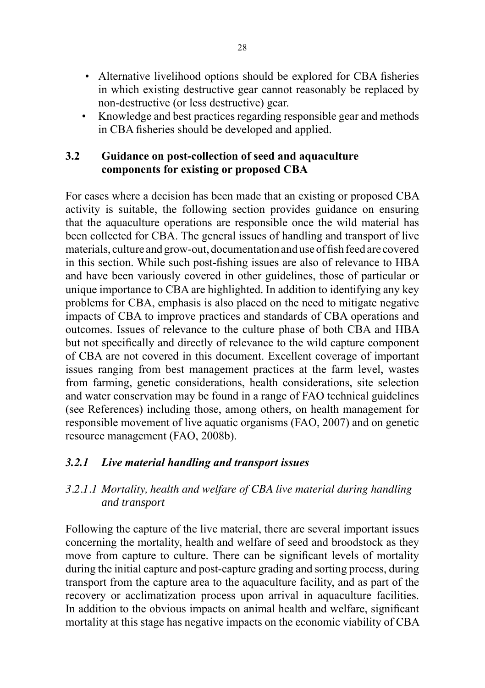- Alternative livelihood options should be explored for CBA fisheries in which existing destructive gear cannot reasonably be replaced by non-destructive (or less destructive) gear.
- Knowledge and best practices regarding responsible gear and methods in CBA fisheries should be developed and applied.

### **3.2 Guidance on post-collection of seed and aquaculture components for existing or proposed CBA**

For cases where a decision has been made that an existing or proposed CBA activity is suitable, the following section provides guidance on ensuring that the aquaculture operations are responsible once the wild material has been collected for CBA. The general issues of handling and transport of live materials, culture and grow-out, documentation and use of fish feed are covered in this section. While such post-fishing issues are also of relevance to HBA and have been variously covered in other guidelines, those of particular or unique importance to CBA are highlighted. In addition to identifying any key problems for CBA, emphasis is also placed on the need to mitigate negative impacts of CBA to improve practices and standards of CBA operations and outcomes. Issues of relevance to the culture phase of both CBA and HBA but not specifically and directly of relevance to the wild capture component of CBA are not covered in this document. Excellent coverage of important issues ranging from best management practices at the farm level, wastes from farming, genetic considerations, health considerations, site selection and water conservation may be found in a range of FAO technical guidelines (see References) including those, among others, on health management for responsible movement of live aquatic organisms (FAO, 2007) and on genetic resource management (FAO, 2008b).

## *3.2.1 Live material handling and transport issues*

## *3.2.1.1 Mortality, health and welfare of CBA live material during handling and transport*

Following the capture of the live material, there are several important issues concerning the mortality, health and welfare of seed and broodstock as they move from capture to culture. There can be significant levels of mortality during the initial capture and post-capture grading and sorting process, during transport from the capture area to the aquaculture facility, and as part of the recovery or acclimatization process upon arrival in aquaculture facilities. In addition to the obvious impacts on animal health and welfare, significant mortality at this stage has negative impacts on the economic viability of CBA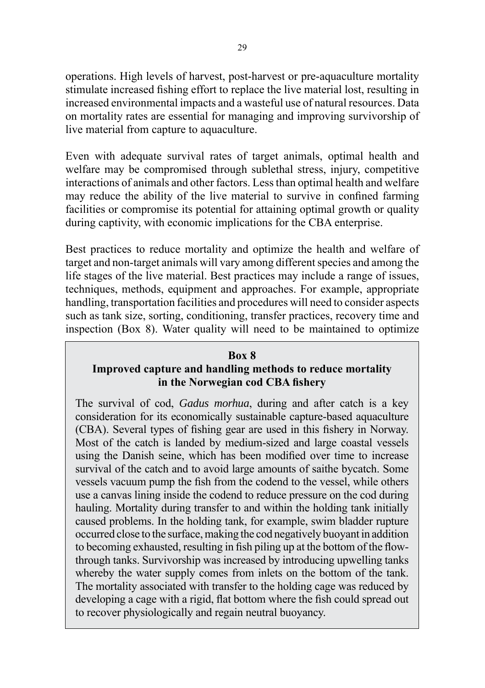operations. High levels of harvest, post-harvest or pre-aquaculture mortality stimulate increased fishing effort to replace the live material lost, resulting in increased environmental impacts and a wasteful use of natural resources. Data on mortality rates are essential for managing and improving survivorship of live material from capture to aquaculture.

Even with adequate survival rates of target animals, optimal health and welfare may be compromised through sublethal stress, injury, competitive interactions of animals and other factors. Less than optimal health and welfare may reduce the ability of the live material to survive in confined farming facilities or compromise its potential for attaining optimal growth or quality during captivity, with economic implications for the CBA enterprise.

Best practices to reduce mortality and optimize the health and welfare of target and non-target animals will vary among different species and among the life stages of the live material. Best practices may include a range of issues, techniques, methods, equipment and approaches. For example, appropriate handling, transportation facilities and procedures will need to consider aspects such as tank size, sorting, conditioning, transfer practices, recovery time and inspection (Box 8). Water quality will need to be maintained to optimize

#### **Box 8**

# **Improved capture and handling methods to reduce mortality in the Norwegian cod CBA fishery**

The survival of cod, *Gadus morhua*, during and after catch is a key consideration for its economically sustainable capture-based aquaculture (CBA). Several types of fishing gear are used in this fishery in Norway. Most of the catch is landed by medium-sized and large coastal vessels using the Danish seine, which has been modified over time to increase survival of the catch and to avoid large amounts of saithe bycatch. Some vessels vacuum pump the fish from the codend to the vessel, while others use a canvas lining inside the codend to reduce pressure on the cod during hauling. Mortality during transfer to and within the holding tank initially caused problems. In the holding tank, for example, swim bladder rupture occurred close to the surface, making the cod negatively buoyant in addition to becoming exhausted, resulting in fish piling up at the bottom of the flowthrough tanks. Survivorship was increased by introducing upwelling tanks whereby the water supply comes from inlets on the bottom of the tank. The mortality associated with transfer to the holding cage was reduced by developing a cage with a rigid, flat bottom where the fish could spread out to recover physiologically and regain neutral buoyancy.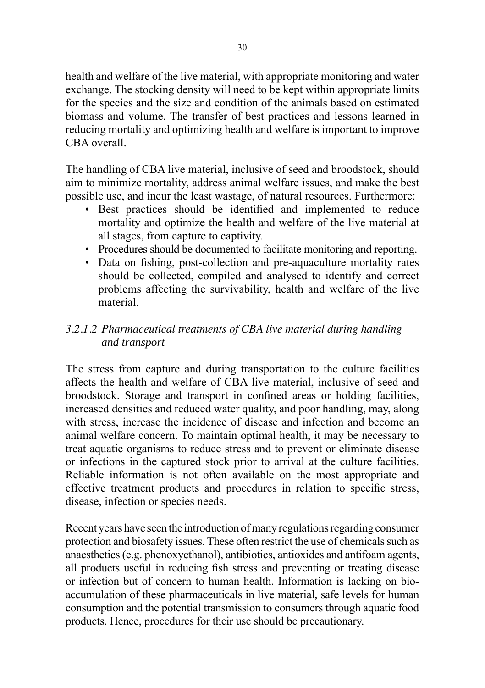health and welfare of the live material, with appropriate monitoring and water exchange. The stocking density will need to be kept within appropriate limits for the species and the size and condition of the animals based on estimated biomass and volume. The transfer of best practices and lessons learned in reducing mortality and optimizing health and welfare is important to improve CBA overall.

The handling of CBA live material, inclusive of seed and broodstock, should aim to minimize mortality, address animal welfare issues, and make the best possible use, and incur the least wastage, of natural resources. Furthermore:

- Best practices should be identified and implemented to reduce mortality and optimize the health and welfare of the live material at all stages, from capture to captivity.
- Procedures should be documented to facilitate monitoring and reporting.
- Data on fishing, post-collection and pre-aquaculture mortality rates should be collected, compiled and analysed to identify and correct problems affecting the survivability, health and welfare of the live material.

## *3.2.1.2 Pharmaceutical treatments of CBA live material during handling and transport*

The stress from capture and during transportation to the culture facilities affects the health and welfare of CBA live material, inclusive of seed and broodstock. Storage and transport in confined areas or holding facilities, increased densities and reduced water quality, and poor handling, may, along with stress, increase the incidence of disease and infection and become an animal welfare concern. To maintain optimal health, it may be necessary to treat aquatic organisms to reduce stress and to prevent or eliminate disease or infections in the captured stock prior to arrival at the culture facilities. Reliable information is not often available on the most appropriate and effective treatment products and procedures in relation to specific stress, disease, infection or species needs.

Recent years have seen the introduction of many regulations regarding consumer protection and biosafety issues. These often restrict the use of chemicals such as anaesthetics (e.g. phenoxyethanol), antibiotics, antioxides and antifoam agents, all products useful in reducing fish stress and preventing or treating disease or infection but of concern to human health. Information is lacking on bioaccumulation of these pharmaceuticals in live material, safe levels for human consumption and the potential transmission to consumers through aquatic food products. Hence, procedures for their use should be precautionary.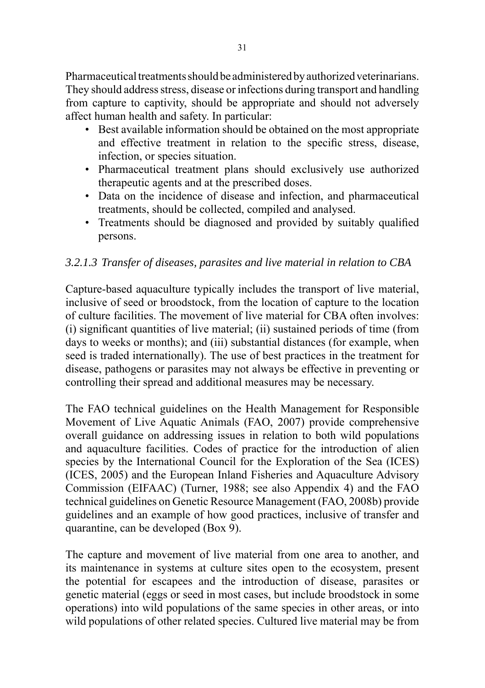Pharmaceutical treatments should be administered by authorized veterinarians. They should address stress, disease or infections during transport and handling from capture to captivity, should be appropriate and should not adversely affect human health and safety. In particular:

- Best available information should be obtained on the most appropriate and effective treatment in relation to the specific stress, disease, infection, or species situation.
- Pharmaceutical treatment plans should exclusively use authorized therapeutic agents and at the prescribed doses.
- Data on the incidence of disease and infection, and pharmaceutical treatments, should be collected, compiled and analysed.
- Treatments should be diagnosed and provided by suitably qualified persons.

## *3.2.1.3 Transfer of diseases, parasites and live material in relation to CBA*

Capture-based aquaculture typically includes the transport of live material, inclusive of seed or broodstock, from the location of capture to the location of culture facilities. The movement of live material for CBA often involves: (i) significant quantities of live material; (ii) sustained periods of time (from days to weeks or months); and (iii) substantial distances (for example, when seed is traded internationally). The use of best practices in the treatment for disease, pathogens or parasites may not always be effective in preventing or controlling their spread and additional measures may be necessary.

The FAO technical guidelines on the Health Management for Responsible Movement of Live Aquatic Animals (FAO, 2007) provide comprehensive overall guidance on addressing issues in relation to both wild populations and aquaculture facilities. Codes of practice for the introduction of alien species by the International Council for the Exploration of the Sea (ICES) (ICES, 2005) and the European Inland Fisheries and Aquaculture Advisory Commission (EIFAAC) (Turner, 1988; see also Appendix 4) and the FAO technical guidelines on Genetic Resource Management (FAO, 2008b) provide guidelines and an example of how good practices, inclusive of transfer and quarantine, can be developed (Box 9).

The capture and movement of live material from one area to another, and its maintenance in systems at culture sites open to the ecosystem, present the potential for escapees and the introduction of disease, parasites or genetic material (eggs or seed in most cases, but include broodstock in some operations) into wild populations of the same species in other areas, or into wild populations of other related species. Cultured live material may be from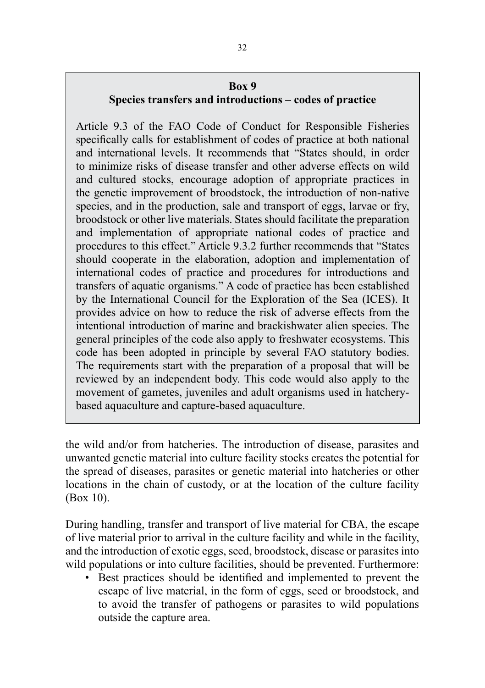### **Box 9**

## **Species transfers and introductions – codes of practice**

Article 9.3 of the FAO Code of Conduct for Responsible Fisheries specifically calls for establishment of codes of practice at both national and international levels. It recommends that "States should, in order to minimize risks of disease transfer and other adverse effects on wild and cultured stocks, encourage adoption of appropriate practices in the genetic improvement of broodstock, the introduction of non-native species, and in the production, sale and transport of eggs, larvae or fry, broodstock or other live materials. States should facilitate the preparation and implementation of appropriate national codes of practice and procedures to this effect." Article 9.3.2 further recommends that "States should cooperate in the elaboration, adoption and implementation of international codes of practice and procedures for introductions and transfers of aquatic organisms." A code of practice has been established by the International Council for the Exploration of the Sea (ICES). It provides advice on how to reduce the risk of adverse effects from the intentional introduction of marine and brackishwater alien species. The general principles of the code also apply to freshwater ecosystems. This code has been adopted in principle by several FAO statutory bodies. The requirements start with the preparation of a proposal that will be reviewed by an independent body. This code would also apply to the movement of gametes, juveniles and adult organisms used in hatcherybased aquaculture and capture-based aquaculture.

the wild and/or from hatcheries. The introduction of disease, parasites and unwanted genetic material into culture facility stocks creates the potential for the spread of diseases, parasites or genetic material into hatcheries or other locations in the chain of custody, or at the location of the culture facility (Box 10).

During handling, transfer and transport of live material for CBA, the escape of live material prior to arrival in the culture facility and while in the facility, and the introduction of exotic eggs, seed, broodstock, disease or parasites into wild populations or into culture facilities, should be prevented. Furthermore:

• Best practices should be identified and implemented to prevent the escape of live material, in the form of eggs, seed or broodstock, and to avoid the transfer of pathogens or parasites to wild populations outside the capture area.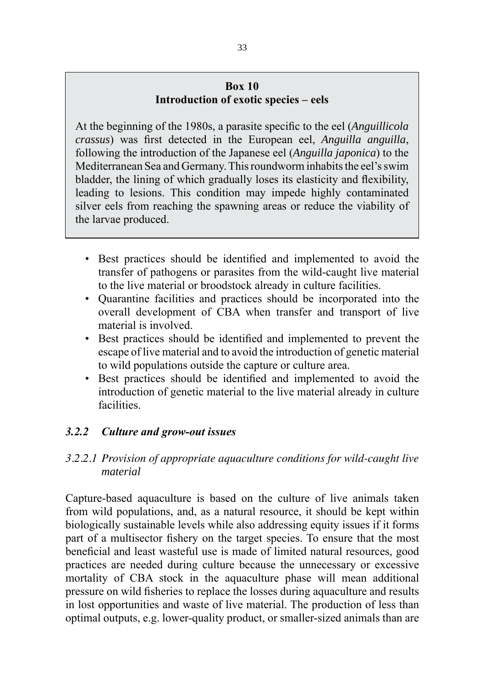### **Box 10 Introduction of exotic species – eels**

At the beginning of the 1980s, a parasite specific to the eel (*Anguillicola crassus*) was first detected in the European eel, *Anguilla anguilla*, following the introduction of the Japanese eel (*Anguilla japonica*) to the Mediterranean Sea and Germany. This roundworm inhabits the eel's swim bladder, the lining of which gradually loses its elasticity and flexibility, leading to lesions. This condition may impede highly contaminated silver eels from reaching the spawning areas or reduce the viability of the larvae produced.

- Best practices should be identified and implemented to avoid the transfer of pathogens or parasites from the wild-caught live material to the live material or broodstock already in culture facilities.
- Quarantine facilities and practices should be incorporated into the overall development of CBA when transfer and transport of live material is involved.
- Best practices should be identified and implemented to prevent the escape of live material and to avoid the introduction of genetic material to wild populations outside the capture or culture area.
- Best practices should be identified and implemented to avoid the introduction of genetic material to the live material already in culture **facilities**

## *3.2.2 Culture and grow-out issues*

## *3.2.2.1 Provision of appropriate aquaculture conditions for wild-caught live material*

Capture-based aquaculture is based on the culture of live animals taken from wild populations, and, as a natural resource, it should be kept within biologically sustainable levels while also addressing equity issues if it forms part of a multisector fishery on the target species. To ensure that the most beneficial and least wasteful use is made of limited natural resources, good practices are needed during culture because the unnecessary or excessive mortality of CBA stock in the aquaculture phase will mean additional pressure on wild fisheries to replace the losses during aquaculture and results in lost opportunities and waste of live material. The production of less than optimal outputs, e.g. lower-quality product, or smaller-sized animals than are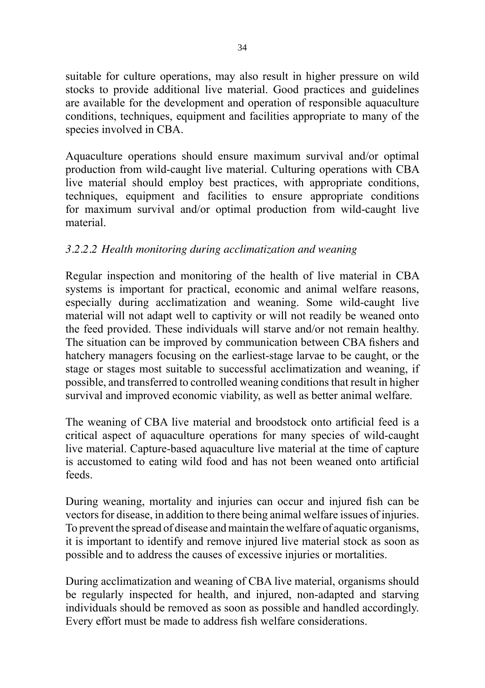suitable for culture operations, may also result in higher pressure on wild stocks to provide additional live material. Good practices and guidelines are available for the development and operation of responsible aquaculture conditions, techniques, equipment and facilities appropriate to many of the species involved in CBA.

Aquaculture operations should ensure maximum survival and/or optimal production from wild-caught live material. Culturing operations with CBA live material should employ best practices, with appropriate conditions, techniques, equipment and facilities to ensure appropriate conditions for maximum survival and/or optimal production from wild-caught live material.

## *3.2.2.2 Health monitoring during acclimatization and weaning*

Regular inspection and monitoring of the health of live material in CBA systems is important for practical, economic and animal welfare reasons, especially during acclimatization and weaning. Some wild-caught live material will not adapt well to captivity or will not readily be weaned onto the feed provided. These individuals will starve and/or not remain healthy. The situation can be improved by communication between CBA fishers and hatchery managers focusing on the earliest-stage larvae to be caught, or the stage or stages most suitable to successful acclimatization and weaning, if possible, and transferred to controlled weaning conditions that result in higher survival and improved economic viability, as well as better animal welfare.

The weaning of CBA live material and broodstock onto artificial feed is a critical aspect of aquaculture operations for many species of wild-caught live material. Capture-based aquaculture live material at the time of capture is accustomed to eating wild food and has not been weaned onto artificial feeds.

During weaning, mortality and injuries can occur and injured fish can be vectors for disease, in addition to there being animal welfare issues of injuries. To prevent the spread of disease and maintain the welfare of aquatic organisms, it is important to identify and remove injured live material stock as soon as possible and to address the causes of excessive injuries or mortalities.

During acclimatization and weaning of CBA live material, organisms should be regularly inspected for health, and injured, non-adapted and starving individuals should be removed as soon as possible and handled accordingly. Every effort must be made to address fish welfare considerations.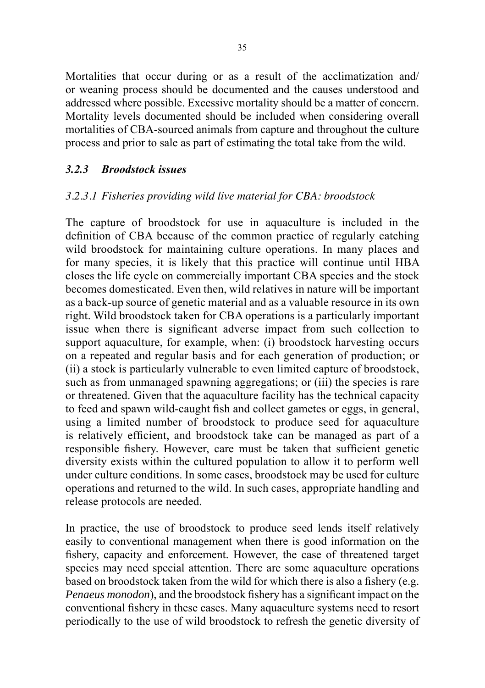Mortalities that occur during or as a result of the acclimatization and/ or weaning process should be documented and the causes understood and addressed where possible. Excessive mortality should be a matter of concern. Mortality levels documented should be included when considering overall mortalities of CBA-sourced animals from capture and throughout the culture process and prior to sale as part of estimating the total take from the wild.

### *3.2.3 Broodstock issues*

### *3.2.3.1 Fisheries providing wild live material for CBA: broodstock*

The capture of broodstock for use in aquaculture is included in the definition of CBA because of the common practice of regularly catching wild broodstock for maintaining culture operations. In many places and for many species, it is likely that this practice will continue until HBA closes the life cycle on commercially important CBA species and the stock becomes domesticated. Even then, wild relatives in nature will be important as a back-up source of genetic material and as a valuable resource in its own right. Wild broodstock taken for CBA operations is a particularly important issue when there is significant adverse impact from such collection to support aquaculture, for example, when: (i) broodstock harvesting occurs on a repeated and regular basis and for each generation of production; or (ii) a stock is particularly vulnerable to even limited capture of broodstock, such as from unmanaged spawning aggregations; or (iii) the species is rare or threatened. Given that the aquaculture facility has the technical capacity to feed and spawn wild-caught fish and collect gametes or eggs, in general, using a limited number of broodstock to produce seed for aquaculture is relatively efficient, and broodstock take can be managed as part of a responsible fishery. However, care must be taken that sufficient genetic diversity exists within the cultured population to allow it to perform well under culture conditions. In some cases, broodstock may be used for culture operations and returned to the wild. In such cases, appropriate handling and release protocols are needed.

In practice, the use of broodstock to produce seed lends itself relatively easily to conventional management when there is good information on the fishery, capacity and enforcement. However, the case of threatened target species may need special attention. There are some aquaculture operations based on broodstock taken from the wild for which there is also a fishery (e.g. *Penaeus monodon*), and the broodstock fishery has a significant impact on the conventional fishery in these cases. Many aquaculture systems need to resort periodically to the use of wild broodstock to refresh the genetic diversity of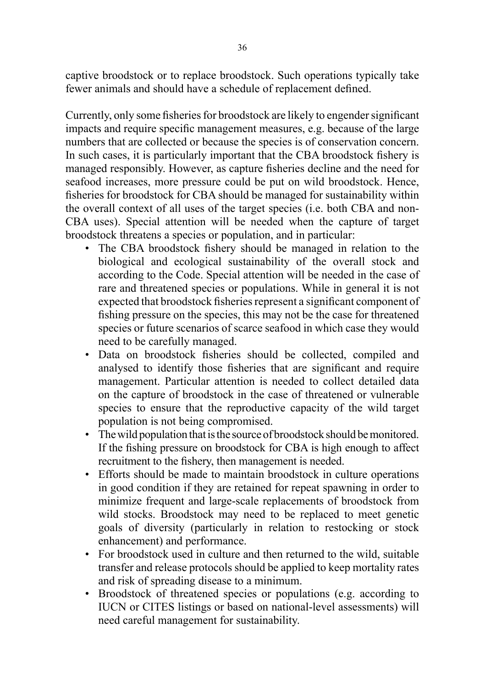captive broodstock or to replace broodstock. Such operations typically take fewer animals and should have a schedule of replacement defined.

Currently, only some fisheries for broodstock are likely to engender significant impacts and require specific management measures, e.g. because of the large numbers that are collected or because the species is of conservation concern. In such cases, it is particularly important that the CBA broodstock fishery is managed responsibly. However, as capture fisheries decline and the need for seafood increases, more pressure could be put on wild broodstock. Hence, fisheries for broodstock for CBA should be managed for sustainability within the overall context of all uses of the target species (i.e. both CBA and non-CBA uses). Special attention will be needed when the capture of target broodstock threatens a species or population, and in particular:

- The CBA broodstock fishery should be managed in relation to the biological and ecological sustainability of the overall stock and according to the Code. Special attention will be needed in the case of rare and threatened species or populations. While in general it is not expected that broodstock fisheries represent a significant component of fishing pressure on the species, this may not be the case for threatened species or future scenarios of scarce seafood in which case they would need to be carefully managed.
- Data on broodstock fisheries should be collected, compiled and analysed to identify those fisheries that are significant and require management. Particular attention is needed to collect detailed data on the capture of broodstock in the case of threatened or vulnerable species to ensure that the reproductive capacity of the wild target population is not being compromised.
- The wild population that is the source of broodstock should be monitored. If the fishing pressure on broodstock for CBA is high enough to affect recruitment to the fishery, then management is needed.
- Efforts should be made to maintain broodstock in culture operations in good condition if they are retained for repeat spawning in order to minimize frequent and large-scale replacements of broodstock from wild stocks. Broodstock may need to be replaced to meet genetic goals of diversity (particularly in relation to restocking or stock enhancement) and performance.
- For broodstock used in culture and then returned to the wild, suitable transfer and release protocols should be applied to keep mortality rates and risk of spreading disease to a minimum.
- Broodstock of threatened species or populations (e.g. according to IUCN or CITES listings or based on national-level assessments) will need careful management for sustainability.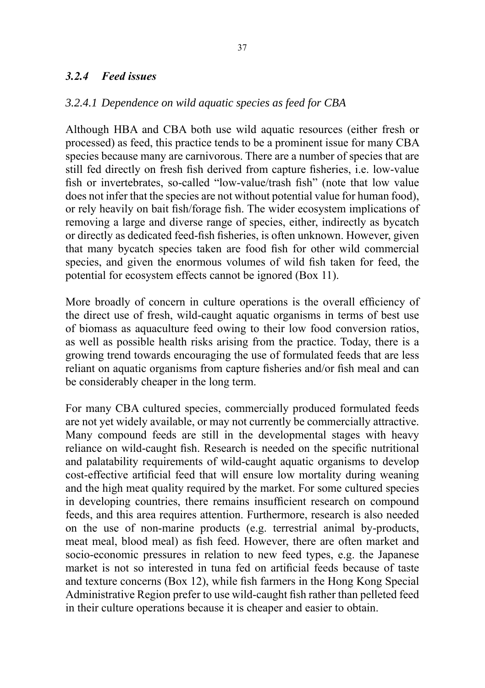### *3.2.4 Feed issues*

#### *3.2.4.1 Dependence on wild aquatic species as feed for CBA*

Although HBA and CBA both use wild aquatic resources (either fresh or processed) as feed, this practice tends to be a prominent issue for many CBA species because many are carnivorous. There are a number of species that are still fed directly on fresh fish derived from capture fisheries, i.e. low-value fish or invertebrates, so-called "low-value/trash fish" (note that low value does not infer that the species are not without potential value for human food), or rely heavily on bait fish/forage fish. The wider ecosystem implications of removing a large and diverse range of species, either, indirectly as bycatch or directly as dedicated feed-fish fisheries, is often unknown. However, given that many bycatch species taken are food fish for other wild commercial species, and given the enormous volumes of wild fish taken for feed, the potential for ecosystem effects cannot be ignored (Box 11).

More broadly of concern in culture operations is the overall efficiency of the direct use of fresh, wild-caught aquatic organisms in terms of best use of biomass as aquaculture feed owing to their low food conversion ratios, as well as possible health risks arising from the practice. Today, there is a growing trend towards encouraging the use of formulated feeds that are less reliant on aquatic organisms from capture fisheries and/or fish meal and can be considerably cheaper in the long term.

For many CBA cultured species, commercially produced formulated feeds are not yet widely available, or may not currently be commercially attractive. Many compound feeds are still in the developmental stages with heavy reliance on wild-caught fish. Research is needed on the specific nutritional and palatability requirements of wild-caught aquatic organisms to develop cost-effective artificial feed that will ensure low mortality during weaning and the high meat quality required by the market. For some cultured species in developing countries, there remains insufficient research on compound feeds, and this area requires attention. Furthermore, research is also needed on the use of non-marine products (e.g. terrestrial animal by-products, meat meal, blood meal) as fish feed. However, there are often market and socio-economic pressures in relation to new feed types, e.g. the Japanese market is not so interested in tuna fed on artificial feeds because of taste and texture concerns (Box 12), while fish farmers in the Hong Kong Special Administrative Region prefer to use wild-caught fish rather than pelleted feed in their culture operations because it is cheaper and easier to obtain.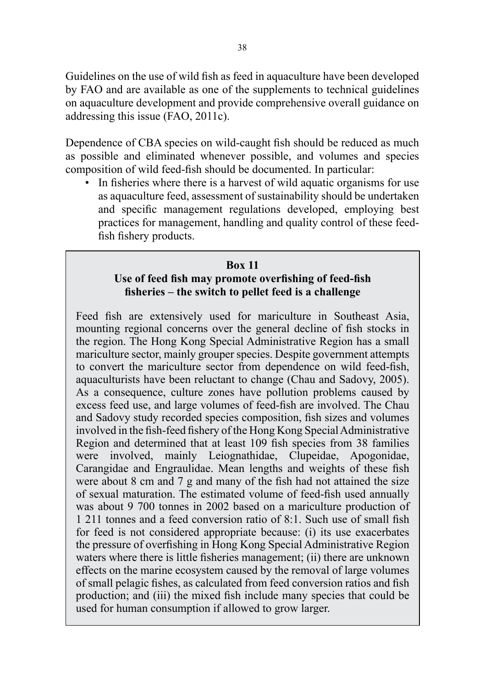Guidelines on the use of wild fish as feed in aquaculture have been developed by FAO and are available as one of the supplements to technical guidelines on aquaculture development and provide comprehensive overall guidance on addressing this issue (FAO, 2011c).

Dependence of CBA species on wild-caught fish should be reduced as much as possible and eliminated whenever possible, and volumes and species composition of wild feed-fish should be documented. In particular:

• In fisheries where there is a harvest of wild aquatic organisms for use as aquaculture feed, assessment of sustainability should be undertaken and specific management regulations developed, employing best practices for management, handling and quality control of these feedfish fishery products.

#### **Box 11**

### **Use of feed fish may promote overfishing of feed-fish fisheries – the switch to pellet feed is a challenge**

Feed fish are extensively used for mariculture in Southeast Asia, mounting regional concerns over the general decline of fish stocks in the region. The Hong Kong Special Administrative Region has a small mariculture sector, mainly grouper species. Despite government attempts to convert the mariculture sector from dependence on wild feed-fish, aquaculturists have been reluctant to change (Chau and Sadovy, 2005). As a consequence, culture zones have pollution problems caused by excess feed use, and large volumes of feed-fish are involved. The Chau and Sadovy study recorded species composition, fish sizes and volumes involved in the fish-feed fishery of the Hong Kong Special Administrative Region and determined that at least 109 fish species from 38 families were involved, mainly Leiognathidae, Clupeidae, Apogonidae, Carangidae and Engraulidae. Mean lengths and weights of these fish were about 8 cm and 7 g and many of the fish had not attained the size of sexual maturation. The estimated volume of feed-fish used annually was about 9 700 tonnes in 2002 based on a mariculture production of 1 211 tonnes and a feed conversion ratio of 8:1. Such use of small fish for feed is not considered appropriate because: (i) its use exacerbates the pressure of overfishing in Hong Kong Special Administrative Region waters where there is little fisheries management; (ii) there are unknown effects on the marine ecosystem caused by the removal of large volumes of small pelagic fishes, as calculated from feed conversion ratios and fish production; and (iii) the mixed fish include many species that could be used for human consumption if allowed to grow larger.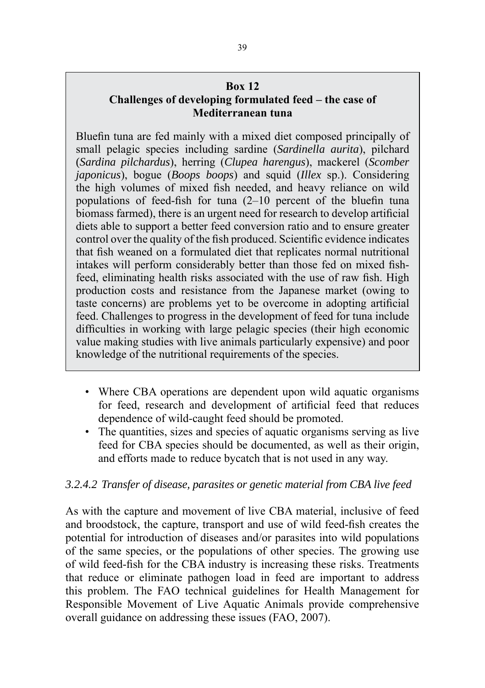### **Box 12**

## **Challenges of developing formulated feed – the case of Mediterranean tuna**

Bluefin tuna are fed mainly with a mixed diet composed principally of small pelagic species including sardine (*Sardinella aurita*), pilchard (*Sardina pilchardus*), herring (*Clupea harengus*), mackerel (*Scomber japonicus*), bogue (*Boops boops*) and squid (*Illex* sp.). Considering the high volumes of mixed fish needed, and heavy reliance on wild populations of feed-fish for tuna (2–10 percent of the bluefin tuna biomass farmed), there is an urgent need for research to develop artificial diets able to support a better feed conversion ratio and to ensure greater control over the quality of the fish produced. Scientific evidence indicates that fish weaned on a formulated diet that replicates normal nutritional intakes will perform considerably better than those fed on mixed fishfeed, eliminating health risks associated with the use of raw fish. High production costs and resistance from the Japanese market (owing to taste concerns) are problems yet to be overcome in adopting artificial feed. Challenges to progress in the development of feed for tuna include difficulties in working with large pelagic species (their high economic value making studies with live animals particularly expensive) and poor knowledge of the nutritional requirements of the species.

- Where CBA operations are dependent upon wild aquatic organisms for feed, research and development of artificial feed that reduces dependence of wild-caught feed should be promoted.
- The quantities, sizes and species of aquatic organisms serving as live feed for CBA species should be documented, as well as their origin, and efforts made to reduce bycatch that is not used in any way.

## *3.2.4.2 Transfer of disease, parasites or genetic material from CBA live feed*

As with the capture and movement of live CBA material, inclusive of feed and broodstock, the capture, transport and use of wild feed-fish creates the potential for introduction of diseases and/or parasites into wild populations of the same species, or the populations of other species. The growing use of wild feed-fish for the CBA industry is increasing these risks. Treatments that reduce or eliminate pathogen load in feed are important to address this problem. The FAO technical guidelines for Health Management for Responsible Movement of Live Aquatic Animals provide comprehensive overall guidance on addressing these issues (FAO, 2007).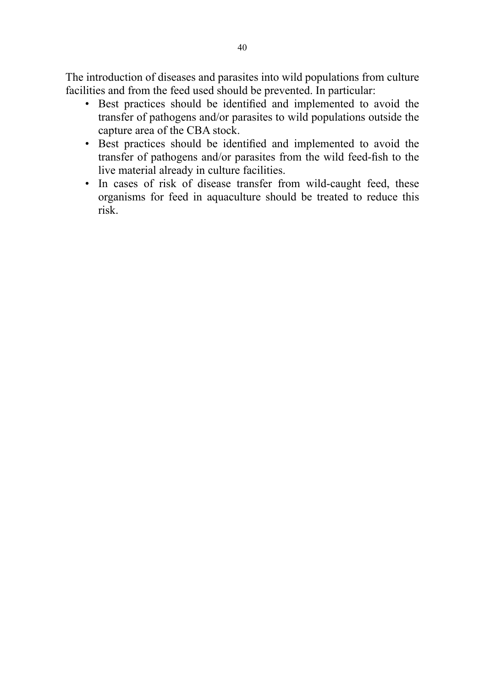The introduction of diseases and parasites into wild populations from culture facilities and from the feed used should be prevented. In particular:

- Best practices should be identified and implemented to avoid the transfer of pathogens and/or parasites to wild populations outside the capture area of the CBA stock.
- Best practices should be identified and implemented to avoid the transfer of pathogens and/or parasites from the wild feed-fish to the live material already in culture facilities.
- In cases of risk of disease transfer from wild-caught feed, these organisms for feed in aquaculture should be treated to reduce this risk.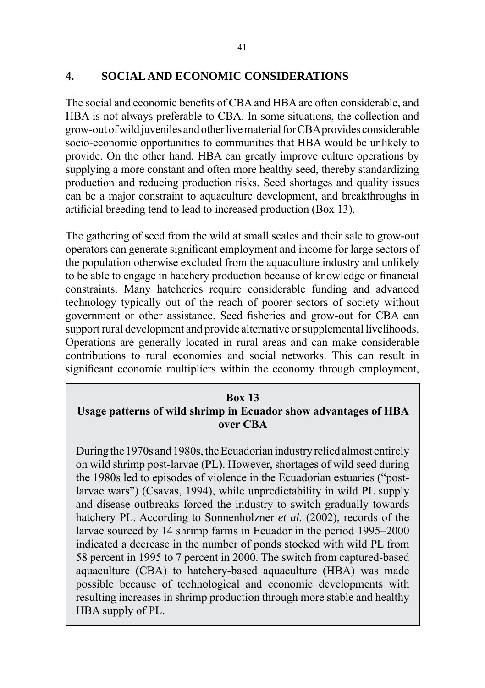### **4. SOCIAL AND ECONOMIC CONSIDERATIONS**

The social and economic benefits of CBA and HBA are often considerable, and HBA is not always preferable to CBA. In some situations, the collection and grow-out of wild juveniles and other live material for CBA provides considerable socio-economic opportunities to communities that HBA would be unlikely to provide. On the other hand, HBA can greatly improve culture operations by supplying a more constant and often more healthy seed, thereby standardizing production and reducing production risks. Seed shortages and quality issues can be a major constraint to aquaculture development, and breakthroughs in artificial breeding tend to lead to increased production (Box 13).

The gathering of seed from the wild at small scales and their sale to grow-out operators can generate significant employment and income for large sectors of the population otherwise excluded from the aquaculture industry and unlikely to be able to engage in hatchery production because of knowledge or financial constraints. Many hatcheries require considerable funding and advanced technology typically out of the reach of poorer sectors of society without government or other assistance. Seed fisheries and grow-out for CBA can support rural development and provide alternative or supplemental livelihoods. Operations are generally located in rural areas and can make considerable contributions to rural economies and social networks. This can result in significant economic multipliers within the economy through employment,

#### **Box 13**

## **Usage patterns of wild shrimp in Ecuador show advantages of HBA over CBA**

During the 1970s and 1980s, the Ecuadorian industry relied almost entirely on wild shrimp post-larvae (PL). However, shortages of wild seed during the 1980s led to episodes of violence in the Ecuadorian estuaries ("postlarvae wars") (Csavas, 1994), while unpredictability in wild PL supply and disease outbreaks forced the industry to switch gradually towards hatchery PL. According to Sonnenholzner *et al.* (2002), records of the larvae sourced by 14 shrimp farms in Ecuador in the period 1995–2000 indicated a decrease in the number of ponds stocked with wild PL from 58 percent in 1995 to 7 percent in 2000. The switch from captured-based aquaculture (CBA) to hatchery-based aquaculture (HBA) was made possible because of technological and economic developments with resulting increases in shrimp production through more stable and healthy HBA supply of PL.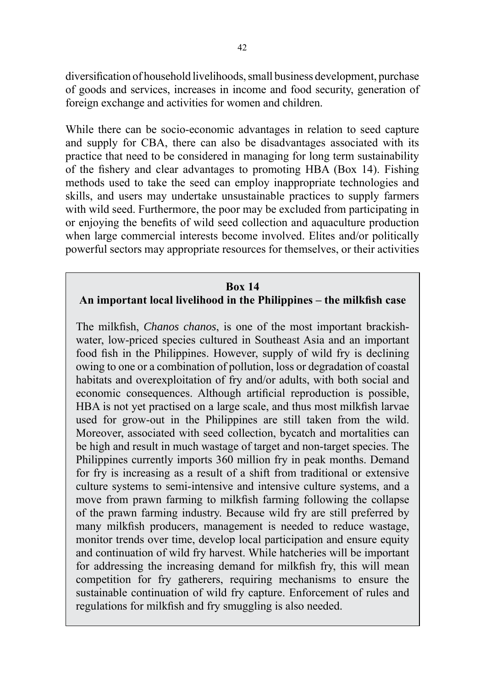diversification of household livelihoods, small business development, purchase of goods and services, increases in income and food security, generation of foreign exchange and activities for women and children.

While there can be socio-economic advantages in relation to seed capture and supply for CBA, there can also be disadvantages associated with its practice that need to be considered in managing for long term sustainability of the fishery and clear advantages to promoting HBA (Box 14). Fishing methods used to take the seed can employ inappropriate technologies and skills, and users may undertake unsustainable practices to supply farmers with wild seed. Furthermore, the poor may be excluded from participating in or enjoying the benefits of wild seed collection and aquaculture production when large commercial interests become involved. Elites and/or politically powerful sectors may appropriate resources for themselves, or their activities

#### **Box 14**

#### **An important local livelihood in the Philippines – the milkfish case**

The milkfish, *Chanos chanos*, is one of the most important brackishwater, low-priced species cultured in Southeast Asia and an important food fish in the Philippines. However, supply of wild fry is declining owing to one or a combination of pollution, loss or degradation of coastal habitats and overexploitation of fry and/or adults, with both social and economic consequences. Although artificial reproduction is possible, HBA is not yet practised on a large scale, and thus most milkfish larvae used for grow-out in the Philippines are still taken from the wild. Moreover, associated with seed collection, bycatch and mortalities can be high and result in much wastage of target and non-target species. The Philippines currently imports 360 million fry in peak months. Demand for fry is increasing as a result of a shift from traditional or extensive culture systems to semi-intensive and intensive culture systems, and a move from prawn farming to milkfish farming following the collapse of the prawn farming industry. Because wild fry are still preferred by many milkfish producers, management is needed to reduce wastage, monitor trends over time, develop local participation and ensure equity and continuation of wild fry harvest. While hatcheries will be important for addressing the increasing demand for milkfish fry, this will mean competition for fry gatherers, requiring mechanisms to ensure the sustainable continuation of wild fry capture. Enforcement of rules and regulations for milkfish and fry smuggling is also needed.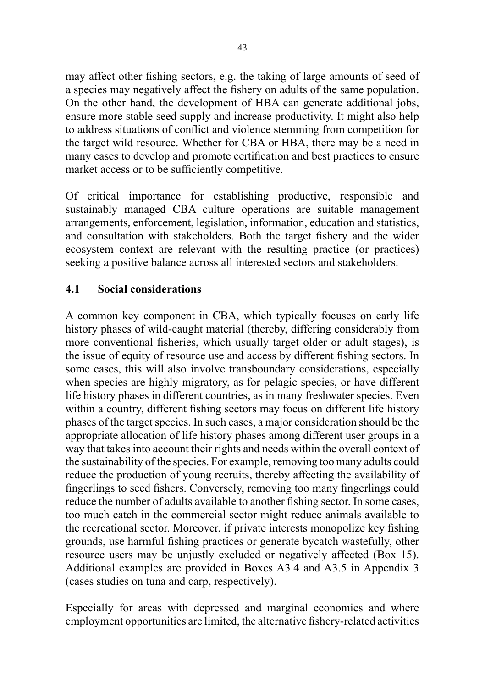may affect other fishing sectors, e.g. the taking of large amounts of seed of a species may negatively affect the fishery on adults of the same population. On the other hand, the development of HBA can generate additional jobs, ensure more stable seed supply and increase productivity. It might also help to address situations of conflict and violence stemming from competition for the target wild resource. Whether for CBA or HBA, there may be a need in many cases to develop and promote certification and best practices to ensure market access or to be sufficiently competitive.

Of critical importance for establishing productive, responsible and sustainably managed CBA culture operations are suitable management arrangements, enforcement, legislation, information, education and statistics, and consultation with stakeholders. Both the target fishery and the wider ecosystem context are relevant with the resulting practice (or practices) seeking a positive balance across all interested sectors and stakeholders.

## **4.1 Social considerations**

A common key component in CBA, which typically focuses on early life history phases of wild-caught material (thereby, differing considerably from more conventional fisheries, which usually target older or adult stages), is the issue of equity of resource use and access by different fishing sectors. In some cases, this will also involve transboundary considerations, especially when species are highly migratory, as for pelagic species, or have different life history phases in different countries, as in many freshwater species. Even within a country, different fishing sectors may focus on different life history phases of the target species. In such cases, a major consideration should be the appropriate allocation of life history phases among different user groups in a way that takes into account their rights and needs within the overall context of the sustainability of the species. For example, removing too many adults could reduce the production of young recruits, thereby affecting the availability of fingerlings to seed fishers. Conversely, removing too many fingerlings could reduce the number of adults available to another fishing sector. In some cases, too much catch in the commercial sector might reduce animals available to the recreational sector. Moreover, if private interests monopolize key fishing grounds, use harmful fishing practices or generate bycatch wastefully, other resource users may be unjustly excluded or negatively affected (Box 15). Additional examples are provided in Boxes A3.4 and A3.5 in Appendix 3 (cases studies on tuna and carp, respectively).

Especially for areas with depressed and marginal economies and where employment opportunities are limited, the alternative fishery-related activities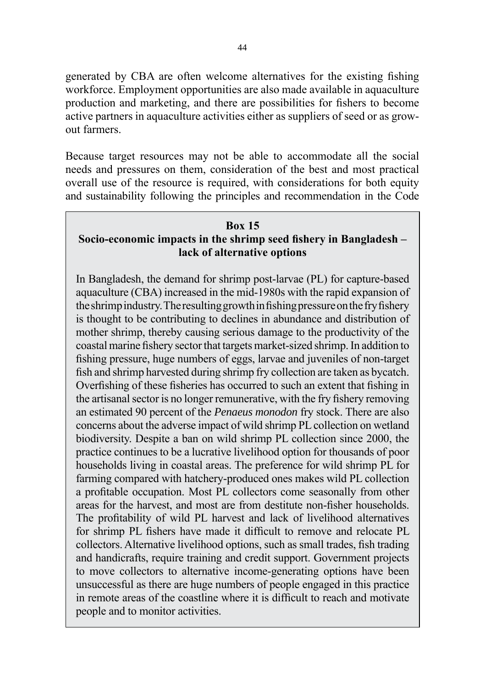generated by CBA are often welcome alternatives for the existing fishing workforce. Employment opportunities are also made available in aquaculture production and marketing, and there are possibilities for fishers to become active partners in aquaculture activities either as suppliers of seed or as growout farmers.

Because target resources may not be able to accommodate all the social needs and pressures on them, consideration of the best and most practical overall use of the resource is required, with considerations for both equity and sustainability following the principles and recommendation in the Code

#### **Box 15**

## **Socio-economic impacts in the shrimp seed fishery in Bangladesh – lack of alternative options**

In Bangladesh, the demand for shrimp post-larvae (PL) for capture-based aquaculture (CBA) increased in the mid-1980s with the rapid expansion of the shrimp industry. The resulting growth in fishing pressure on the fry fishery is thought to be contributing to declines in abundance and distribution of mother shrimp, thereby causing serious damage to the productivity of the coastal marine fishery sector that targets market-sized shrimp. In addition to fishing pressure, huge numbers of eggs, larvae and juveniles of non-target fish and shrimp harvested during shrimp fry collection are taken as bycatch. Overfishing of these fisheries has occurred to such an extent that fishing in the artisanal sector is no longer remunerative, with the fry fishery removing an estimated 90 percent of the *Penaeus monodon* fry stock. There are also concerns about the adverse impact of wild shrimp PL collection on wetland biodiversity. Despite a ban on wild shrimp PL collection since 2000, the practice continues to be a lucrative livelihood option for thousands of poor households living in coastal areas. The preference for wild shrimp PL for farming compared with hatchery-produced ones makes wild PL collection a profitable occupation. Most PL collectors come seasonally from other areas for the harvest, and most are from destitute non-fisher households. The profitability of wild PL harvest and lack of livelihood alternatives for shrimp PL fishers have made it difficult to remove and relocate PL collectors. Alternative livelihood options, such as small trades, fish trading and handicrafts, require training and credit support. Government projects to move collectors to alternative income-generating options have been unsuccessful as there are huge numbers of people engaged in this practice in remote areas of the coastline where it is difficult to reach and motivate people and to monitor activities.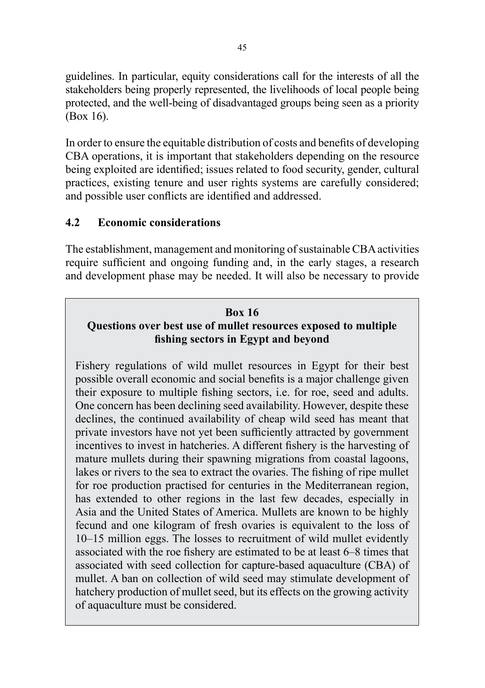guidelines. In particular, equity considerations call for the interests of all the stakeholders being properly represented, the livelihoods of local people being protected, and the well-being of disadvantaged groups being seen as a priority (Box 16).

In order to ensure the equitable distribution of costs and benefits of developing CBA operations, it is important that stakeholders depending on the resource being exploited are identified; issues related to food security, gender, cultural practices, existing tenure and user rights systems are carefully considered; and possible user conflicts are identified and addressed.

## **4.2 Economic considerations**

The establishment, management and monitoring of sustainable CBA activities require sufficient and ongoing funding and, in the early stages, a research and development phase may be needed. It will also be necessary to provide

# **Box 16 Questions over best use of mullet resources exposed to multiple fishing sectors in Egypt and beyond**

Fishery regulations of wild mullet resources in Egypt for their best possible overall economic and social benefits is a major challenge given their exposure to multiple fishing sectors, i.e. for roe, seed and adults. One concern has been declining seed availability. However, despite these declines, the continued availability of cheap wild seed has meant that private investors have not yet been sufficiently attracted by government incentives to invest in hatcheries. A different fishery is the harvesting of mature mullets during their spawning migrations from coastal lagoons, lakes or rivers to the sea to extract the ovaries. The fishing of ripe mullet for roe production practised for centuries in the Mediterranean region, has extended to other regions in the last few decades, especially in Asia and the United States of America. Mullets are known to be highly fecund and one kilogram of fresh ovaries is equivalent to the loss of 10–15 million eggs. The losses to recruitment of wild mullet evidently associated with the roe fishery are estimated to be at least 6–8 times that associated with seed collection for capture-based aquaculture (CBA) of mullet. A ban on collection of wild seed may stimulate development of hatchery production of mullet seed, but its effects on the growing activity of aquaculture must be considered.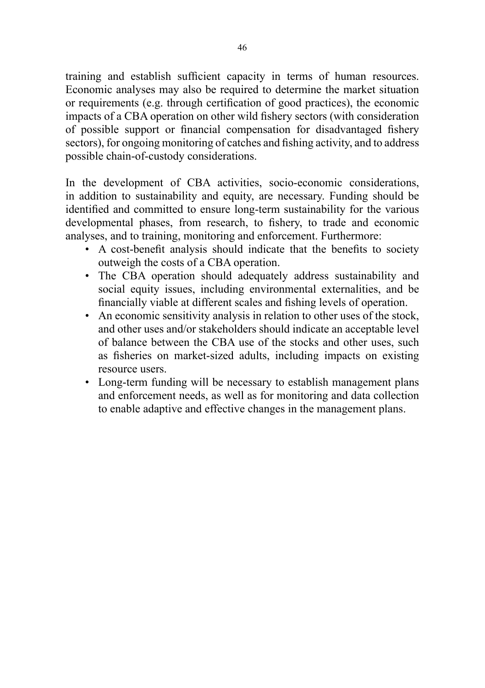training and establish sufficient capacity in terms of human resources. Economic analyses may also be required to determine the market situation or requirements (e.g. through certification of good practices), the economic impacts of a CBA operation on other wild fishery sectors (with consideration of possible support or financial compensation for disadvantaged fishery sectors), for ongoing monitoring of catches and fishing activity, and to address possible chain-of-custody considerations.

In the development of CBA activities, socio-economic considerations, in addition to sustainability and equity, are necessary. Funding should be identified and committed to ensure long-term sustainability for the various developmental phases, from research, to fishery, to trade and economic analyses, and to training, monitoring and enforcement. Furthermore:

- A cost-benefit analysis should indicate that the benefits to society outweigh the costs of a CBA operation.
- The CBA operation should adequately address sustainability and social equity issues, including environmental externalities, and be financially viable at different scales and fishing levels of operation.
- An economic sensitivity analysis in relation to other uses of the stock, and other uses and/or stakeholders should indicate an acceptable level of balance between the CBA use of the stocks and other uses, such as fisheries on market-sized adults, including impacts on existing resource users.
- Long-term funding will be necessary to establish management plans and enforcement needs, as well as for monitoring and data collection to enable adaptive and effective changes in the management plans.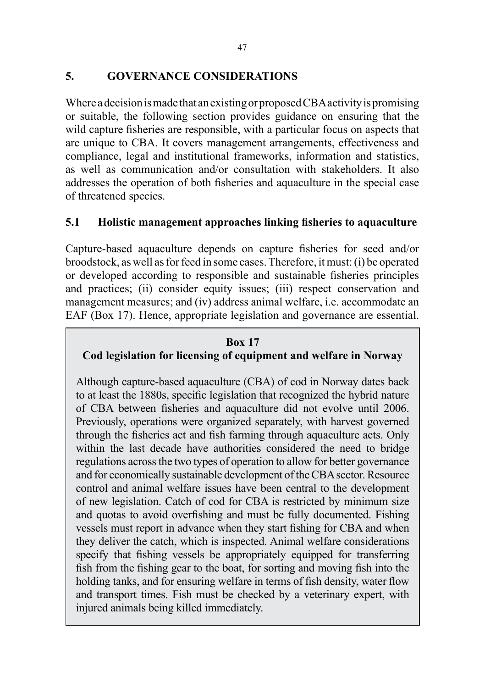## **5. GOVERNANCE CONSIDERATIONS**

Where a decision is made that an existing or proposed CBA activity is promising or suitable, the following section provides guidance on ensuring that the wild capture fisheries are responsible, with a particular focus on aspects that are unique to CBA. It covers management arrangements, effectiveness and compliance, legal and institutional frameworks, information and statistics, as well as communication and/or consultation with stakeholders. It also addresses the operation of both fisheries and aquaculture in the special case of threatened species.

## **5.1 Holistic management approaches linking fisheries to aquaculture**

Capture-based aquaculture depends on capture fisheries for seed and/or broodstock, as well as for feed in some cases. Therefore, it must: (i) be operated or developed according to responsible and sustainable fisheries principles and practices; (ii) consider equity issues; (iii) respect conservation and management measures; and (iv) address animal welfare, i.e. accommodate an EAF (Box 17). Hence, appropriate legislation and governance are essential.

#### **Box 17**

# **Cod legislation for licensing of equipment and welfare in Norway**

Although capture-based aquaculture (CBA) of cod in Norway dates back to at least the 1880s, specific legislation that recognized the hybrid nature of CBA between fisheries and aquaculture did not evolve until 2006. Previously, operations were organized separately, with harvest governed through the fisheries act and fish farming through aquaculture acts. Only within the last decade have authorities considered the need to bridge regulations across the two types of operation to allow for better governance and for economically sustainable development of the CBA sector. Resource control and animal welfare issues have been central to the development of new legislation. Catch of cod for CBA is restricted by minimum size and quotas to avoid overfishing and must be fully documented. Fishing vessels must report in advance when they start fishing for CBA and when they deliver the catch, which is inspected. Animal welfare considerations specify that fishing vessels be appropriately equipped for transferring fish from the fishing gear to the boat, for sorting and moving fish into the holding tanks, and for ensuring welfare in terms of fish density, water flow and transport times. Fish must be checked by a veterinary expert, with injured animals being killed immediately.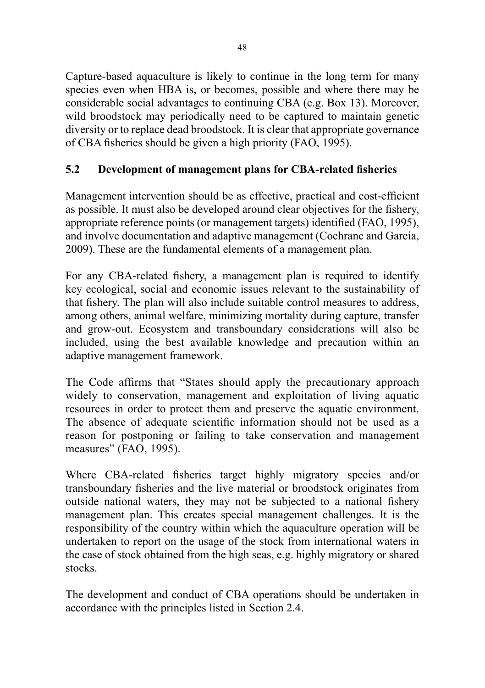Capture-based aquaculture is likely to continue in the long term for many species even when HBA is, or becomes, possible and where there may be considerable social advantages to continuing CBA (e.g. Box 13). Moreover, wild broodstock may periodically need to be captured to maintain genetic diversity or to replace dead broodstock. It is clear that appropriate governance of CBA fisheries should be given a high priority (FAO, 1995).

# **5.2 Development of management plans for CBA-related fisheries**

Management intervention should be as effective, practical and cost-efficient as possible. It must also be developed around clear objectives for the fishery, appropriate reference points (or management targets) identified (FAO, 1995), and involve documentation and adaptive management (Cochrane and Garcia, 2009). These are the fundamental elements of a management plan.

For any CBA-related fishery, a management plan is required to identify key ecological, social and economic issues relevant to the sustainability of that fishery. The plan will also include suitable control measures to address, among others, animal welfare, minimizing mortality during capture, transfer and grow-out. Ecosystem and transboundary considerations will also be included, using the best available knowledge and precaution within an adaptive management framework.

The Code affirms that "States should apply the precautionary approach widely to conservation, management and exploitation of living aquatic resources in order to protect them and preserve the aquatic environment. The absence of adequate scientific information should not be used as a reason for postponing or failing to take conservation and management measures" (FAO, 1995).

Where CBA-related fisheries target highly migratory species and/or transboundary fisheries and the live material or broodstock originates from outside national waters, they may not be subjected to a national fishery management plan. This creates special management challenges. It is the responsibility of the country within which the aquaculture operation will be undertaken to report on the usage of the stock from international waters in the case of stock obtained from the high seas, e.g. highly migratory or shared stocks.

The development and conduct of CBA operations should be undertaken in accordance with the principles listed in Section 2.4.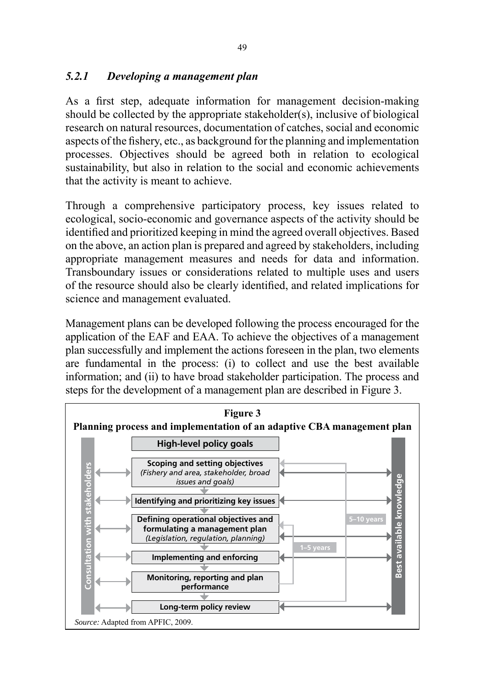## *5.2.1 Developing a management plan*

As a first step, adequate information for management decision-making should be collected by the appropriate stakeholder(s), inclusive of biological research on natural resources, documentation of catches, social and economic aspects of the fishery, etc., as background for the planning and implementation processes. Objectives should be agreed both in relation to ecological sustainability, but also in relation to the social and economic achievements that the activity is meant to achieve.

Through a comprehensive participatory process, key issues related to ecological, socio-economic and governance aspects of the activity should be identified and prioritized keeping in mind the agreed overall objectives. Based on the above, an action plan is prepared and agreed by stakeholders, including appropriate management measures and needs for data and information. Transboundary issues or considerations related to multiple uses and users of the resource should also be clearly identified, and related implications for science and management evaluated.

Management plans can be developed following the process encouraged for the application of the EAF and EAA. To achieve the objectives of a management plan successfully and implement the actions foreseen in the plan, two elements are fundamental in the process: (i) to collect and use the best available information; and (ii) to have broad stakeholder participation. The process and steps for the development of a management plan are described in Figure 3.

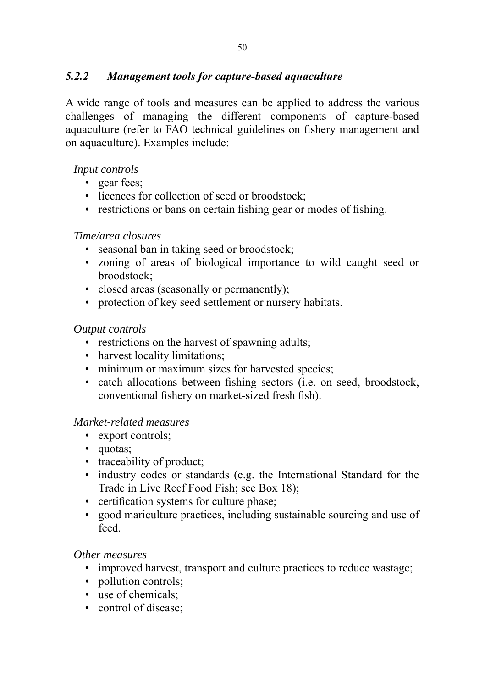## *5.2.2 Management tools for capture-based aquaculture*

A wide range of tools and measures can be applied to address the various challenges of managing the different components of capture-based aquaculture (refer to FAO technical guidelines on fishery management and on aquaculture). Examples include:

### *Input controls*

- gear fees;
- licences for collection of seed or broodstock:
- restrictions or bans on certain fishing gear or modes of fishing.

### *Time/area closures*

- seasonal ban in taking seed or broodstock;
- zoning of areas of biological importance to wild caught seed or broodstock;
- closed areas (seasonally or permanently);
- protection of key seed settlement or nursery habitats.

### *Output controls*

- restrictions on the harvest of spawning adults;
- harvest locality limitations;
- minimum or maximum sizes for harvested species;
- catch allocations between fishing sectors (i.e. on seed, broodstock, conventional fishery on market-sized fresh fish).

### *Market-related measures*

- export controls;
- quotas;
- traceability of product;
- industry codes or standards (e.g. the International Standard for the Trade in Live Reef Food Fish; see Box 18);
- certification systems for culture phase:
- good mariculture practices, including sustainable sourcing and use of feed.

### *Other measures*

- improved harvest, transport and culture practices to reduce wastage;
- pollution controls:
- use of chemicals;
- control of disease;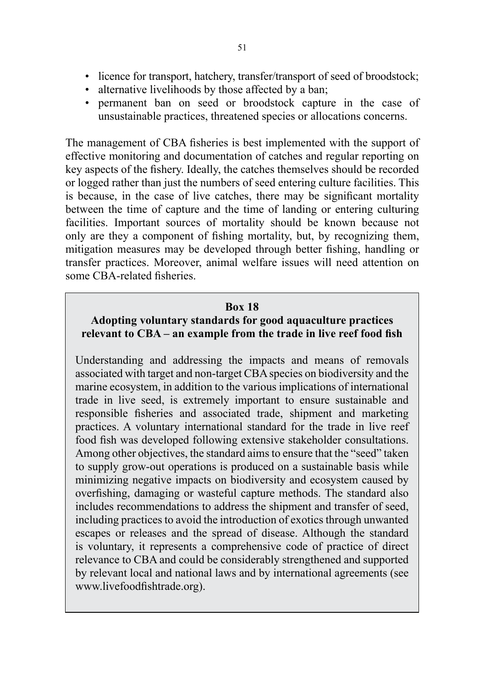- alternative livelihoods by those affected by a ban;
- permanent ban on seed or broodstock capture in the case of unsustainable practices, threatened species or allocations concerns.

The management of CBA fisheries is best implemented with the support of effective monitoring and documentation of catches and regular reporting on key aspects of the fishery. Ideally, the catches themselves should be recorded or logged rather than just the numbers of seed entering culture facilities. This is because, in the case of live catches, there may be significant mortality between the time of capture and the time of landing or entering culturing facilities. Important sources of mortality should be known because not only are they a component of fishing mortality, but, by recognizing them, mitigation measures may be developed through better fishing, handling or transfer practices. Moreover, animal welfare issues will need attention on some CBA-related fisheries.

### **Box 18**

## **Adopting voluntary standards for good aquaculture practices relevant to CBA – an example from the trade in live reef food fish**

Understanding and addressing the impacts and means of removals associated with target and non-target CBA species on biodiversity and the marine ecosystem, in addition to the various implications of international trade in live seed, is extremely important to ensure sustainable and responsible fisheries and associated trade, shipment and marketing practices. A voluntary international standard for the trade in live reef food fish was developed following extensive stakeholder consultations. Among other objectives, the standard aims to ensure that the "seed" taken to supply grow-out operations is produced on a sustainable basis while minimizing negative impacts on biodiversity and ecosystem caused by overfishing, damaging or wasteful capture methods. The standard also includes recommendations to address the shipment and transfer of seed, including practices to avoid the introduction of exotics through unwanted escapes or releases and the spread of disease. Although the standard is voluntary, it represents a comprehensive code of practice of direct relevance to CBA and could be considerably strengthened and supported by relevant local and national laws and by international agreements (see www.livefoodfishtrade.org).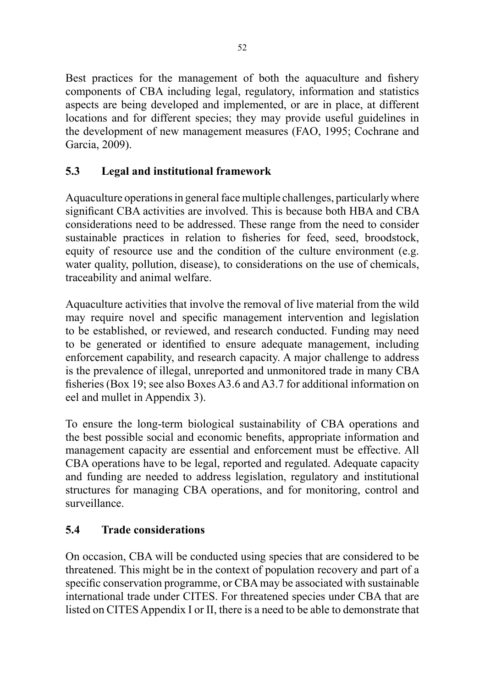Best practices for the management of both the aquaculture and fishery components of CBA including legal, regulatory, information and statistics aspects are being developed and implemented, or are in place, at different locations and for different species; they may provide useful guidelines in the development of new management measures (FAO, 1995; Cochrane and Garcia, 2009).

# **5.3 Legal and institutional framework**

Aquaculture operations in general face multiple challenges, particularly where significant CBA activities are involved. This is because both HBA and CBA considerations need to be addressed. These range from the need to consider sustainable practices in relation to fisheries for feed, seed, broodstock, equity of resource use and the condition of the culture environment (e.g. water quality, pollution, disease), to considerations on the use of chemicals, traceability and animal welfare.

Aquaculture activities that involve the removal of live material from the wild may require novel and specific management intervention and legislation to be established, or reviewed, and research conducted. Funding may need to be generated or identified to ensure adequate management, including enforcement capability, and research capacity. A major challenge to address is the prevalence of illegal, unreported and unmonitored trade in many CBA fisheries (Box 19; see also Boxes A3.6 and A3.7 for additional information on eel and mullet in Appendix 3).

To ensure the long-term biological sustainability of CBA operations and the best possible social and economic benefits, appropriate information and management capacity are essential and enforcement must be effective. All CBA operations have to be legal, reported and regulated. Adequate capacity and funding are needed to address legislation, regulatory and institutional structures for managing CBA operations, and for monitoring, control and surveillance.

# **5.4 Trade considerations**

On occasion, CBA will be conducted using species that are considered to be threatened. This might be in the context of population recovery and part of a specific conservation programme, or CBA may be associated with sustainable international trade under CITES. For threatened species under CBA that are listed on CITES Appendix I or II, there is a need to be able to demonstrate that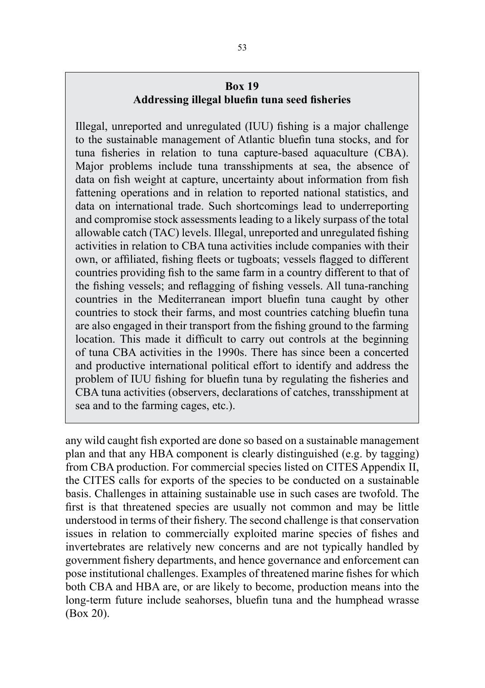## **Box 19 Addressing illegal bluefin tuna seed fisheries**

Illegal, unreported and unregulated (IUU) fishing is a major challenge to the sustainable management of Atlantic bluefin tuna stocks, and for tuna fisheries in relation to tuna capture-based aquaculture (CBA). Major problems include tuna transshipments at sea, the absence of data on fish weight at capture, uncertainty about information from fish fattening operations and in relation to reported national statistics, and data on international trade. Such shortcomings lead to underreporting and compromise stock assessments leading to a likely surpass of the total allowable catch (TAC) levels. Illegal, unreported and unregulated fishing activities in relation to CBA tuna activities include companies with their own, or affiliated, fishing fleets or tugboats; vessels flagged to different countries providing fish to the same farm in a country different to that of the fishing vessels; and reflagging of fishing vessels. All tuna-ranching countries in the Mediterranean import bluefin tuna caught by other countries to stock their farms, and most countries catching bluefin tuna are also engaged in their transport from the fishing ground to the farming location. This made it difficult to carry out controls at the beginning of tuna CBA activities in the 1990s. There has since been a concerted and productive international political effort to identify and address the problem of IUU fishing for bluefin tuna by regulating the fisheries and CBA tuna activities (observers, declarations of catches, transshipment at sea and to the farming cages, etc.).

any wild caught fish exported are done so based on a sustainable management plan and that any HBA component is clearly distinguished (e.g. by tagging) from CBA production. For commercial species listed on CITES Appendix II, the CITES calls for exports of the species to be conducted on a sustainable basis. Challenges in attaining sustainable use in such cases are twofold. The first is that threatened species are usually not common and may be little understood in terms of their fishery. The second challenge is that conservation issues in relation to commercially exploited marine species of fishes and invertebrates are relatively new concerns and are not typically handled by government fishery departments, and hence governance and enforcement can pose institutional challenges. Examples of threatened marine fishes for which both CBA and HBA are, or are likely to become, production means into the long-term future include seahorses, bluefin tuna and the humphead wrasse (Box 20).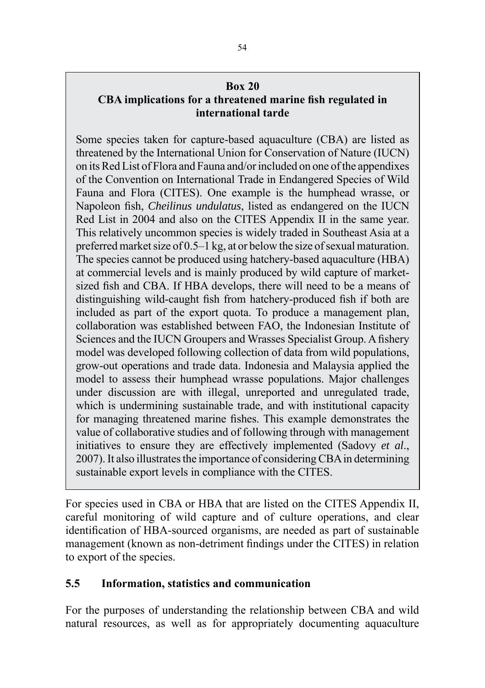### **Box 20**

## **CBA implications for a threatened marine fish regulated in international tarde**

Some species taken for capture-based aquaculture (CBA) are listed as threatened by the International Union for Conservation of Nature (IUCN) on its Red List of Flora and Fauna and/or included on one of the appendixes of the Convention on International Trade in Endangered Species of Wild Fauna and Flora (CITES). One example is the humphead wrasse, or Napoleon fish, *Cheilinus undulatus*, listed as endangered on the IUCN Red List in 2004 and also on the CITES Appendix II in the same year. This relatively uncommon species is widely traded in Southeast Asia at a preferred market size of 0.5–1 kg, at or below the size of sexual maturation. The species cannot be produced using hatchery-based aquaculture (HBA) at commercial levels and is mainly produced by wild capture of marketsized fish and CBA. If HBA develops, there will need to be a means of distinguishing wild-caught fish from hatchery-produced fish if both are included as part of the export quota. To produce a management plan, collaboration was established between FAO, the Indonesian Institute of Sciences and the IUCN Groupers and Wrasses Specialist Group. A fishery model was developed following collection of data from wild populations, grow-out operations and trade data. Indonesia and Malaysia applied the model to assess their humphead wrasse populations. Major challenges under discussion are with illegal, unreported and unregulated trade, which is undermining sustainable trade, and with institutional capacity for managing threatened marine fishes. This example demonstrates the value of collaborative studies and of following through with management initiatives to ensure they are effectively implemented (Sadovy *et al*., 2007). It also illustrates the importance of considering CBA in determining sustainable export levels in compliance with the CITES.

For species used in CBA or HBA that are listed on the CITES Appendix II, careful monitoring of wild capture and of culture operations, and clear identification of HBA-sourced organisms, are needed as part of sustainable management (known as non-detriment findings under the CITES) in relation to export of the species.

## **5.5 Information, statistics and communication**

For the purposes of understanding the relationship between CBA and wild natural resources, as well as for appropriately documenting aquaculture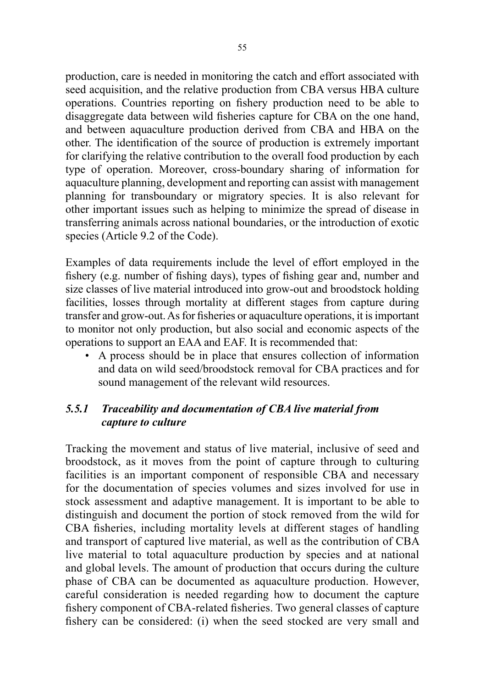production, care is needed in monitoring the catch and effort associated with seed acquisition, and the relative production from CBA versus HBA culture operations. Countries reporting on fishery production need to be able to disaggregate data between wild fisheries capture for CBA on the one hand, and between aquaculture production derived from CBA and HBA on the other. The identification of the source of production is extremely important for clarifying the relative contribution to the overall food production by each type of operation. Moreover, cross-boundary sharing of information for aquaculture planning, development and reporting can assist with management planning for transboundary or migratory species. It is also relevant for other important issues such as helping to minimize the spread of disease in transferring animals across national boundaries, or the introduction of exotic species (Article 9.2 of the Code).

Examples of data requirements include the level of effort employed in the fishery (e.g. number of fishing days), types of fishing gear and, number and size classes of live material introduced into grow-out and broodstock holding facilities, losses through mortality at different stages from capture during transfer and grow-out. As for fisheries or aquaculture operations, it is important to monitor not only production, but also social and economic aspects of the operations to support an EAA and EAF. It is recommended that:

• A process should be in place that ensures collection of information and data on wild seed/broodstock removal for CBA practices and for sound management of the relevant wild resources.

# *5.5.1 Traceability and documentation of CBA live material from capture to culture*

Tracking the movement and status of live material, inclusive of seed and broodstock, as it moves from the point of capture through to culturing facilities is an important component of responsible CBA and necessary for the documentation of species volumes and sizes involved for use in stock assessment and adaptive management. It is important to be able to distinguish and document the portion of stock removed from the wild for CBA fisheries, including mortality levels at different stages of handling and transport of captured live material, as well as the contribution of CBA live material to total aquaculture production by species and at national and global levels. The amount of production that occurs during the culture phase of CBA can be documented as aquaculture production. However, careful consideration is needed regarding how to document the capture fishery component of CBA-related fisheries. Two general classes of capture fishery can be considered: (i) when the seed stocked are very small and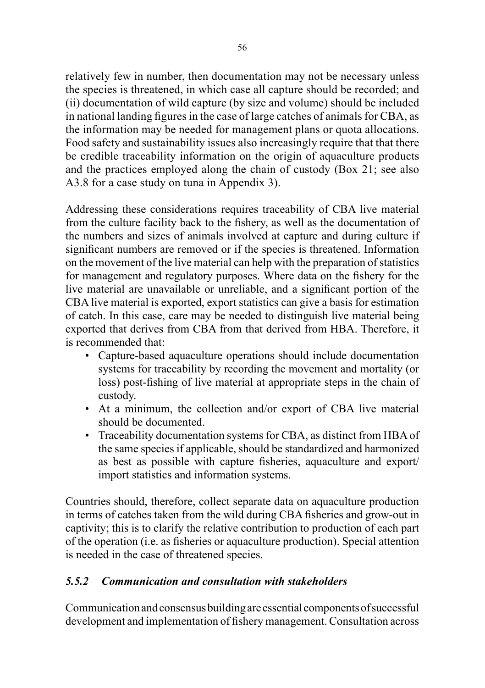relatively few in number, then documentation may not be necessary unless the species is threatened, in which case all capture should be recorded; and (ii) documentation of wild capture (by size and volume) should be included in national landing figures in the case of large catches of animals for CBA, as the information may be needed for management plans or quota allocations. Food safety and sustainability issues also increasingly require that that there be credible traceability information on the origin of aquaculture products and the practices employed along the chain of custody (Box 21; see also A3.8 for a case study on tuna in Appendix 3).

Addressing these considerations requires traceability of CBA live material from the culture facility back to the fishery, as well as the documentation of the numbers and sizes of animals involved at capture and during culture if significant numbers are removed or if the species is threatened. Information on the movement of the live material can help with the preparation of statistics for management and regulatory purposes. Where data on the fishery for the live material are unavailable or unreliable, and a significant portion of the CBA live material is exported, export statistics can give a basis for estimation of catch. In this case, care may be needed to distinguish live material being exported that derives from CBA from that derived from HBA. Therefore, it is recommended that:

- Capture-based aquaculture operations should include documentation systems for traceability by recording the movement and mortality (or loss) post-fishing of live material at appropriate steps in the chain of custody.
- At a minimum, the collection and/or export of CBA live material should be documented.
- Traceability documentation systems for CBA, as distinct from HBA of the same species if applicable, should be standardized and harmonized as best as possible with capture fisheries, aquaculture and export/ import statistics and information systems.

Countries should, therefore, collect separate data on aquaculture production in terms of catches taken from the wild during CBA fisheries and grow-out in captivity; this is to clarify the relative contribution to production of each part of the operation (i.e. as fisheries or aquaculture production). Special attention is needed in the case of threatened species.

# *5.5.2 Communication and consultation with stakeholders*

Communication and consensus building are essential components of successful development and implementation of fishery management. Consultation across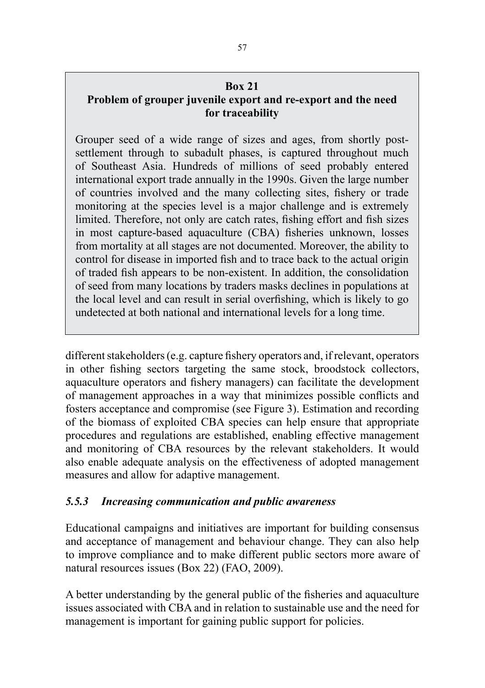#### **Box 21**

# **Problem of grouper juvenile export and re-export and the need for traceability**

Grouper seed of a wide range of sizes and ages, from shortly postsettlement through to subadult phases, is captured throughout much of Southeast Asia. Hundreds of millions of seed probably entered international export trade annually in the 1990s. Given the large number of countries involved and the many collecting sites, fishery or trade monitoring at the species level is a major challenge and is extremely limited. Therefore, not only are catch rates, fishing effort and fish sizes in most capture-based aquaculture (CBA) fisheries unknown, losses from mortality at all stages are not documented. Moreover, the ability to control for disease in imported fish and to trace back to the actual origin of traded fish appears to be non-existent. In addition, the consolidation of seed from many locations by traders masks declines in populations at the local level and can result in serial overfishing, which is likely to go undetected at both national and international levels for a long time.

different stakeholders (e.g. capture fishery operators and, if relevant, operators in other fishing sectors targeting the same stock, broodstock collectors, aquaculture operators and fishery managers) can facilitate the development of management approaches in a way that minimizes possible conflicts and fosters acceptance and compromise (see Figure 3). Estimation and recording of the biomass of exploited CBA species can help ensure that appropriate procedures and regulations are established, enabling effective management and monitoring of CBA resources by the relevant stakeholders. It would also enable adequate analysis on the effectiveness of adopted management measures and allow for adaptive management.

# *5.5.3 Increasing communication and public awareness*

Educational campaigns and initiatives are important for building consensus and acceptance of management and behaviour change. They can also help to improve compliance and to make different public sectors more aware of natural resources issues (Box 22) (FAO, 2009).

A better understanding by the general public of the fisheries and aquaculture issues associated with CBA and in relation to sustainable use and the need for management is important for gaining public support for policies.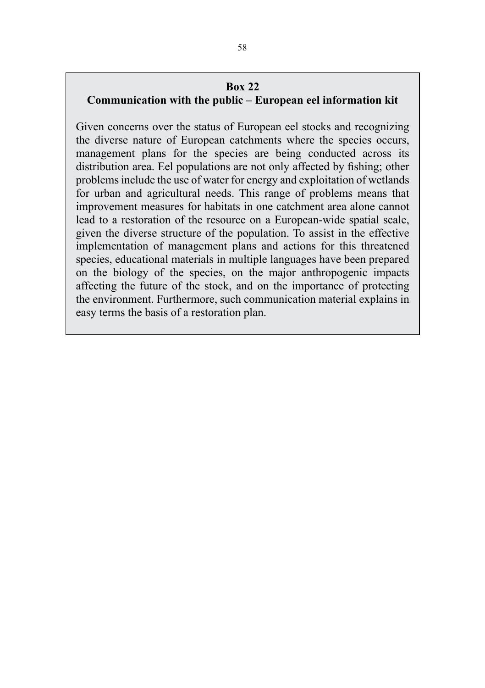#### **Box 22**

### **Communication with the public – European eel information kit**

Given concerns over the status of European eel stocks and recognizing the diverse nature of European catchments where the species occurs, management plans for the species are being conducted across its distribution area. Eel populations are not only affected by fishing; other problems include the use of water for energy and exploitation of wetlands for urban and agricultural needs. This range of problems means that improvement measures for habitats in one catchment area alone cannot lead to a restoration of the resource on a European-wide spatial scale, given the diverse structure of the population. To assist in the effective implementation of management plans and actions for this threatened species, educational materials in multiple languages have been prepared on the biology of the species, on the major anthropogenic impacts affecting the future of the stock, and on the importance of protecting the environment. Furthermore, such communication material explains in easy terms the basis of a restoration plan.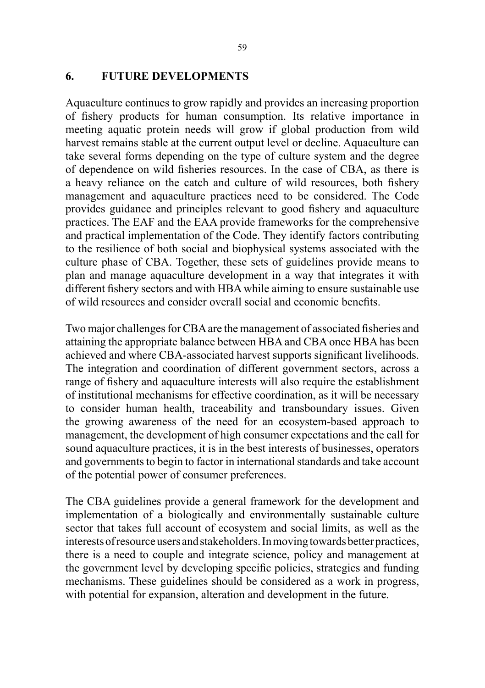#### **6. FUTURE DEVELOPMENTS**

Aquaculture continues to grow rapidly and provides an increasing proportion of fishery products for human consumption. Its relative importance in meeting aquatic protein needs will grow if global production from wild harvest remains stable at the current output level or decline. Aquaculture can take several forms depending on the type of culture system and the degree of dependence on wild fisheries resources. In the case of CBA, as there is a heavy reliance on the catch and culture of wild resources, both fishery management and aquaculture practices need to be considered. The Code provides guidance and principles relevant to good fishery and aquaculture practices. The EAF and the EAA provide frameworks for the comprehensive and practical implementation of the Code. They identify factors contributing to the resilience of both social and biophysical systems associated with the culture phase of CBA. Together, these sets of guidelines provide means to plan and manage aquaculture development in a way that integrates it with different fishery sectors and with HBA while aiming to ensure sustainable use of wild resources and consider overall social and economic benefits.

Two major challenges for CBA are the management of associated fisheries and attaining the appropriate balance between HBA and CBA once HBA has been achieved and where CBA-associated harvest supports significant livelihoods. The integration and coordination of different government sectors, across a range of fishery and aquaculture interests will also require the establishment of institutional mechanisms for effective coordination, as it will be necessary to consider human health, traceability and transboundary issues. Given the growing awareness of the need for an ecosystem-based approach to management, the development of high consumer expectations and the call for sound aquaculture practices, it is in the best interests of businesses, operators and governments to begin to factor in international standards and take account of the potential power of consumer preferences.

The CBA guidelines provide a general framework for the development and implementation of a biologically and environmentally sustainable culture sector that takes full account of ecosystem and social limits, as well as the interests of resource users and stakeholders. In moving towards better practices, there is a need to couple and integrate science, policy and management at the government level by developing specific policies, strategies and funding mechanisms. These guidelines should be considered as a work in progress, with potential for expansion, alteration and development in the future.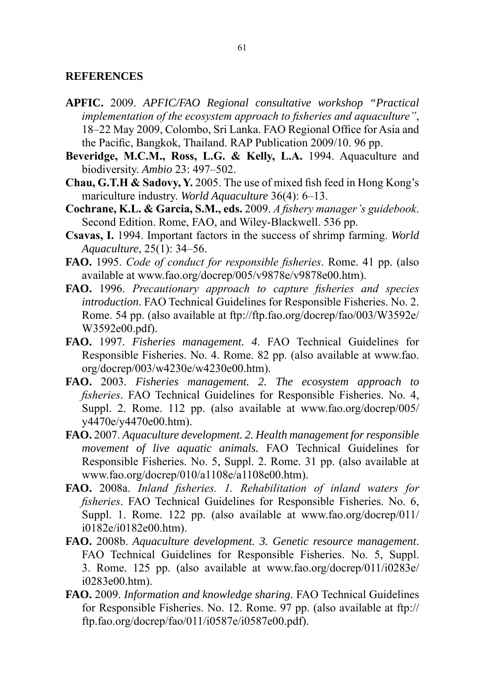#### **REFERENCES**

- **APFIC.** 2009. *APFIC/FAO Regional consultative workshop "Practical implementation of the ecosystem approach to fisheries and aquaculture"*, 18–22 May 2009, Colombo, Sri Lanka. FAO Regional Office for Asia and the Pacific, Bangkok, Thailand. RAP Publication 2009/10. 96 pp.
- **Beveridge, M.C.M., Ross, L.G. & Kelly, L.A.** 1994. Aquaculture and biodiversity. *Ambio* 23: 497–502.
- **Chau, G.T.H & Sadovy, Y.** 2005. The use of mixed fish feed in Hong Kong's mariculture industry. *World Aquaculture* 36(4): 6–13.
- **Cochrane, K.L. & Garcia, S.M., eds.** 2009. *A fishery manager's guidebook*. Second Edition. Rome, FAO, and Wiley-Blackwell. 536 pp.
- **Csavas, I.** 1994. Important factors in the success of shrimp farming. *World Aquaculture*, 25(1): 34–56.
- **FAO.** 1995. *Code of conduct for responsible fisheries*. Rome. 41 pp. (also available at www.fao.org/docrep/005/v9878e/v9878e00.htm).
- **FAO.** 1996. *Precautionary approach to capture fisheries and species introduction*. FAO Technical Guidelines for Responsible Fisheries. No. 2. Rome. 54 pp. (also available at ftp://ftp.fao.org/docrep/fao/003/W3592e/ W3592e00.pdf).
- **FAO.** 1997. *Fisheries management. 4*. FAO Technical Guidelines for Responsible Fisheries. No. 4. Rome. 82 pp. (also available at www.fao. org/docrep/003/w4230e/w4230e00.htm).
- **FAO.** 2003. *Fisheries management. 2. The ecosystem approach to fisheries*. FAO Technical Guidelines for Responsible Fisheries. No. 4, Suppl. 2. Rome. 112 pp. (also available at www.fao.org/docrep/005/ y4470e/y4470e00.htm).
- **FAO.** 2007. *Aquaculture development. 2. Health management for responsible movement of live aquatic animals.* FAO Technical Guidelines for Responsible Fisheries. No. 5, Suppl. 2. Rome. 31 pp. (also available at www.fao.org/docrep/010/a1108e/a1108e00.htm).
- **FAO.** 2008a. *Inland fisheries. 1. Rehabilitation of inland waters for fisheries*. FAO Technical Guidelines for Responsible Fisheries. No. 6, Suppl. 1. Rome. 122 pp. (also available at www.fao.org/docrep/011/ i0182e/i0182e00.htm).
- **FAO.** 2008b. *Aquaculture development. 3. Genetic resource management*. FAO Technical Guidelines for Responsible Fisheries. No. 5, Suppl. 3. Rome. 125 pp. (also available at www.fao.org/docrep/011/i0283e/ i0283e00.htm).
- **FAO.** 2009. *Information and knowledge sharing*. FAO Technical Guidelines for Responsible Fisheries. No. 12. Rome. 97 pp. (also available at ftp:// ftp.fao.org/docrep/fao/011/i0587e/i0587e00.pdf).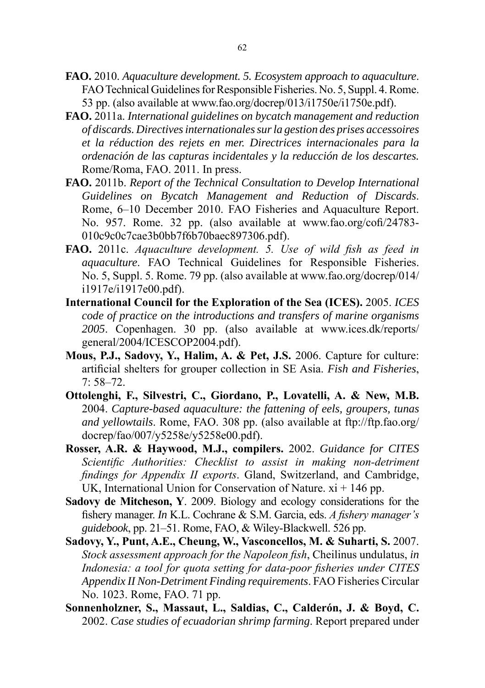- **FAO.** 2010. *Aquaculture development. 5. Ecosystem approach to aquaculture*. FAO Technical Guidelines for Responsible Fisheries. No. 5, Suppl. 4. Rome. 53 pp. (also available at www.fao.org/docrep/013/i1750e/i1750e.pdf).
- **FAO.** 2011a. *International guidelines on bycatch management and reduction of discards. Directives internationales sur la gestion des prises accessoires et la réduction des rejets en mer. Directrices internacionales para la ordenación de las capturas incidentales y la reducción de los descartes.* Rome/Roma, FAO. 2011. In press.
- **FAO.** 2011b. *Report of the Technical Consultation to Develop International Guidelines on Bycatch Management and Reduction of Discards*. Rome, 6–10 December 2010. FAO Fisheries and Aquaculture Report. No. 957. Rome. 32 pp. (also available at www.fao.org/cofi/24783- 010c9c0c7cae3b0bb7f6b70baec897306.pdf).
- **FAO.** 2011c. *Aquaculture development. 5. Use of wild fish as feed in aquaculture*. FAO Technical Guidelines for Responsible Fisheries. No. 5, Suppl. 5. Rome. 79 pp. (also available at www.fao.org/docrep/014/ i1917e/i1917e00.pdf).
- **International Council for the Exploration of the Sea (ICES).** 2005. *ICES code of practice on the introductions and transfers of marine organisms 2005*. Copenhagen. 30 pp. (also available at www.ices.dk/reports/ general/2004/ICESCOP2004.pdf).
- **Mous, P.J., Sadovy, Y., Halim, A. & Pet, J.S.** 2006. Capture for culture: artificial shelters for grouper collection in SE Asia. *Fish and Fisheries*, 7: 58–72.
- **Ottolenghi, F., Silvestri, C., Giordano, P., Lovatelli, A. & New, M.B.** 2004. *Capture-based aquaculture: the fattening of eels, groupers, tunas and yellowtails*. Rome, FAO. 308 pp. (also available at ftp://ftp.fao.org/ docrep/fao/007/y5258e/y5258e00.pdf).
- **Rosser, A.R. & Haywood, M.J., compilers.** 2002. *Guidance for CITES Scientific Authorities: Checklist to assist in making non-detriment findings for Appendix II exports*. Gland, Switzerland, and Cambridge, UK, International Union for Conservation of Nature.  $xi + 146$  pp.
- **Sadovy de Mitcheson, Y**. 2009. Biology and ecology considerations for the fishery manager. *In* K.L. Cochrane & S.M. Garcia, eds. *A fishery manager's guidebook*, pp. 21–51. Rome, FAO, & Wiley-Blackwell. 526 pp.
- **Sadovy, Y., Punt, A.E., Cheung, W., Vasconcellos, M. & Suharti, S.** 2007. *Stock assessment approach for the Napoleon fish*, Cheilinus undulatus, *in Indonesia: a tool for quota setting for data-poor fisheries under CITES Appendix II Non-Detriment Finding requirements*. FAO Fisheries Circular No. 1023. Rome, FAO. 71 pp.
- **Sonnenholzner, S., Massaut, L., Saldias, C., Calderón, J. & Boyd, C.** 2002. *Case studies of ecuadorian shrimp farming*. Report prepared under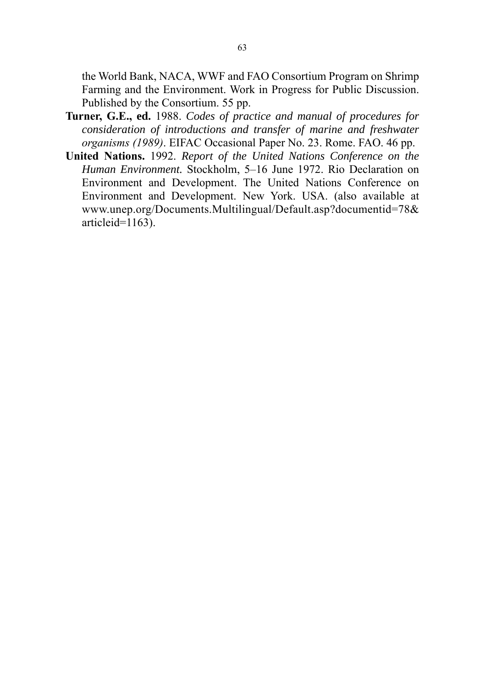the World Bank, NACA, WWF and FAO Consortium Program on Shrimp Farming and the Environment. Work in Progress for Public Discussion. Published by the Consortium. 55 pp.

- **Turner, G.E., ed.** 1988. *Codes of practice and manual of procedures for consideration of introductions and transfer of marine and freshwater organisms (1989)*. EIFAC Occasional Paper No. 23. Rome. FAO. 46 pp.
- **United Nations.** 1992. *Report of the United Nations Conference on the Human Environment.* Stockholm, 5–16 June 1972. Rio Declaration on Environment and Development. The United Nations Conference on Environment and Development. New York. USA. (also available at www.unep.org/Documents.Multilingual/Default.asp?documentid=78& articleid=1163).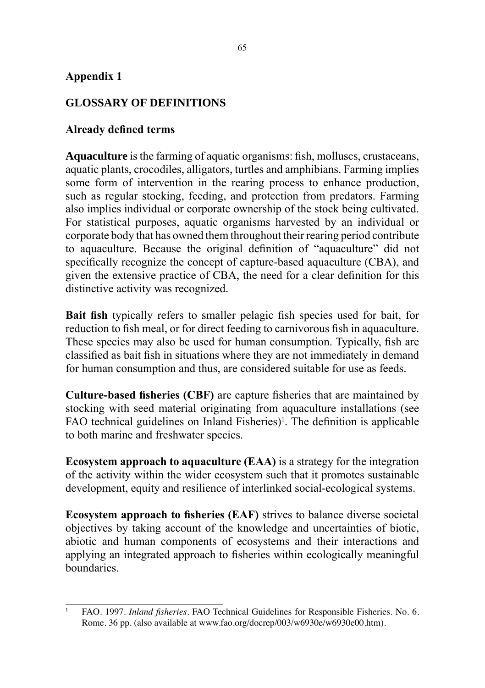## **Appendix 1**

# **GLOSSARY OF DEFINITIONS**

## **Already defined terms**

**Aquaculture** is the farming of aquatic organisms: fish, molluscs, crustaceans, aquatic plants, crocodiles, alligators, turtles and amphibians. Farming implies some form of intervention in the rearing process to enhance production, such as regular stocking, feeding, and protection from predators. Farming also implies individual or corporate ownership of the stock being cultivated. For statistical purposes, aquatic organisms harvested by an individual or corporate body that has owned them throughout their rearing period contribute to aquaculture. Because the original definition of "aquaculture" did not specifically recognize the concept of capture-based aquaculture (CBA), and given the extensive practice of CBA, the need for a clear definition for this distinctive activity was recognized.

**Bait fish** typically refers to smaller pelagic fish species used for bait, for reduction to fish meal, or for direct feeding to carnivorous fish in aquaculture. These species may also be used for human consumption. Typically, fish are classified as bait fish in situations where they are not immediately in demand for human consumption and thus, are considered suitable for use as feeds.

**Culture-based fisheries (CBF)** are capture fisheries that are maintained by stocking with seed material originating from aquaculture installations (see FAO technical guidelines on Inland Fisheries)<sup>1</sup>. The definition is applicable to both marine and freshwater species.

**Ecosystem approach to aquaculture (EAA)** is a strategy for the integration of the activity within the wider ecosystem such that it promotes sustainable development, equity and resilience of interlinked social-ecological systems.

**Ecosystem approach to fisheries (EAF)** strives to balance diverse societal objectives by taking account of the knowledge and uncertainties of biotic, abiotic and human components of ecosystems and their interactions and applying an integrated approach to fisheries within ecologically meaningful boundaries.

<sup>1</sup> FAO. 1997. *Inland fisheries*. FAO Technical Guidelines for Responsible Fisheries. No. 6. Rome. 36 pp. (also available at www.fao.org/docrep/003/w6930e/w6930e00.htm).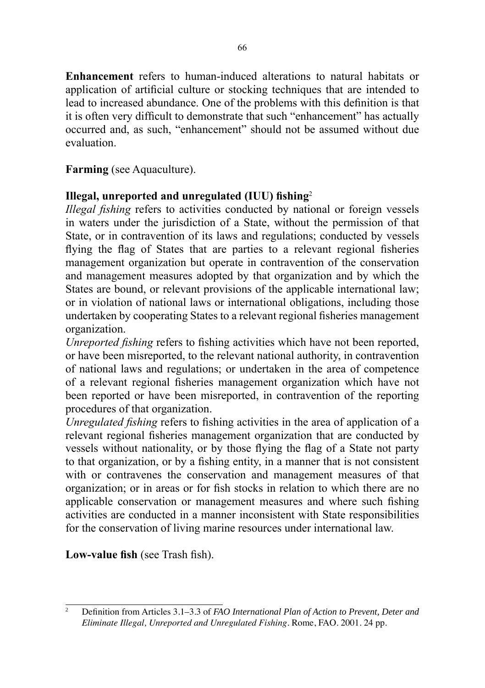**Enhancement** refers to human-induced alterations to natural habitats or application of artificial culture or stocking techniques that are intended to lead to increased abundance. One of the problems with this definition is that it is often very difficult to demonstrate that such "enhancement" has actually occurred and, as such, "enhancement" should not be assumed without due evaluation.

## **Farming** (see Aquaculture).

# **Illegal, unreported and unregulated (IUU) fishing**<sup>2</sup>

*Illegal fishing* refers to activities conducted by national or foreign vessels in waters under the jurisdiction of a State, without the permission of that State, or in contravention of its laws and regulations; conducted by vessels flying the flag of States that are parties to a relevant regional fisheries management organization but operate in contravention of the conservation and management measures adopted by that organization and by which the States are bound, or relevant provisions of the applicable international law; or in violation of national laws or international obligations, including those undertaken by cooperating States to a relevant regional fisheries management organization.

*Unreported fishing* refers to fishing activities which have not been reported, or have been misreported, to the relevant national authority, in contravention of national laws and regulations; or undertaken in the area of competence of a relevant regional fisheries management organization which have not been reported or have been misreported, in contravention of the reporting procedures of that organization.

*Unregulated fishing* refers to fishing activities in the area of application of a relevant regional fisheries management organization that are conducted by vessels without nationality, or by those flying the flag of a State not party to that organization, or by a fishing entity, in a manner that is not consistent with or contravenes the conservation and management measures of that organization; or in areas or for fish stocks in relation to which there are no applicable conservation or management measures and where such fishing activities are conducted in a manner inconsistent with State responsibilities for the conservation of living marine resources under international law.

**Low-value fish** (see Trash fish).

<sup>2</sup> Definition from Articles 3.1–3.3 of *FAO International Plan of Action to Prevent, Deter and Eliminate Illegal, Unreported and Unregulated Fishing*. Rome, FAO. 2001. 24 pp.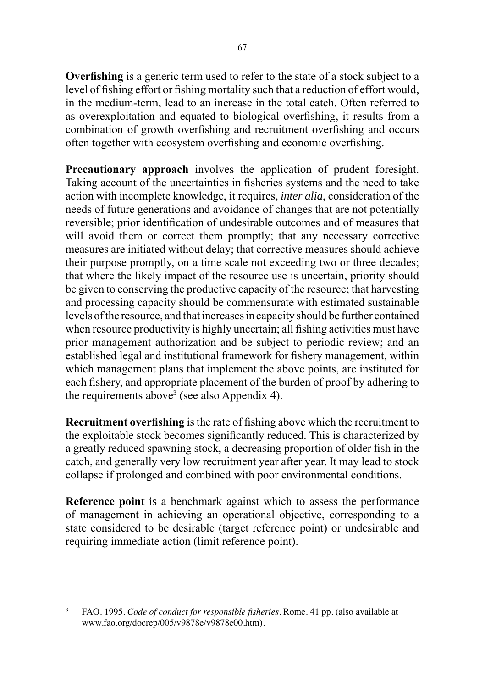**Overfishing** is a generic term used to refer to the state of a stock subject to a level of fishing effort or fishing mortality such that a reduction of effort would, in the medium-term, lead to an increase in the total catch. Often referred to as overexploitation and equated to biological overfishing, it results from a combination of growth overfishing and recruitment overfishing and occurs often together with ecosystem overfishing and economic overfishing.

**Precautionary approach** involves the application of prudent foresight. Taking account of the uncertainties in fisheries systems and the need to take action with incomplete knowledge, it requires, *inter alia*, consideration of the needs of future generations and avoidance of changes that are not potentially reversible; prior identification of undesirable outcomes and of measures that will avoid them or correct them promptly; that any necessary corrective measures are initiated without delay; that corrective measures should achieve their purpose promptly, on a time scale not exceeding two or three decades; that where the likely impact of the resource use is uncertain, priority should be given to conserving the productive capacity of the resource; that harvesting and processing capacity should be commensurate with estimated sustainable levels of the resource, and that increases in capacity should be further contained when resource productivity is highly uncertain; all fishing activities must have prior management authorization and be subject to periodic review; and an established legal and institutional framework for fishery management, within which management plans that implement the above points, are instituted for each fishery, and appropriate placement of the burden of proof by adhering to the requirements above<sup>3</sup> (see also Appendix 4).

**Recruitment overfishing** is the rate of fishing above which the recruitment to the exploitable stock becomes significantly reduced. This is characterized by a greatly reduced spawning stock, a decreasing proportion of older fish in the catch, and generally very low recruitment year after year. It may lead to stock collapse if prolonged and combined with poor environmental conditions.

**Reference point** is a benchmark against which to assess the performance of management in achieving an operational objective, corresponding to a state considered to be desirable (target reference point) or undesirable and requiring immediate action (limit reference point).

<sup>3</sup> FAO. 1995. *Code of conduct for responsible fisheries*. Rome. 41 pp. (also available at www.fao.org/docrep/005/v9878e/v9878e00.htm).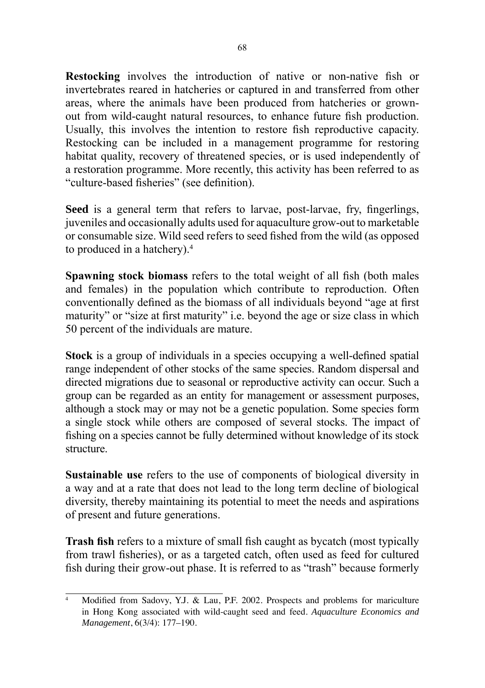**Restocking** involves the introduction of native or non-native fish or invertebrates reared in hatcheries or captured in and transferred from other areas, where the animals have been produced from hatcheries or grownout from wild-caught natural resources, to enhance future fish production. Usually, this involves the intention to restore fish reproductive capacity. Restocking can be included in a management programme for restoring habitat quality, recovery of threatened species, or is used independently of a restoration programme. More recently, this activity has been referred to as "culture-based fisheries" (see definition).

**Seed** is a general term that refers to larvae, post-larvae, fry, fingerlings, juveniles and occasionally adults used for aquaculture grow-out to marketable or consumable size. Wild seed refers to seed fished from the wild (as opposed to produced in a hatchery).<sup>4</sup>

**Spawning stock biomass** refers to the total weight of all fish (both males and females) in the population which contribute to reproduction. Often conventionally defined as the biomass of all individuals beyond "age at first maturity" or "size at first maturity" i.e. beyond the age or size class in which 50 percent of the individuals are mature.

**Stock** is a group of individuals in a species occupying a well-defined spatial range independent of other stocks of the same species. Random dispersal and directed migrations due to seasonal or reproductive activity can occur. Such a group can be regarded as an entity for management or assessment purposes, although a stock may or may not be a genetic population. Some species form a single stock while others are composed of several stocks. The impact of fishing on a species cannot be fully determined without knowledge of its stock structure.

**Sustainable use** refers to the use of components of biological diversity in a way and at a rate that does not lead to the long term decline of biological diversity, thereby maintaining its potential to meet the needs and aspirations of present and future generations.

**Trash fish** refers to a mixture of small fish caught as bycatch (most typically from trawl fisheries), or as a targeted catch, often used as feed for cultured fish during their grow-out phase. It is referred to as "trash" because formerly

Modified from Sadovy, Y.J. & Lau, P.F. 2002. Prospects and problems for mariculture in Hong Kong associated with wild-caught seed and feed. *Aquaculture Economics and Management*, 6(3/4): 177–190.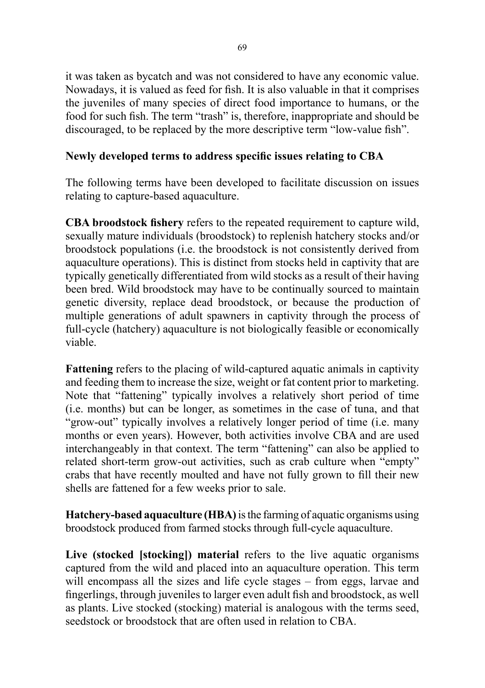it was taken as bycatch and was not considered to have any economic value. Nowadays, it is valued as feed for fish. It is also valuable in that it comprises the juveniles of many species of direct food importance to humans, or the food for such fish. The term "trash" is, therefore, inappropriate and should be discouraged, to be replaced by the more descriptive term "low-value fish".

## **Newly developed terms to address specific issues relating to CBA**

The following terms have been developed to facilitate discussion on issues relating to capture-based aquaculture.

**CBA broodstock fishery** refers to the repeated requirement to capture wild, sexually mature individuals (broodstock) to replenish hatchery stocks and/or broodstock populations (i.e. the broodstock is not consistently derived from aquaculture operations). This is distinct from stocks held in captivity that are typically genetically differentiated from wild stocks as a result of their having been bred. Wild broodstock may have to be continually sourced to maintain genetic diversity, replace dead broodstock, or because the production of multiple generations of adult spawners in captivity through the process of full-cycle (hatchery) aquaculture is not biologically feasible or economically viable.

**Fattening** refers to the placing of wild-captured aquatic animals in captivity and feeding them to increase the size, weight or fat content prior to marketing. Note that "fattening" typically involves a relatively short period of time (i.e. months) but can be longer, as sometimes in the case of tuna, and that "grow-out" typically involves a relatively longer period of time (i.e. many months or even years). However, both activities involve CBA and are used interchangeably in that context. The term "fattening" can also be applied to related short-term grow-out activities, such as crab culture when "empty" crabs that have recently moulted and have not fully grown to fill their new shells are fattened for a few weeks prior to sale.

**Hatchery-based aquaculture (HBA)** is the farming of aquatic organisms using broodstock produced from farmed stocks through full-cycle aquaculture.

**Live (stocked [stocking]) material** refers to the live aquatic organisms captured from the wild and placed into an aquaculture operation. This term will encompass all the sizes and life cycle stages – from eggs, larvae and fingerlings, through juveniles to larger even adult fish and broodstock, as well as plants. Live stocked (stocking) material is analogous with the terms seed, seedstock or broodstock that are often used in relation to CBA.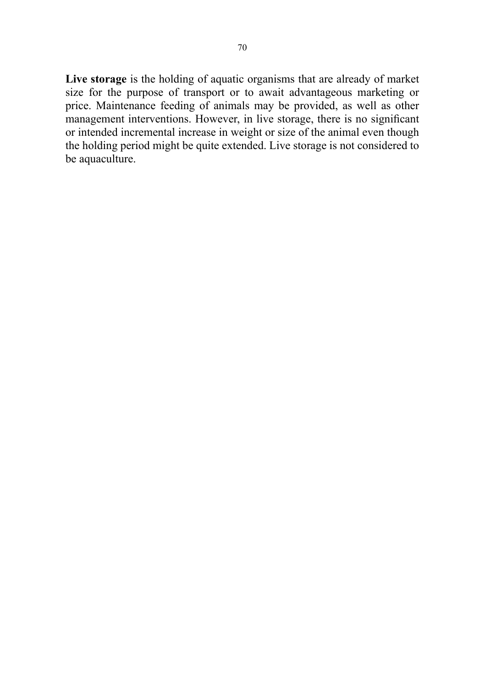**Live storage** is the holding of aquatic organisms that are already of market size for the purpose of transport or to await advantageous marketing or price. Maintenance feeding of animals may be provided, as well as other management interventions. However, in live storage, there is no significant or intended incremental increase in weight or size of the animal even though the holding period might be quite extended. Live storage is not considered to be aquaculture.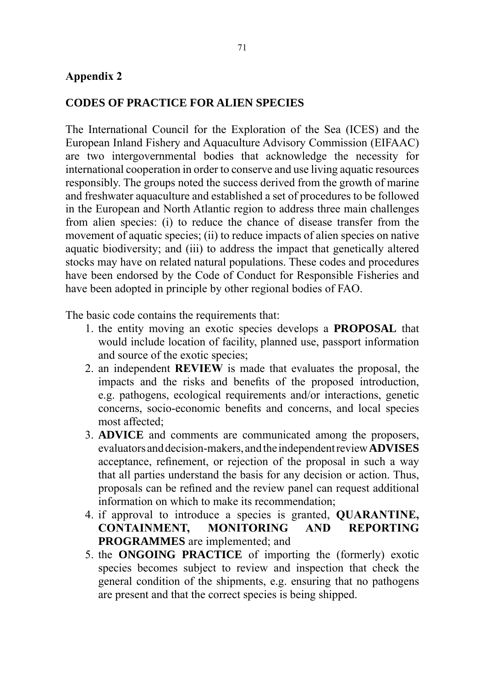#### **Appendix 2**

#### **CODES OF PRACTICE FOR ALIEN SPECIES**

The International Council for the Exploration of the Sea (ICES) and the European Inland Fishery and Aquaculture Advisory Commission (EIFAAC) are two intergovernmental bodies that acknowledge the necessity for international cooperation in order to conserve and use living aquatic resources responsibly. The groups noted the success derived from the growth of marine and freshwater aquaculture and established a set of procedures to be followed in the European and North Atlantic region to address three main challenges from alien species: (i) to reduce the chance of disease transfer from the movement of aquatic species; (ii) to reduce impacts of alien species on native aquatic biodiversity; and (iii) to address the impact that genetically altered stocks may have on related natural populations. These codes and procedures have been endorsed by the Code of Conduct for Responsible Fisheries and have been adopted in principle by other regional bodies of FAO.

The basic code contains the requirements that:

- 1. the entity moving an exotic species develops a **PROPOSAL** that would include location of facility, planned use, passport information and source of the exotic species;
- 2. an independent **REVIEW** is made that evaluates the proposal, the impacts and the risks and benefits of the proposed introduction, e.g. pathogens, ecological requirements and/or interactions, genetic concerns, socio-economic benefits and concerns, and local species most affected;
- 3. **ADVICE** and comments are communicated among the proposers, evaluators and decision-makers, and the independent review **ADVISES**  acceptance, refinement, or rejection of the proposal in such a way that all parties understand the basis for any decision or action. Thus, proposals can be refined and the review panel can request additional information on which to make its recommendation;
- 4. if approval to introduce a species is granted, **QUARANTINE, CONTAINMENT, MONITORING AND REPORTING PROGRAMMES** are implemented; and
- 5. the **ONGOING PRACTICE** of importing the (formerly) exotic species becomes subject to review and inspection that check the general condition of the shipments, e.g. ensuring that no pathogens are present and that the correct species is being shipped.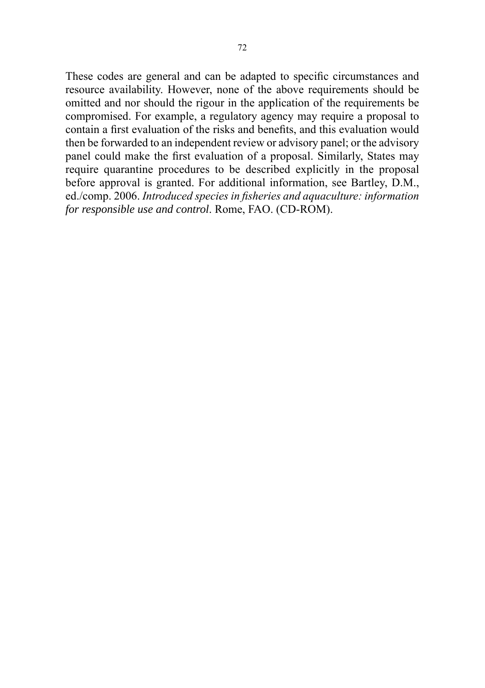These codes are general and can be adapted to specific circumstances and resource availability. However, none of the above requirements should be omitted and nor should the rigour in the application of the requirements be compromised. For example, a regulatory agency may require a proposal to contain a first evaluation of the risks and benefits, and this evaluation would then be forwarded to an independent review or advisory panel; or the advisory panel could make the first evaluation of a proposal. Similarly, States may require quarantine procedures to be described explicitly in the proposal before approval is granted. For additional information, see Bartley, D.M., ed./comp. 2006. *Introduced species in fisheries and aquaculture: information for responsible use and control*. Rome, FAO. (CD-ROM).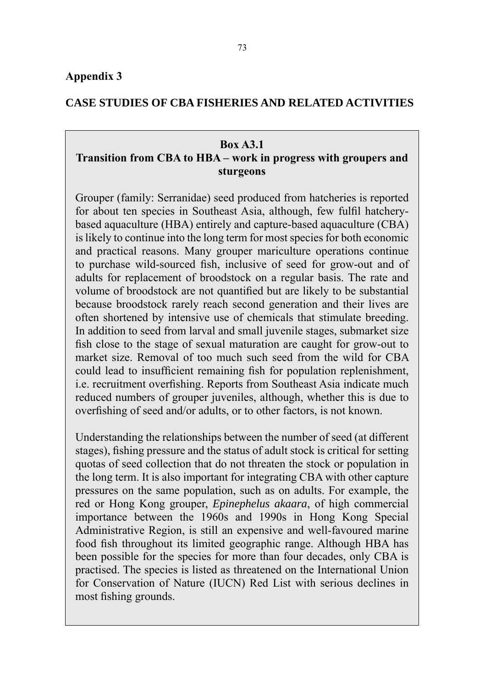### **CASE STUDIES OF CBA FISHERIES AND RELATED ACTIVITIES**

#### **Box A3.1**

# **Transition from CBA to HBA – work in progress with groupers and sturgeons**

Grouper (family: Serranidae) seed produced from hatcheries is reported for about ten species in Southeast Asia, although, few fulfil hatcherybased aquaculture (HBA) entirely and capture-based aquaculture (CBA) is likely to continue into the long term for most species for both economic and practical reasons. Many grouper mariculture operations continue to purchase wild-sourced fish, inclusive of seed for grow-out and of adults for replacement of broodstock on a regular basis. The rate and volume of broodstock are not quantified but are likely to be substantial because broodstock rarely reach second generation and their lives are often shortened by intensive use of chemicals that stimulate breeding. In addition to seed from larval and small juvenile stages, submarket size fish close to the stage of sexual maturation are caught for grow-out to market size. Removal of too much such seed from the wild for CBA could lead to insufficient remaining fish for population replenishment, i.e. recruitment overfishing. Reports from Southeast Asia indicate much reduced numbers of grouper juveniles, although, whether this is due to overfishing of seed and/or adults, or to other factors, is not known.

Understanding the relationships between the number of seed (at different stages), fishing pressure and the status of adult stock is critical for setting quotas of seed collection that do not threaten the stock or population in the long term. It is also important for integrating CBA with other capture pressures on the same population, such as on adults. For example, the red or Hong Kong grouper, *Epinephelus akaara*, of high commercial importance between the 1960s and 1990s in Hong Kong Special Administrative Region, is still an expensive and well-favoured marine food fish throughout its limited geographic range. Although HBA has been possible for the species for more than four decades, only CBA is practised. The species is listed as threatened on the International Union for Conservation of Nature (IUCN) Red List with serious declines in most fishing grounds.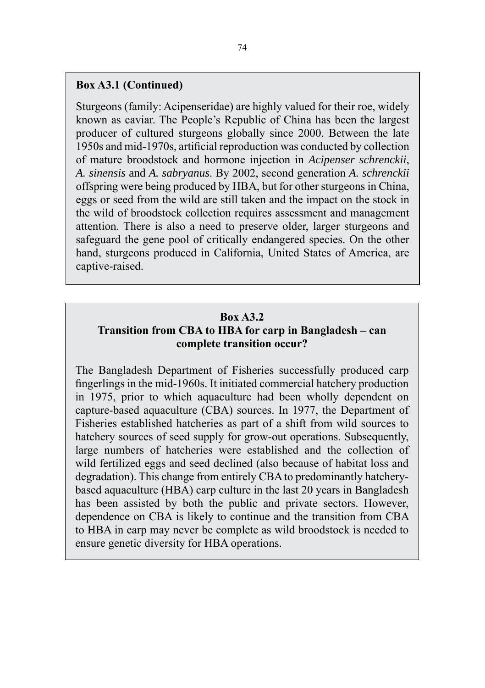#### **Box A3.1 (Continued)**

Sturgeons (family: Acipenseridae) are highly valued for their roe, widely known as caviar. The People's Republic of China has been the largest producer of cultured sturgeons globally since 2000. Between the late 1950s and mid-1970s, artificial reproduction was conducted by collection of mature broodstock and hormone injection in *Acipenser schrenckii*, *A. sinensis* and *A. sabryanus*. By 2002, second generation *A. schrenckii* offspring were being produced by HBA, but for other sturgeons in China, eggs or seed from the wild are still taken and the impact on the stock in the wild of broodstock collection requires assessment and management attention. There is also a need to preserve older, larger sturgeons and safeguard the gene pool of critically endangered species. On the other hand, sturgeons produced in California, United States of America, are captive-raised.

# **Box A3.2 Transition from CBA to HBA for carp in Bangladesh – can complete transition occur?**

The Bangladesh Department of Fisheries successfully produced carp fingerlings in the mid-1960s. It initiated commercial hatchery production in 1975, prior to which aquaculture had been wholly dependent on capture-based aquaculture (CBA) sources. In 1977, the Department of Fisheries established hatcheries as part of a shift from wild sources to hatchery sources of seed supply for grow-out operations. Subsequently, large numbers of hatcheries were established and the collection of wild fertilized eggs and seed declined (also because of habitat loss and degradation). This change from entirely CBA to predominantly hatcherybased aquaculture (HBA) carp culture in the last 20 years in Bangladesh has been assisted by both the public and private sectors. However, dependence on CBA is likely to continue and the transition from CBA to HBA in carp may never be complete as wild broodstock is needed to ensure genetic diversity for HBA operations.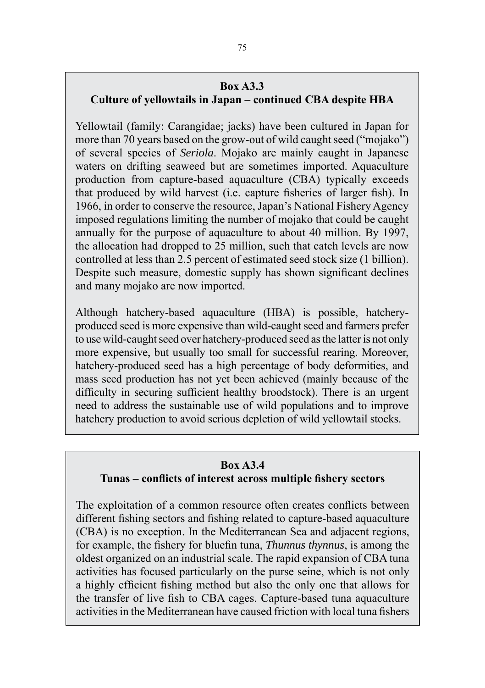#### **Box A3.3**

# **Culture of yellowtails in Japan – continued CBA despite HBA**

Yellowtail (family: Carangidae; jacks) have been cultured in Japan for more than 70 years based on the grow-out of wild caught seed ("mojako") of several species of *Seriola*. Mojako are mainly caught in Japanese waters on drifting seaweed but are sometimes imported. Aquaculture production from capture-based aquaculture (CBA) typically exceeds that produced by wild harvest (i.e. capture fisheries of larger fish). In 1966, in order to conserve the resource, Japan's National Fishery Agency imposed regulations limiting the number of mojako that could be caught annually for the purpose of aquaculture to about 40 million. By 1997, the allocation had dropped to 25 million, such that catch levels are now controlled at less than 2.5 percent of estimated seed stock size (1 billion). Despite such measure, domestic supply has shown significant declines and many mojako are now imported.

Although hatchery-based aquaculture (HBA) is possible, hatcheryproduced seed is more expensive than wild-caught seed and farmers prefer to use wild-caught seed over hatchery-produced seed as the latter is not only more expensive, but usually too small for successful rearing. Moreover, hatchery-produced seed has a high percentage of body deformities, and mass seed production has not yet been achieved (mainly because of the difficulty in securing sufficient healthy broodstock). There is an urgent need to address the sustainable use of wild populations and to improve hatchery production to avoid serious depletion of wild yellowtail stocks.

#### **Box A3.4**

# **Tunas – conflicts of interest across multiple fishery sectors**

The exploitation of a common resource often creates conflicts between different fishing sectors and fishing related to capture-based aquaculture (CBA) is no exception. In the Mediterranean Sea and adjacent regions, for example, the fishery for bluefin tuna, *Thunnus thynnus*, is among the oldest organized on an industrial scale. The rapid expansion of CBA tuna activities has focused particularly on the purse seine, which is not only a highly efficient fishing method but also the only one that allows for the transfer of live fish to CBA cages. Capture-based tuna aquaculture activities in the Mediterranean have caused friction with local tuna fishers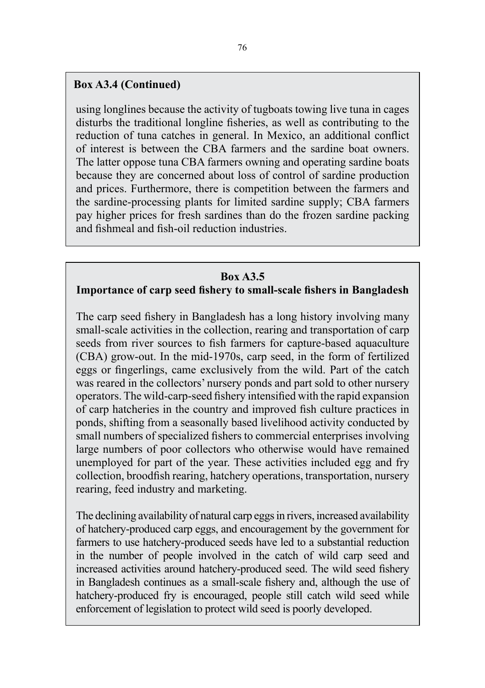# **Box A3.4 (Continued)**

using longlines because the activity of tugboats towing live tuna in cages disturbs the traditional longline fisheries, as well as contributing to the reduction of tuna catches in general. In Mexico, an additional conflict of interest is between the CBA farmers and the sardine boat owners. The latter oppose tuna CBA farmers owning and operating sardine boats because they are concerned about loss of control of sardine production and prices. Furthermore, there is competition between the farmers and the sardine-processing plants for limited sardine supply; CBA farmers pay higher prices for fresh sardines than do the frozen sardine packing and fishmeal and fish-oil reduction industries.

#### **Box A3.5**

#### **Importance of carp seed fishery to small-scale fishers in Bangladesh**

The carp seed fishery in Bangladesh has a long history involving many small-scale activities in the collection, rearing and transportation of carp seeds from river sources to fish farmers for capture-based aquaculture (CBA) grow-out. In the mid-1970s, carp seed, in the form of fertilized eggs or fingerlings, came exclusively from the wild. Part of the catch was reared in the collectors' nursery ponds and part sold to other nursery operators. The wild-carp-seed fishery intensified with the rapid expansion of carp hatcheries in the country and improved fish culture practices in ponds, shifting from a seasonally based livelihood activity conducted by small numbers of specialized fishers to commercial enterprises involving large numbers of poor collectors who otherwise would have remained unemployed for part of the year. These activities included egg and fry collection, broodfish rearing, hatchery operations, transportation, nursery rearing, feed industry and marketing.

The declining availability of natural carp eggs in rivers, increased availability of hatchery-produced carp eggs, and encouragement by the government for farmers to use hatchery-produced seeds have led to a substantial reduction in the number of people involved in the catch of wild carp seed and increased activities around hatchery-produced seed. The wild seed fishery in Bangladesh continues as a small-scale fishery and, although the use of hatchery-produced fry is encouraged, people still catch wild seed while enforcement of legislation to protect wild seed is poorly developed.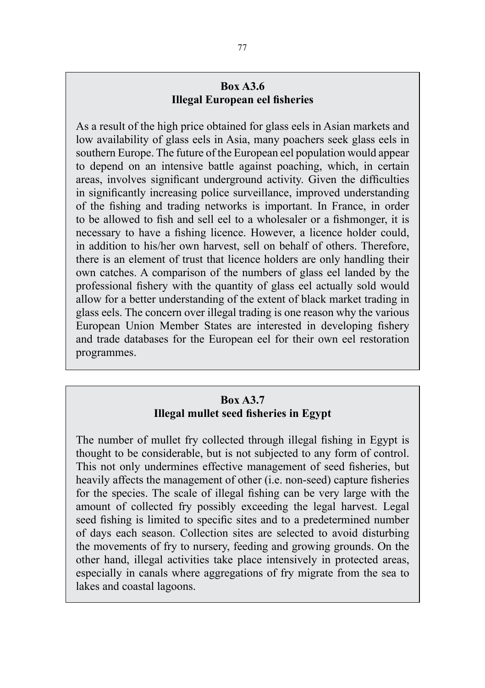## **Box A3.6 Illegal European eel fisheries**

As a result of the high price obtained for glass eels in Asian markets and low availability of glass eels in Asia, many poachers seek glass eels in southern Europe. The future of the European eel population would appear to depend on an intensive battle against poaching, which, in certain areas, involves significant underground activity. Given the difficulties in significantly increasing police surveillance, improved understanding of the fishing and trading networks is important. In France, in order to be allowed to fish and sell eel to a wholesaler or a fishmonger, it is necessary to have a fishing licence. However, a licence holder could, in addition to his/her own harvest, sell on behalf of others. Therefore, there is an element of trust that licence holders are only handling their own catches. A comparison of the numbers of glass eel landed by the professional fishery with the quantity of glass eel actually sold would allow for a better understanding of the extent of black market trading in glass eels. The concern over illegal trading is one reason why the various European Union Member States are interested in developing fishery and trade databases for the European eel for their own eel restoration programmes.

# **Box A3.7 Illegal mullet seed fisheries in Egypt**

The number of mullet fry collected through illegal fishing in Egypt is thought to be considerable, but is not subjected to any form of control. This not only undermines effective management of seed fisheries, but heavily affects the management of other (i.e. non-seed) capture fisheries for the species. The scale of illegal fishing can be very large with the amount of collected fry possibly exceeding the legal harvest. Legal seed fishing is limited to specific sites and to a predetermined number of days each season. Collection sites are selected to avoid disturbing the movements of fry to nursery, feeding and growing grounds. On the other hand, illegal activities take place intensively in protected areas, especially in canals where aggregations of fry migrate from the sea to lakes and coastal lagoons.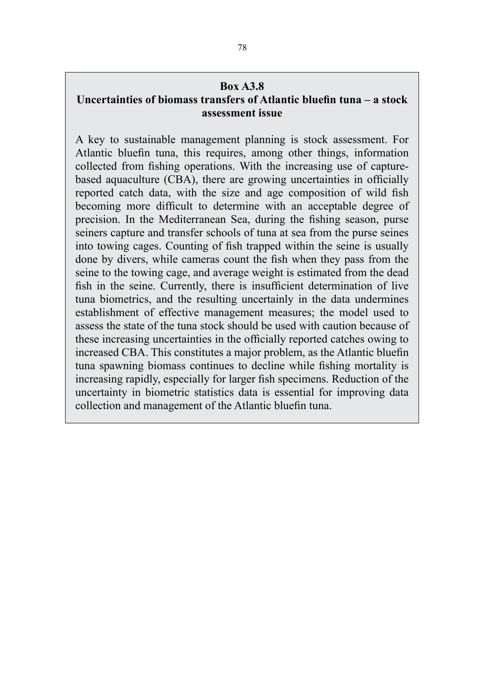# **Box A3.8**

## **Uncertainties of biomass transfers of Atlantic bluefin tuna – a stock assessment issue**

A key to sustainable management planning is stock assessment. For Atlantic bluefin tuna, this requires, among other things, information collected from fishing operations. With the increasing use of capturebased aquaculture (CBA), there are growing uncertainties in officially reported catch data, with the size and age composition of wild fish becoming more difficult to determine with an acceptable degree of precision. In the Mediterranean Sea, during the fishing season, purse seiners capture and transfer schools of tuna at sea from the purse seines into towing cages. Counting of fish trapped within the seine is usually done by divers, while cameras count the fish when they pass from the seine to the towing cage, and average weight is estimated from the dead fish in the seine. Currently, there is insufficient determination of live tuna biometrics, and the resulting uncertainly in the data undermines establishment of effective management measures; the model used to assess the state of the tuna stock should be used with caution because of these increasing uncertainties in the officially reported catches owing to increased CBA. This constitutes a major problem, as the Atlantic bluefin tuna spawning biomass continues to decline while fishing mortality is increasing rapidly, especially for larger fish specimens. Reduction of the uncertainty in biometric statistics data is essential for improving data collection and management of the Atlantic bluefin tuna.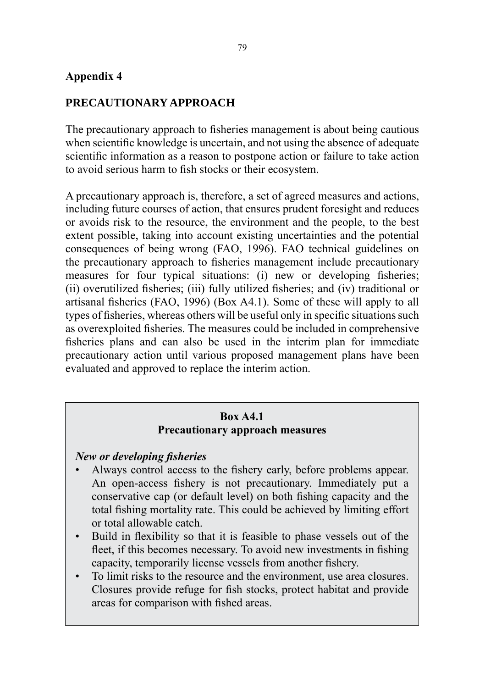### **Appendix 4**

## **PRECAUTIONARY APPROACH**

The precautionary approach to fisheries management is about being cautious when scientific knowledge is uncertain, and not using the absence of adequate scientific information as a reason to postpone action or failure to take action to avoid serious harm to fish stocks or their ecosystem.

A precautionary approach is, therefore, a set of agreed measures and actions, including future courses of action, that ensures prudent foresight and reduces or avoids risk to the resource, the environment and the people, to the best extent possible, taking into account existing uncertainties and the potential consequences of being wrong (FAO, 1996). FAO technical guidelines on the precautionary approach to fisheries management include precautionary measures for four typical situations: (i) new or developing fisheries; (ii) overutilized fisheries; (iii) fully utilized fisheries; and (iv) traditional or artisanal fisheries (FAO, 1996) (Box A4.1). Some of these will apply to all types of fisheries, whereas others will be useful only in specific situations such as overexploited fisheries. The measures could be included in comprehensive fisheries plans and can also be used in the interim plan for immediate precautionary action until various proposed management plans have been evaluated and approved to replace the interim action.

## **Box A4.1 Precautionary approach measures**

#### *New or developing fisheries*

- Always control access to the fishery early, before problems appear. An open-access fishery is not precautionary. Immediately put a conservative cap (or default level) on both fishing capacity and the total fishing mortality rate. This could be achieved by limiting effort or total allowable catch.
- Build in flexibility so that it is feasible to phase vessels out of the fleet, if this becomes necessary. To avoid new investments in fishing capacity, temporarily license vessels from another fishery.
- To limit risks to the resource and the environment, use area closures. Closures provide refuge for fish stocks, protect habitat and provide areas for comparison with fished areas.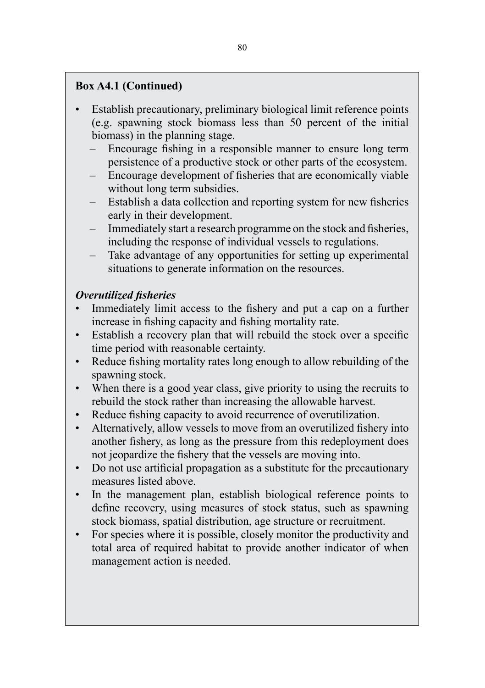# **Box A4.1 (Continued)**

- Establish precautionary, preliminary biological limit reference points (e.g. spawning stock biomass less than 50 percent of the initial biomass) in the planning stage.
	- Encourage fishing in a responsible manner to ensure long term persistence of a productive stock or other parts of the ecosystem.
	- Encourage development of fisheries that are economically viable without long term subsidies.
	- Establish a data collection and reporting system for new fisheries early in their development.
	- Immediately start a research programme on the stock and fisheries, including the response of individual vessels to regulations.
	- Take advantage of any opportunities for setting up experimental situations to generate information on the resources.

# *Overutilized fisheries*

- Immediately limit access to the fishery and put a cap on a further increase in fishing capacity and fishing mortality rate.
- Establish a recovery plan that will rebuild the stock over a specific time period with reasonable certainty.
- Reduce fishing mortality rates long enough to allow rebuilding of the spawning stock.
- When there is a good year class, give priority to using the recruits to rebuild the stock rather than increasing the allowable harvest.
- Reduce fishing capacity to avoid recurrence of overutilization.
- Alternatively, allow vessels to move from an overutilized fishery into another fishery, as long as the pressure from this redeployment does not jeopardize the fishery that the vessels are moving into.
- Do not use artificial propagation as a substitute for the precautionary measures listed above.
- In the management plan, establish biological reference points to define recovery, using measures of stock status, such as spawning stock biomass, spatial distribution, age structure or recruitment.
- For species where it is possible, closely monitor the productivity and total area of required habitat to provide another indicator of when management action is needed.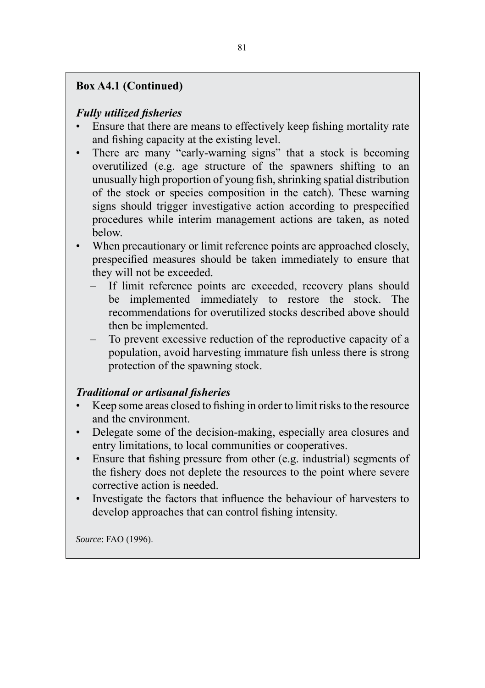# **Box A4.1 (Continued)**

# *Fully utilized fisheries*

- Ensure that there are means to effectively keep fishing mortality rate and fishing capacity at the existing level.
- There are many "early-warning signs" that a stock is becoming overutilized (e.g. age structure of the spawners shifting to an unusually high proportion of young fish, shrinking spatial distribution of the stock or species composition in the catch). These warning signs should trigger investigative action according to prespecified procedures while interim management actions are taken, as noted below.
- When precautionary or limit reference points are approached closely, prespecified measures should be taken immediately to ensure that they will not be exceeded.
	- If limit reference points are exceeded, recovery plans should be implemented immediately to restore the stock. The recommendations for overutilized stocks described above should then be implemented.
	- To prevent excessive reduction of the reproductive capacity of a population, avoid harvesting immature fish unless there is strong protection of the spawning stock.

## *Traditional or artisanal fisheries*

- Keep some areas closed to fishing in order to limit risks to the resource and the environment.
- Delegate some of the decision-making, especially area closures and entry limitations, to local communities or cooperatives.
- Ensure that fishing pressure from other (e.g. industrial) segments of the fishery does not deplete the resources to the point where severe corrective action is needed.
- Investigate the factors that influence the behaviour of harvesters to develop approaches that can control fishing intensity.

*Source*: FAO (1996).